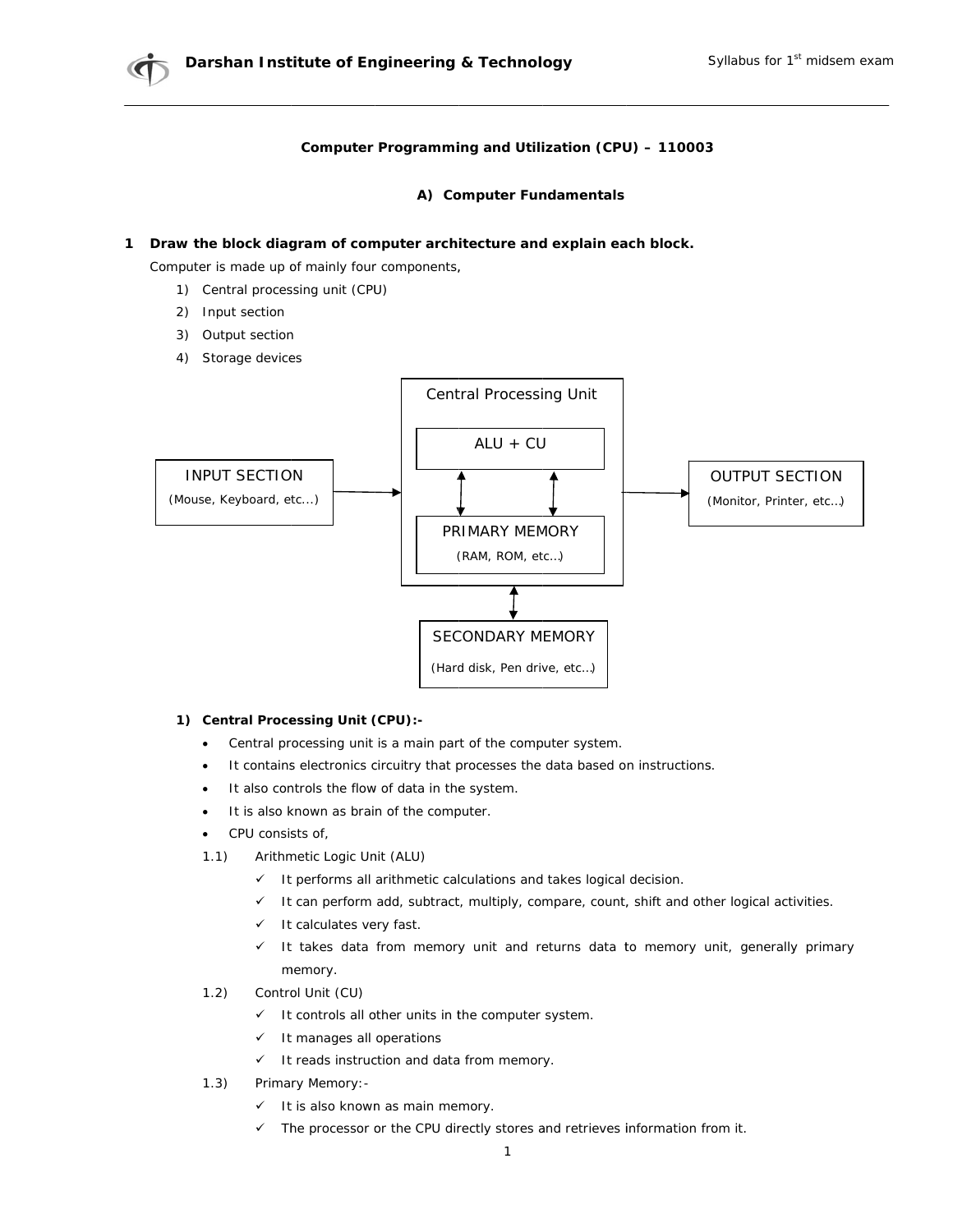## Computer Programming and Utilization (CPU) - 110003

## A) Computer Fundamentals

## 1 Draw the block diagram of computer architecture and explain each block.

Computer is made up of mainly four components,

- 1) Central processing unit (CPU)
- 2) Input section
- 3) Output section
- 4) Storage devices



## 1) Central Processing Unit (CPU):-

- Central processing unit is a main part of the computer system.
- It contains electronics circuitry that processes the data based on instructions.  $\bullet$
- It also controls the flow of data in the system.
- It is also known as brain of the computer.
- CPU consists of,
- $1.1)$ Arithmetic Logic Unit (ALU)
	- It performs all arithmetic calculations and takes logical decision.
	- It can perform add, subtract, multiply, compare, count, shift and other logical activities.
	- $\checkmark$  It calculates very fast.
	- It takes data from memory unit and returns data to memory unit, generally primary memory.
- Control Unit (CU)  $1.2)$ 
	- $\checkmark$  It controls all other units in the computer system.
	- $\checkmark$  It manages all operations
	- $\checkmark$  It reads instruction and data from memory.
- $1.3)$ Primary Memory: -
	- $\checkmark$  It is also known as main memory.
	- $\checkmark$  The processor or the CPU directly stores and retrieves information from it.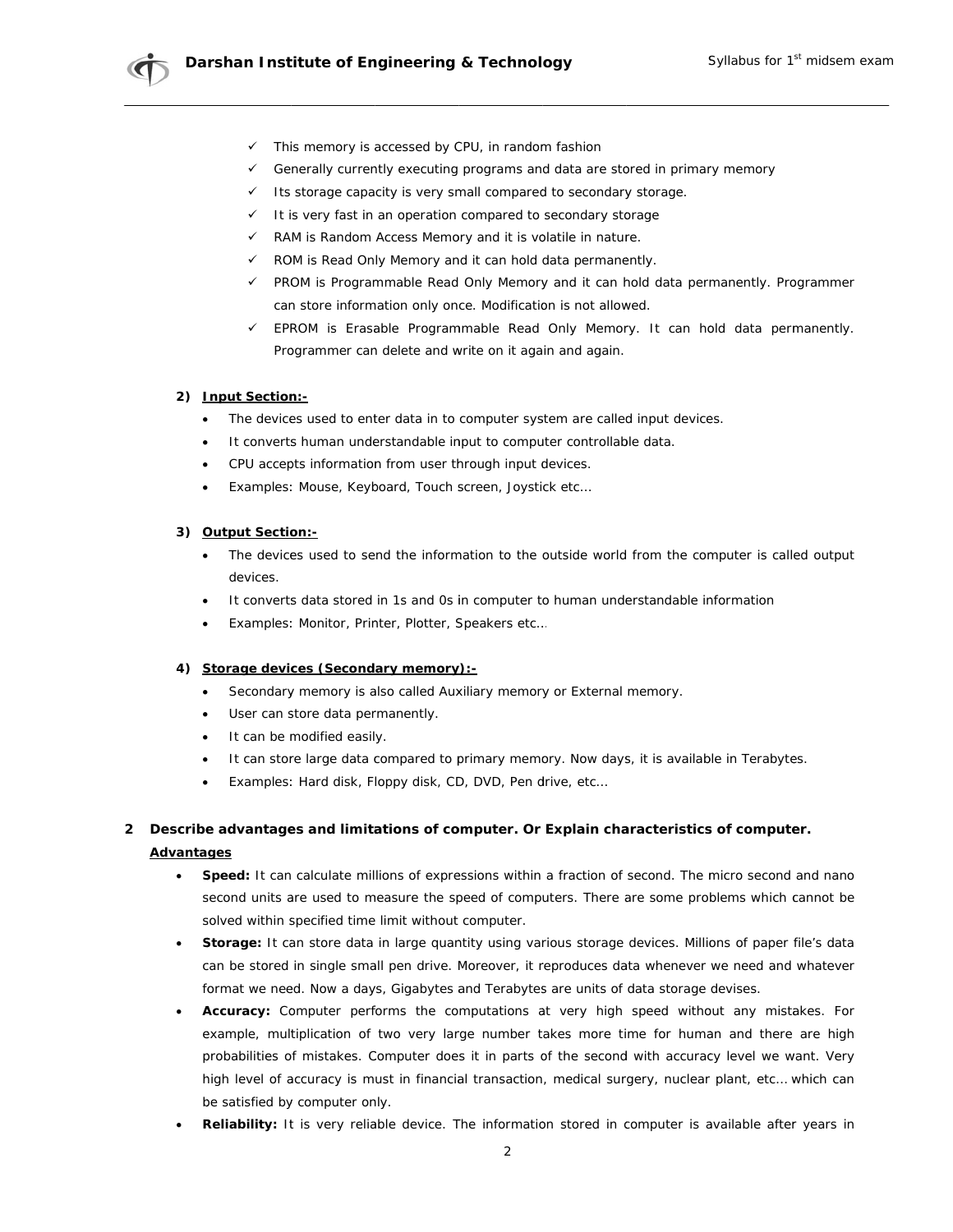

- Generally currently executing programs and data are stored in primary memory
- Its storage capacity is very small compared to secondary storage.  $\checkmark$
- It is very fast in an operation compared to secondary storage
- $\checkmark$ RAM is Random Access Memory and it is volatile in nature.
- √ ROM is Read Only Memory and it can hold data permanently.
- √ PROM is Programmable Read Only Memory and it can hold data permanently. Programmer can store information only once. Modification is not allowed.
- $\checkmark$  EPROM is Erasable Programmable Read Only Memory. It can hold data permanently. Programmer can delete and write on it again and again.

### 2) Input Section:-

- The devices used to enter data in to computer system are called input devices.
- It converts human understandable input to computer controllable data.
- CPU accepts information from user through input devices.  $\bullet$
- Examples: Mouse, Keyboard, Touch screen, Joystick etc...  $\bullet$

### 3) Output Section:-

- The devices used to send the information to the outside world from the computer is called output  $\bullet$ devices.
- It converts data stored in 1s and 0s in computer to human understandable information
- Examples: Monitor, Printer, Plotter, Speakers etc...

### 4) Storage devices (Secondary memory):-

- Secondary memory is also called Auxiliary memory or External memory.  $\bullet$
- User can store data permanently.
- It can be modified easily.
- It can store large data compared to primary memory. Now days, it is available in Terabytes.
- Examples: Hard disk, Floppy disk, CD, DVD, Pen drive, etc...  $\bullet$

# 2 Describe advantages and limitations of computer. Or Explain characteristics of computer. **Advantages**

- Speed: It can calculate millions of expressions within a fraction of second. The micro second and nano  $\bullet$ second units are used to measure the speed of computers. There are some problems which cannot be solved within specified time limit without computer.
- Storage: It can store data in large quantity using various storage devices. Millions of paper file's data can be stored in single small pen drive. Moreover, it reproduces data whenever we need and whatever format we need. Now a days, Gigabytes and Terabytes are units of data storage devises.
- Accuracy: Computer performs the computations at very high speed without any mistakes. For example, multiplication of two very large number takes more time for human and there are high probabilities of mistakes. Computer does it in parts of the second with accuracy level we want. Very high level of accuracy is must in financial transaction, medical surgery, nuclear plant, etc... which can be satisfied by computer only.
- Reliability: It is very reliable device. The information stored in computer is available after years in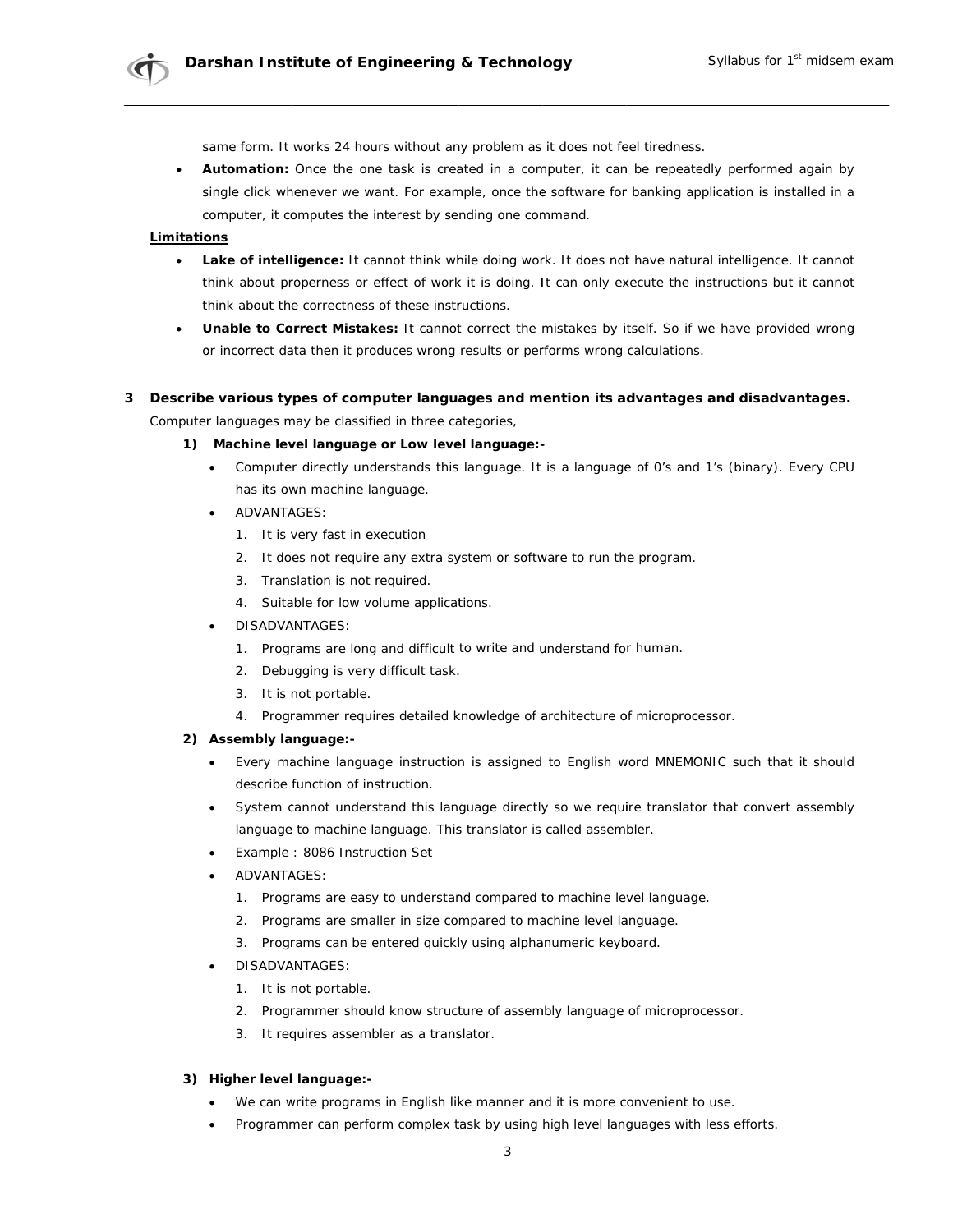same form. It works 24 hours without any problem as it does not feel tiredness.

Automation: Once the one task is created in a computer, it can be repeatedly performed again by single click whenever we want. For example, once the software for banking application is installed in a computer, it computes the interest by sending one command.

## Limitations

- Lake of intelligence: It cannot think while doing work. It does not have natural intelligence. It cannot think about properness or effect of work it is doing. It can only execute the instructions but it cannot think about the correctness of these instructions.
- **Unable to Correct Mistakes:** It cannot correct the mistakes by itself. So if we have provided wrong or incorrect data then it produces wrong results or performs wrong calculations.

## 3 Describe various types of computer languages and mention its advantages and disadvantages.

Computer languages may be classified in three categories,

### 1) Machine level language or Low level language:-

- Computer directly understands this language. It is a language of 0's and 1's (binary). Every CPU has its own machine language.
- **ADVANTAGES:** 
	- 1. It is very fast in execution
	- 2. It does not require any extra system or software to run the program.
	- 3. Translation is not required.
	- 4. Suitable for low volume applications.
- **DISADVANTAGES:** 
	- 1. Programs are long and difficult to write and understand for human.
	- 2. Debugging is very difficult task.
	- 3. It is not portable.
	- 4. Programmer requires detailed knowledge of architecture of microprocessor.

## 2) Assembly language:-

- Every machine language instruction is assigned to English word MNEMONIC such that it should describe function of instruction.
- System cannot understand this language directly so we require translator that convert assembly language to machine language. This translator is called assembler.
- Example: 8086 Instruction Set
- ADVANTAGES:
	- 1. Programs are easy to understand compared to machine level language.
	- 2. Programs are smaller in size compared to machine level language.
	- 3. Programs can be entered quickly using alphanumeric keyboard.
- **DISADVANTAGES:** 
	- 1. It is not portable.
	- 2. Programmer should know structure of assembly language of microprocessor.
	- 3. It requires assembler as a translator.

## 3) Higher level language:-

- We can write programs in English like manner and it is more convenient to use.
- Programmer can perform complex task by using high level languages with less efforts.  $\bullet$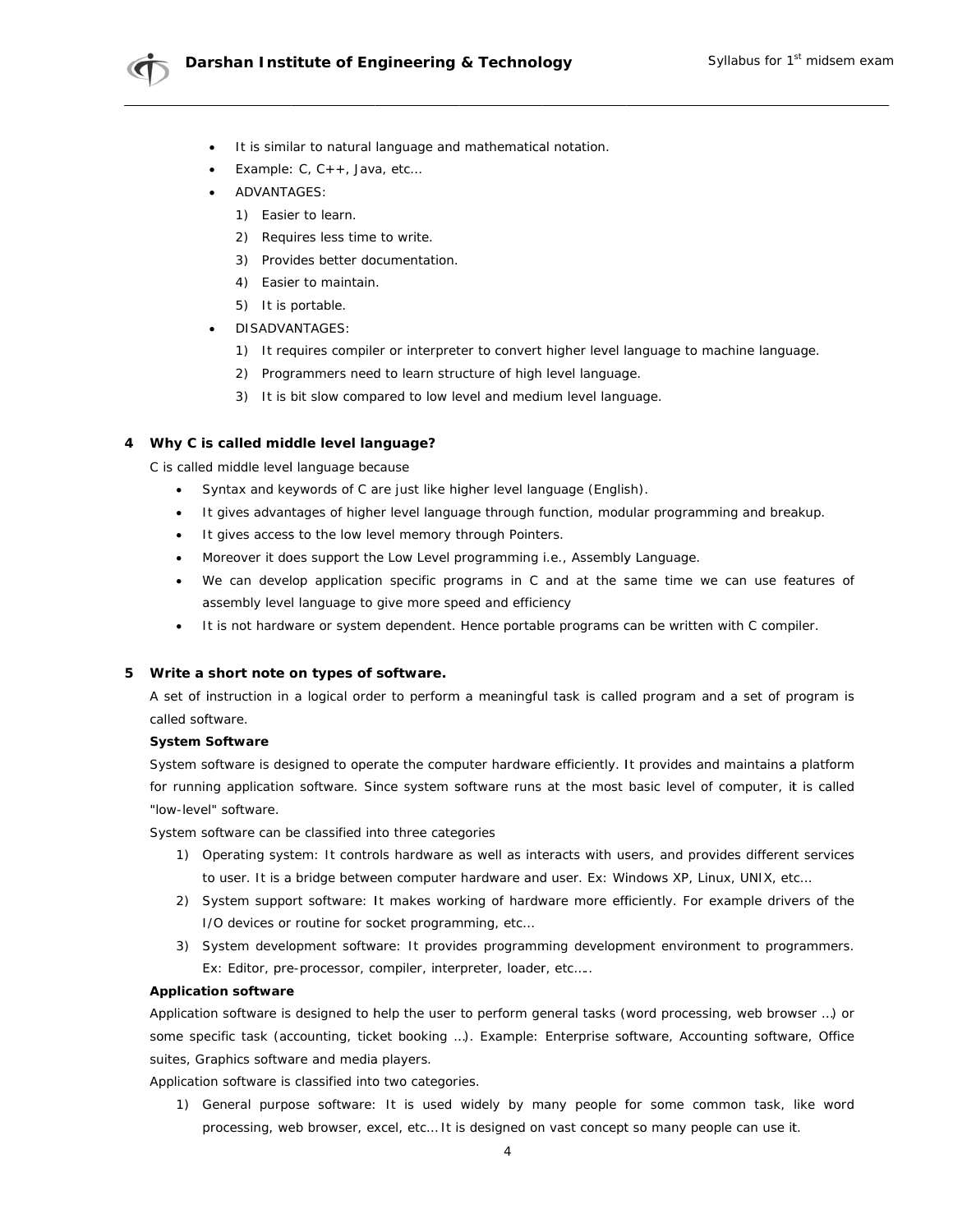

- It is similar to natural language and mathematical notation.
- Example:  $C, C++, Java, etc...$
- **ADVANTAGES:** 
	- 1) Easier to learn.
	- 2) Requires less time to write.
	- 3) Provides better documentation.
	- 4) Easier to maintain.
	- 5) It is portable.
- **DISADVANTAGES:** 
	- 1) It requires compiler or interpreter to convert higher level language to machine language.
	- 2) Programmers need to learn structure of high level language.
	- 3) It is bit slow compared to low level and medium level language.

### 4 Why C is called middle level language?

C is called middle level language because

- Syntax and keywords of C are just like higher level language (English).
- It gives advantages of higher level language through function, modular programming and breakup.
- It gives access to the low level memory through Pointers.
- Moreover it does support the Low Level programming i.e., Assembly Language.
- We can develop application specific programs in C and at the same time we can use features of assembly level language to give more speed and efficiency
- It is not hardware or system dependent. Hence portable programs can be written with C compiler.

### 5 Write a short note on types of software.

A set of instruction in a logical order to perform a meaningful task is called program and a set of program is called software.

### **System Software**

System software is designed to operate the computer hardware efficiently. It provides and maintains a platform for running application software. Since system software runs at the most basic level of computer, it is called "low-level" software.

System software can be classified into three categories

- 1) Operating system: It controls hardware as well as interacts with users, and provides different services to user. It is a bridge between computer hardware and user. Ex: Windows XP, Linux, UNIX, etc...
- 2) System support software: It makes working of hardware more efficiently. For example drivers of the I/O devices or routine for socket programming, etc...
- 3) System development software: It provides programming development environment to programmers. Ex: Editor, pre-processor, compiler, interpreter, loader, etc.....

### **Application software**

Application software is designed to help the user to perform general tasks (word processing, web browser ...) or some specific task (accounting, ticket booking ...). Example: Enterprise software, Accounting software, Office suites, Graphics software and media players.

Application software is classified into two categories.

1) General purpose software: It is used widely by many people for some common task, like word processing, web browser, excel, etc... It is designed on vast concept so many people can use it.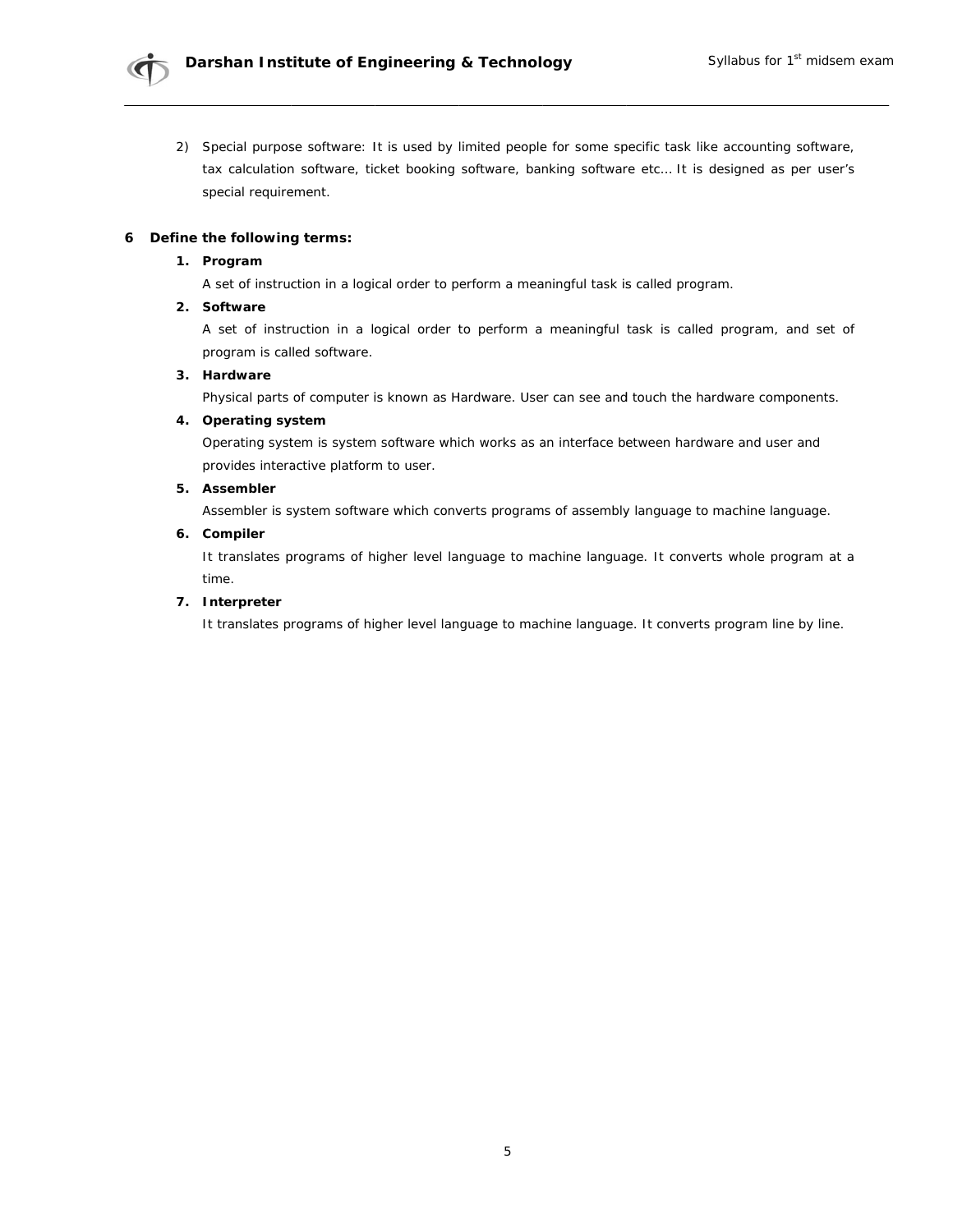

2) Special purpose software: It is used by limited people for some specific task like accounting software, tax calculation software, ticket booking software, banking software etc... It is designed as per user's special requirement.

### 6 Define the following terms:

### 1. Program

A set of instruction in a logical order to perform a meaningful task is called program.

## 2. Software

A set of instruction in a logical order to perform a meaningful task is called program, and set of program is called software.

### 3. Hardware

Physical parts of computer is known as Hardware. User can see and touch the hardware components.

## 4. Operating system

Operating system is system software which works as an interface between hardware and user and provides interactive platform to user.

### 5. Assembler

Assembler is system software which converts programs of assembly language to machine language.

### 6. Compiler

It translates programs of higher level language to machine language. It converts whole program at a time.

### 7. Interpreter

It translates programs of higher level language to machine language. It converts program line by line.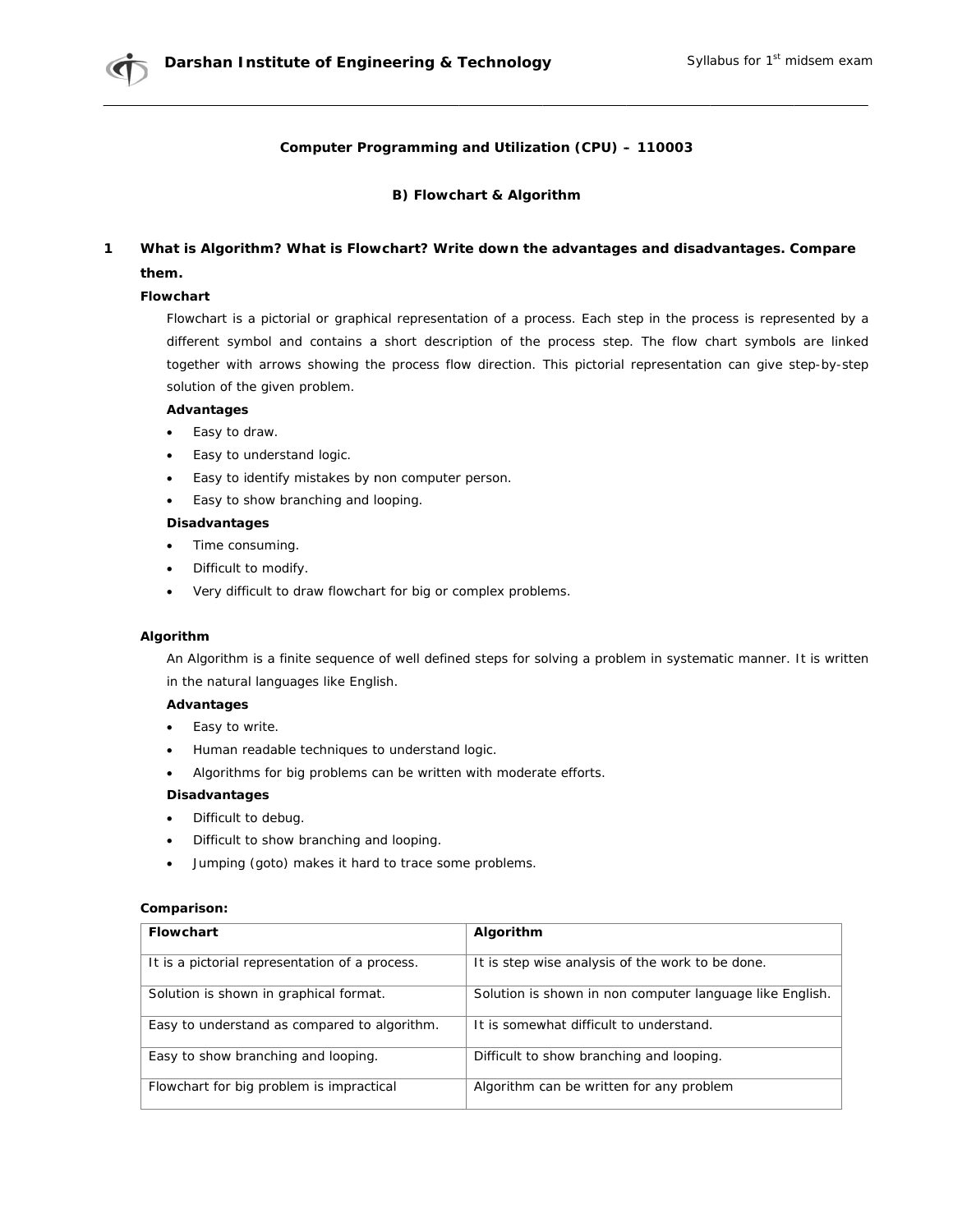## Computer Programming and Utilization (CPU) - 110003

### B) Flowchart & Algorithm

#### $\mathbf{1}$ What is Algorithm? What is Flowchart? Write down the advantages and disadvantages. Compare them.

### **Flowchart**

Flowchart is a pictorial or graphical representation of a process. Each step in the process is represented by a different symbol and contains a short description of the process step. The flow chart symbols are linked together with arrows showing the process flow direction. This pictorial representation can give step-by-step solution of the given problem.

## **Advantages**

- Easy to draw.  $\bullet$
- Easy to understand logic.
- Easy to identify mistakes by non computer person.
- Easy to show branching and looping.

## Disadvantages

- Time consuming.
- Difficult to modify.  $\bullet$
- Very difficult to draw flowchart for big or complex problems.

### Algorithm

An Algorithm is a finite sequence of well defined steps for solving a problem in systematic manner. It is written in the natural languages like English.

### **Advantages**

- Easy to write.  $\bullet$
- $\bullet$ Human readable techniques to understand logic.
- Algorithms for big problems can be written with moderate efforts.  $\bullet$

### Disadvantages

- $\bullet$ Difficult to debug.
- Difficult to show branching and looping.  $\bullet$
- Jumping (goto) makes it hard to trace some problems.  $\bullet$

## Comparison:

| <b>Flowchart</b>                               | Algorithm                                                |
|------------------------------------------------|----------------------------------------------------------|
| It is a pictorial representation of a process. | It is step wise analysis of the work to be done.         |
| Solution is shown in graphical format.         | Solution is shown in non computer language like English. |
| Easy to understand as compared to algorithm.   | It is somewhat difficult to understand.                  |
| Easy to show branching and looping.            | Difficult to show branching and looping.                 |
| Flowchart for big problem is impractical       | Algorithm can be written for any problem                 |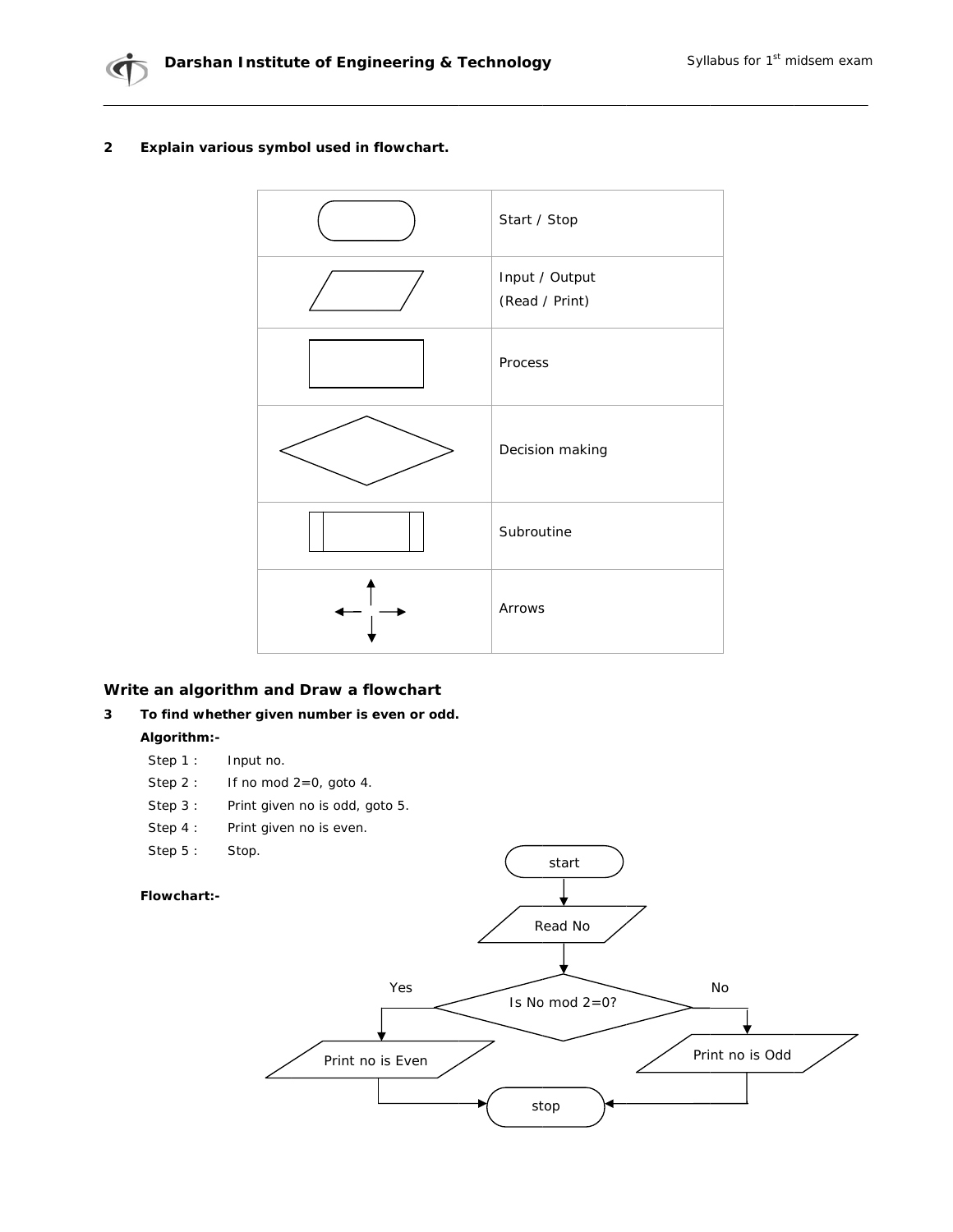

#### $\overline{\mathbf{2}}$ Explain various symbol used in flowchart.



## Write an algorithm and Draw a flowchart

#### $\mathbf{3}$ To find whether given number is even or odd.

# Algorithm:-

- Step 1: Input no.
- Step  $2:$ If no mod  $2=0$ , goto 4.
- Step  $3:$ Print given no is odd, goto 5.
- Step  $4:$ Print given no is even.
- Step  $5:$ Stop.

## Flowchart:-

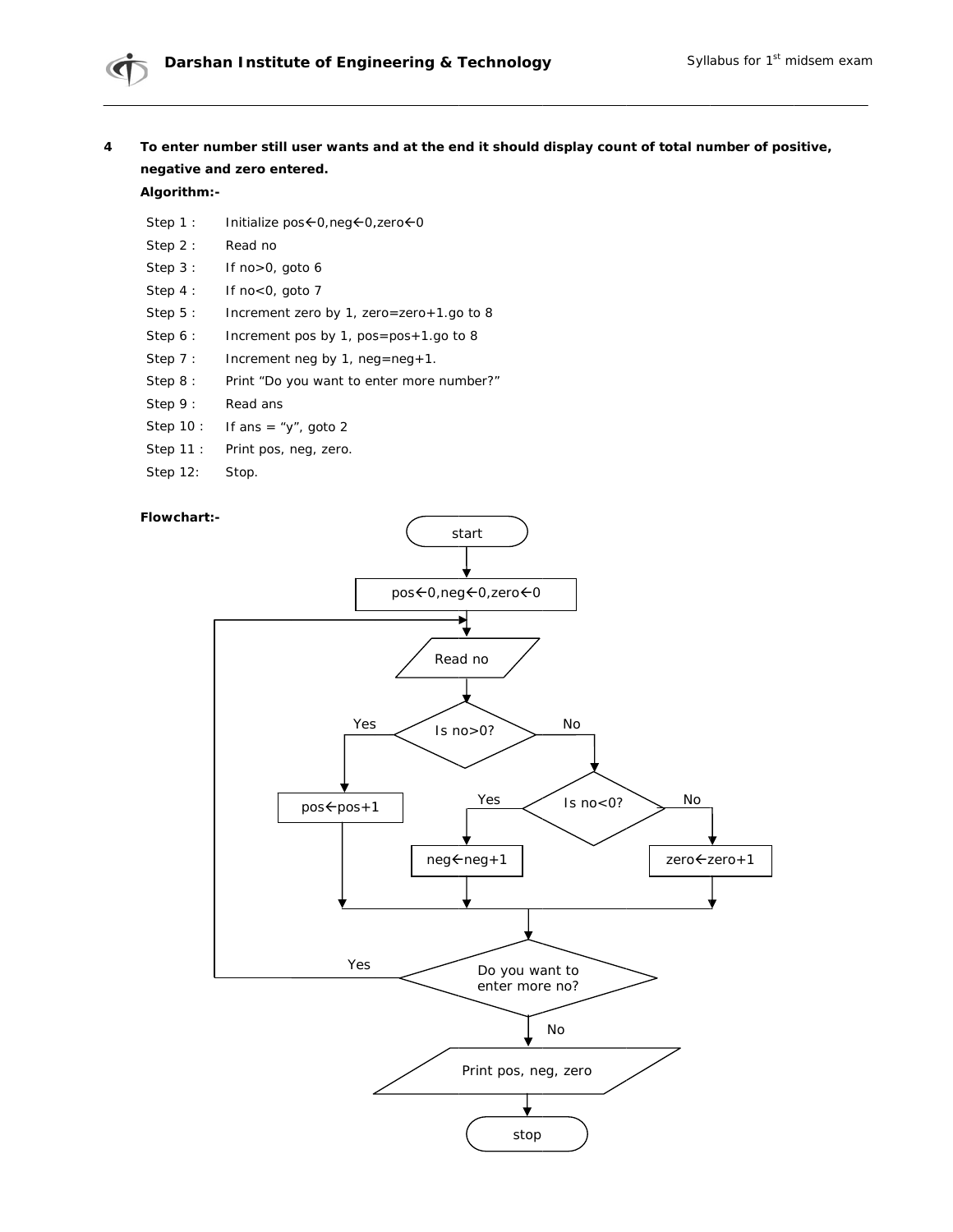To enter number still user wants and at the end it should display count of total number of positive,  $\overline{\mathbf{4}}$ negative and zero entered.

## Algorithm:-

- Step 1: Initialize pos < 0, neg < 0, zero < 0
- Step 2: Read no
- Step 3: If no>0, goto 6
- Step  $4:$ If no<0, goto 7
- Step  $5:$ Increment zero by 1, zero=zero+1.go to 8
- Step 6: Increment pos by 1, pos=pos+1.go to 8
- Step  $7:$ Increment neg by  $1$ , neg=neg+1.
- Step 8: Print "Do you want to enter more number?"
- Step 9: Read ans
- If ans = "y", goto 2 Step 10 :
- Step 11 : Print pos, neg, zero.
- Step 12: Stop.

### Flowchart:-

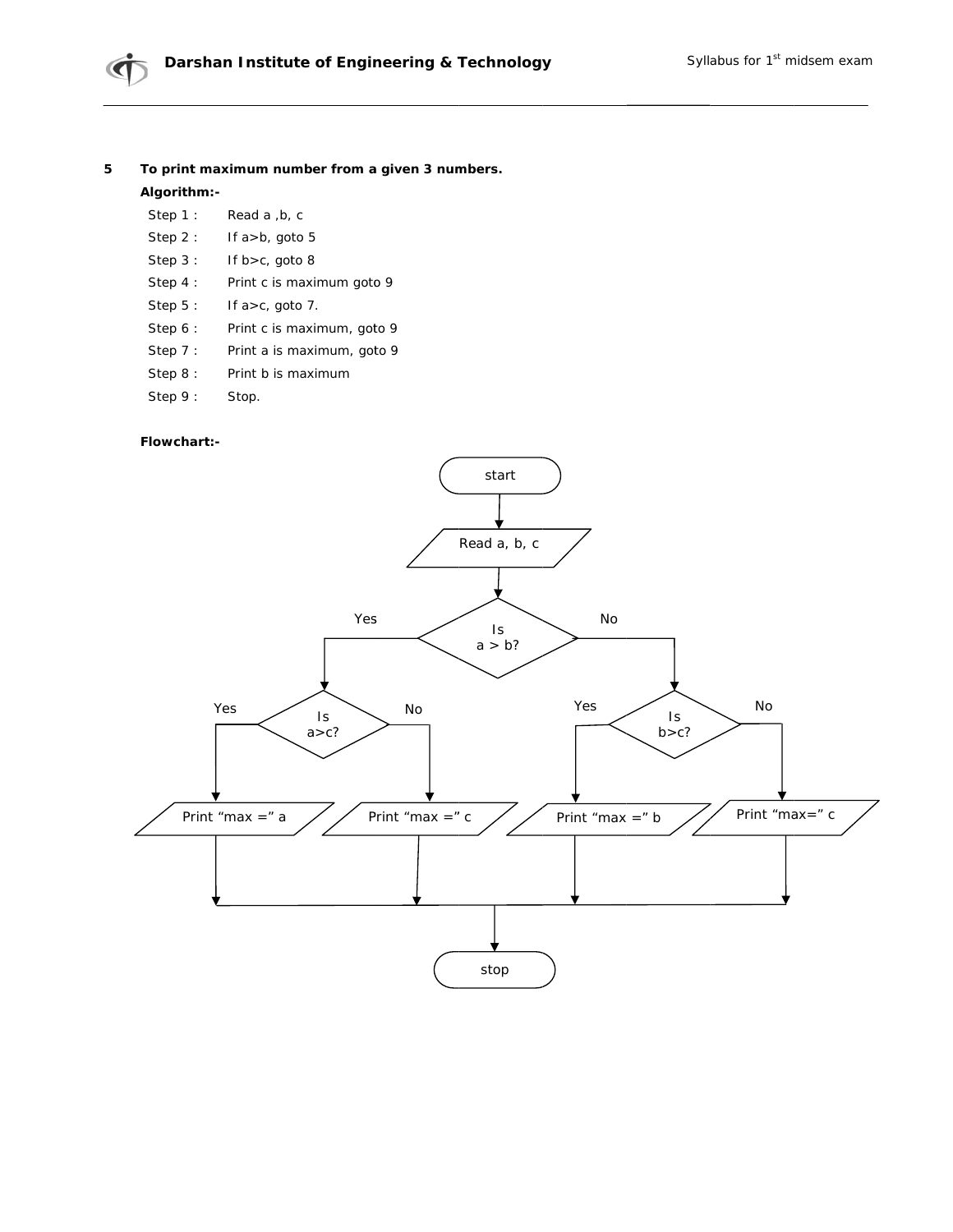#### **5**  To print maximum number from a given 3 numbers.

### Algorithm:-

- Step 1 : Read a ,b, c
- Step 2 : If a>b, go to 5
- Step 3 : If  $b > c$ , goto 8
- Step 4 : Print c is maximum goto 9
- Step 5 : If  $a > c$ , goto 7.
- Step 6 : Print c is maximum, goto 9
- Step 7 : Print a is maximum, goto 9
- Step 8 : Print b is m maximum
- Step 9 : Stop.

### **Flowchart t:-**

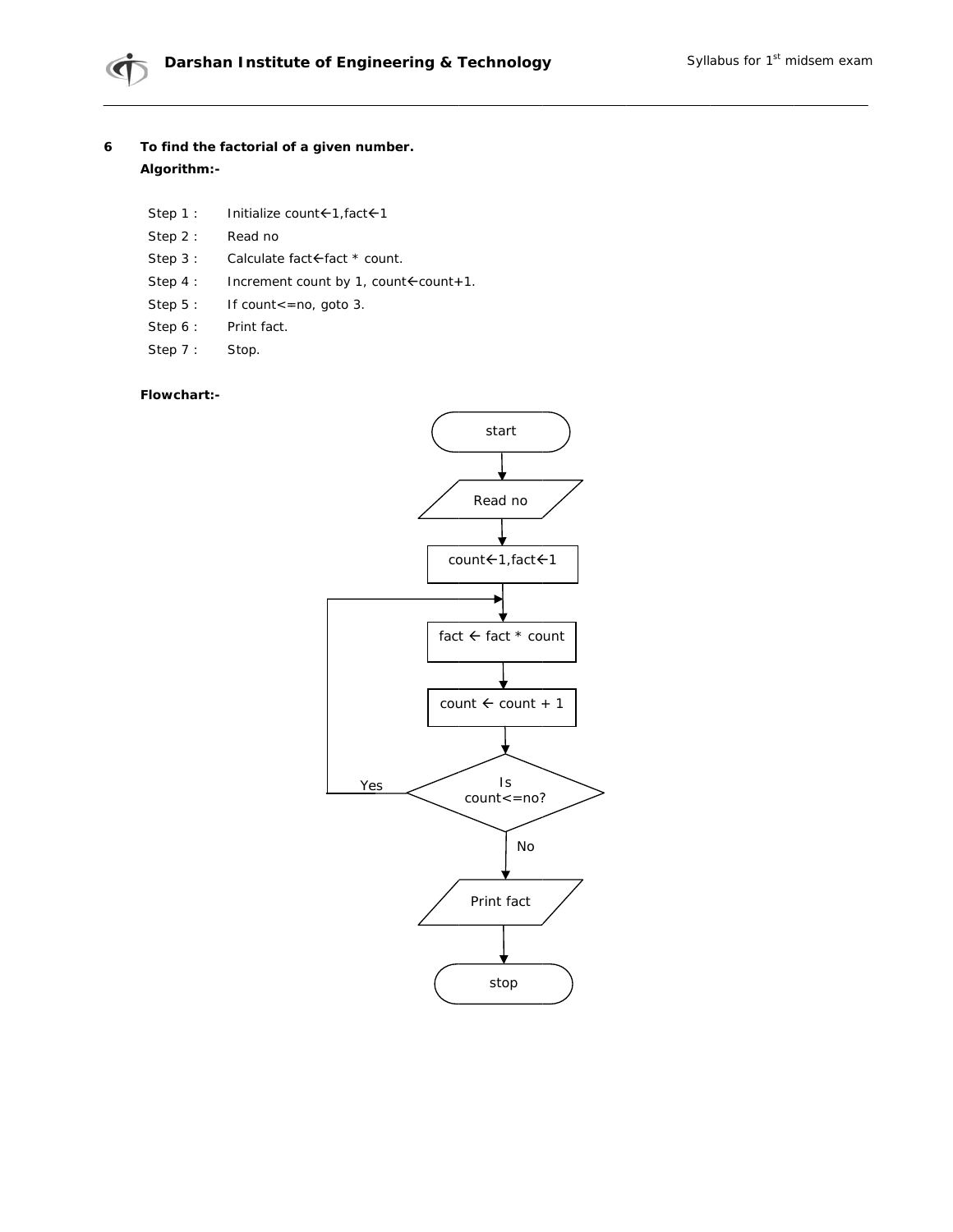- To find the factorial of a given number.  $\boldsymbol{6}$ Algorithm:-
	- Step 1: Initialize count < 1, fact < 1
	- Step  $2:$ Read no
	- Step 3: Calculate fact <fact \* count.
	- Step 4 : Increment count by 1, count fcount + 1.
	- Step 5: If count<=no, goto 3.
	- Step 6: Print fact.
	- Step 7: Stop.

## Flowchart:-

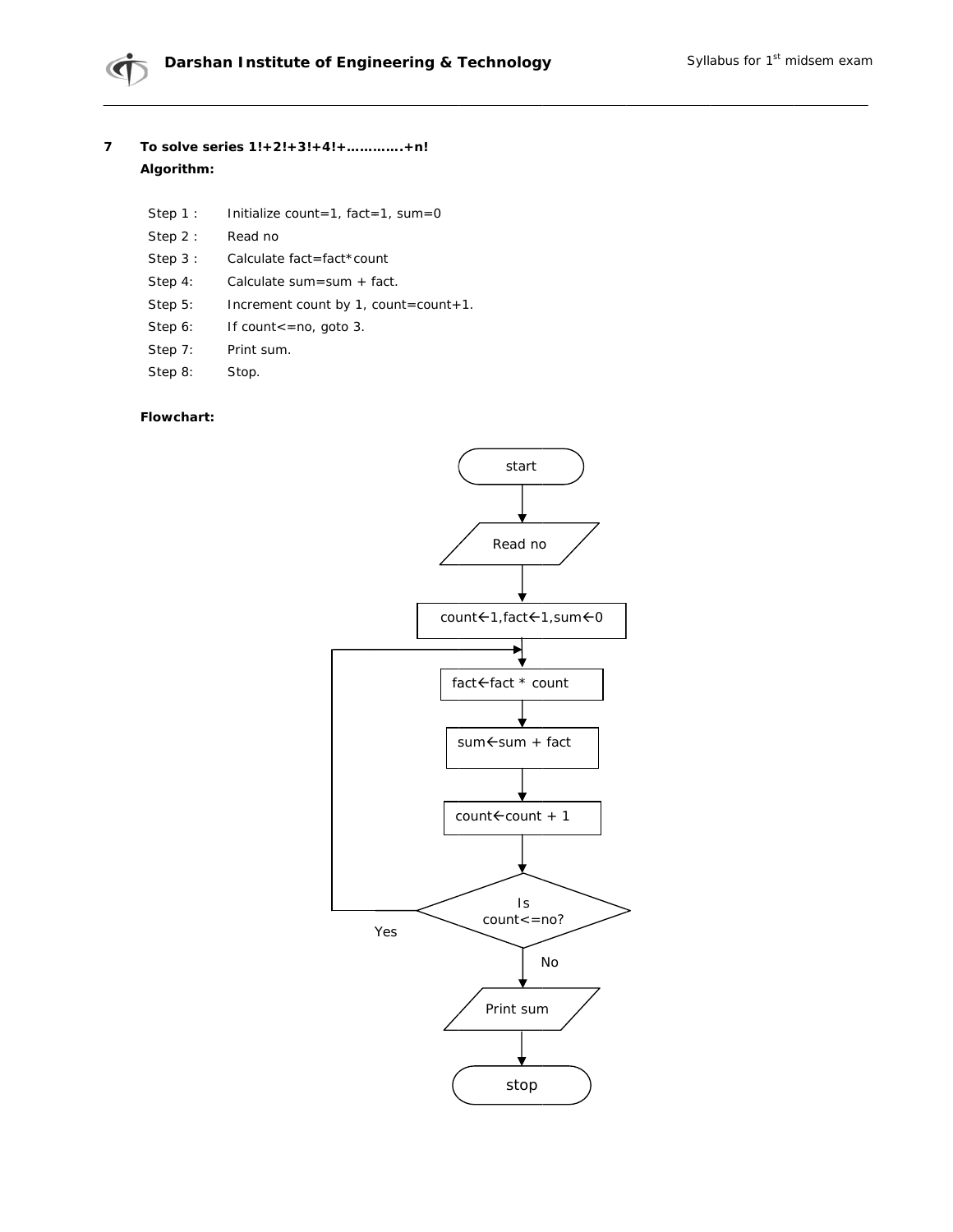### $\overline{7}$ To solve series 1!+2!+3!+4!+.............+n! Algorithm:

- Step 1: Initialize count=1, fact=1, sum=0
- Step 2: Read no
- Step  $3:$ Calculate fact=fact\*count
- Step 4: Calculate sum=sum + fact.
- Step 5: Increment count by 1, count=count+1.
- Step 6: If count <= no, goto 3.
- Step 7: Print sum.
- Step 8: Stop.

### Flowchart:

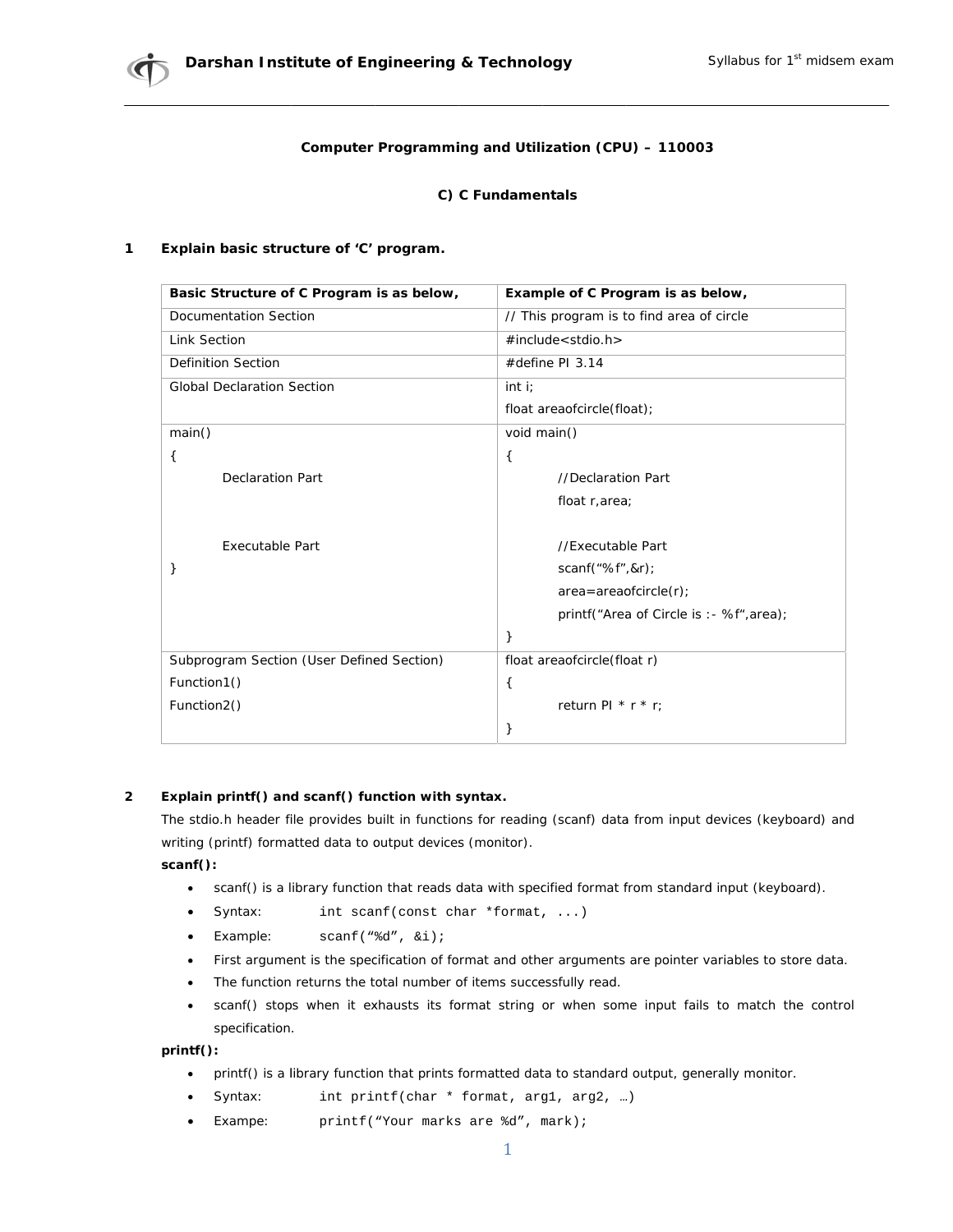## Computer Programming and Utilization (CPU) - 110003

## C) C Fundamentals

#### $\mathbf{1}$ Explain basic structure of 'C' program.

| Basic Structure of C Program is as below, | Example of C Program is as below,         |  |
|-------------------------------------------|-------------------------------------------|--|
| <b>Documentation Section</b>              | // This program is to find area of circle |  |
| <b>Link Section</b>                       | $\#$ include < stdio.h >                  |  |
| <b>Definition Section</b>                 | #define PI $3.14$                         |  |
| <b>Global Declaration Section</b>         | int i                                     |  |
|                                           | float areaofcircle(float);                |  |
| main()                                    | void main()                               |  |
| €                                         | €                                         |  |
| <b>Declaration Part</b>                   | //Declaration Part                        |  |
|                                           | float r, area;                            |  |
|                                           |                                           |  |
| Executable Part                           | //Executable Part                         |  |
|                                           | scanf("%f", &r);                          |  |
|                                           | $area = area of circle(r);$               |  |
|                                           | printf("Area of Circle is : - %f", area); |  |
|                                           | }                                         |  |
| Subprogram Section (User Defined Section) | float areaofcircle(float r)               |  |
| Function1()                               | €                                         |  |
| Function2()                               | return PI $*$ r $*$ r;                    |  |
|                                           | }                                         |  |

#### $\overline{2}$ Explain printf() and scanf() function with syntax.

The stdio.h header file provides built in functions for reading (scanf) data from input devices (keyboard) and writing (printf) formatted data to output devices (monitor).

 $scan()$ :

- scanf() is a library function that reads data with specified format from standard input (keyboard).  $\bullet$
- Syntax: int scanf(const char \*format, ...)
- $scanf("d", \&i);$ Example:
- First argument is the specification of format and other arguments are pointer variables to store data.
- The function returns the total number of items successfully read.
- scanf() stops when it exhausts its format string or when some input fails to match the control specification.

 $print()$ :

- printf() is a library function that prints formatted data to standard output, generally monitor.  $\bullet$
- Syntax: int printf(char \* format, arg1, arg2, ...)
- Exampe: printf("Your marks are %d", mark);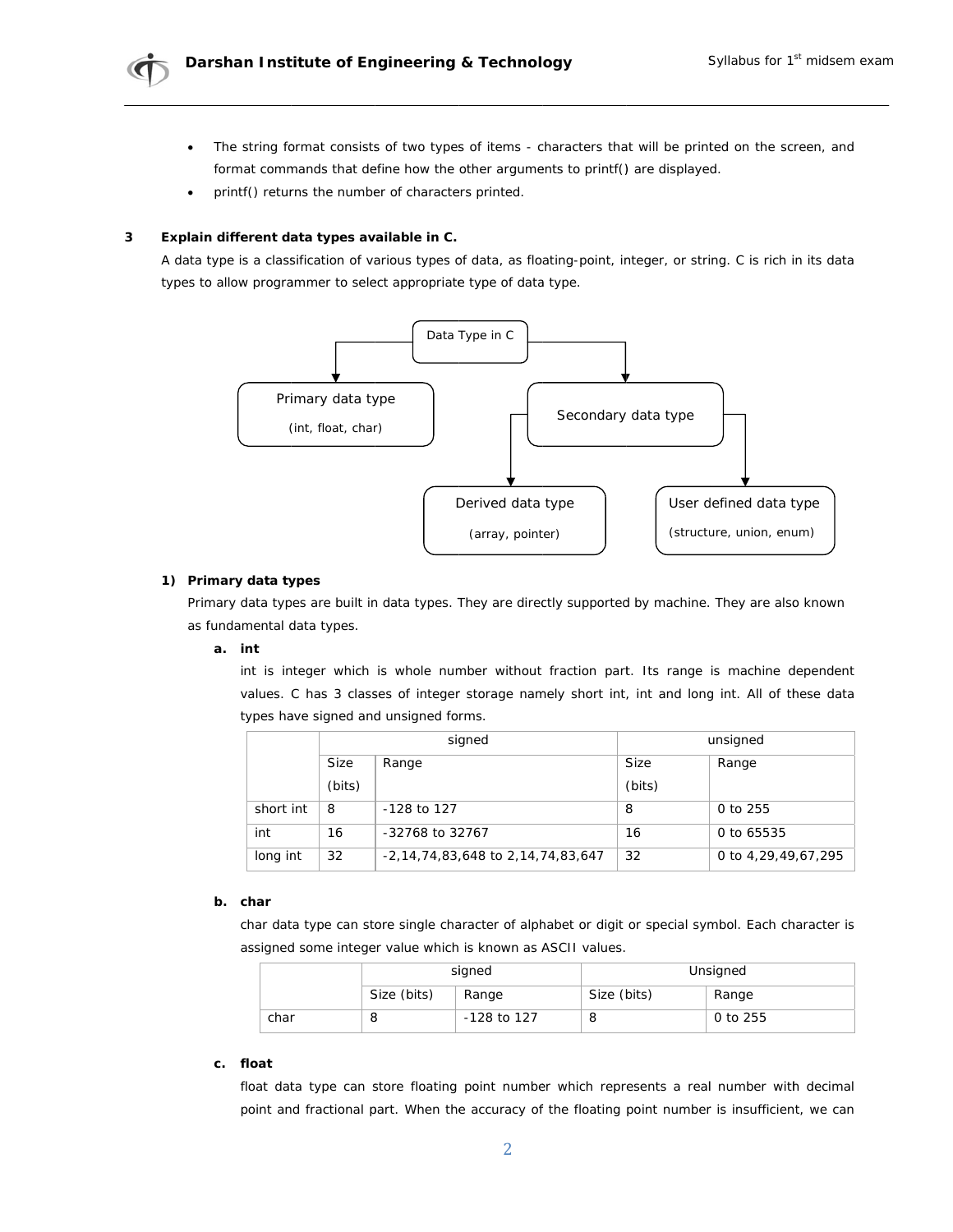

- The string format consists of two types of items characters that will be printed on the screen, and  $\bullet$ format commands that define how the other arguments to printf() are displayed.
- printf() returns the number of characters printed.

#### 3 Explain different data types available in C.

A data type is a classification of various types of data, as floating-point, integer, or string. C is rich in its data types to allow programmer to select appropriate type of data type.



## 1) Primary data types

Primary data types are built in data types. They are directly supported by machine. They are also known as fundamental data types.

## a. int

int is integer which is whole number without fraction part. Its range is machine dependent values. C has 3 classes of integer storage namely short int, int and long int. All of these data types have signed and unsigned forms.

|           | signed        |                                   | unsigned    |                     |
|-----------|---------------|-----------------------------------|-------------|---------------------|
|           | Size<br>Range |                                   | <b>Size</b> | Range               |
|           | (bits)        |                                   | (bits)      |                     |
| short int | 8             | $-128$ to 127                     | 8           | 0 to 255            |
| int       | 16            | -32768 to 32767                   | 16          | 0 to 65535          |
| long int  | 32            | -2,14,74,83,648 to 2,14,74,83,647 | 32          | 0 to 4,29,49,67,295 |

### b. char

char data type can store single character of alphabet or digit or special symbol. Each character is assigned some integer value which is known as ASCII values.

|      | signed      |             | Unsigned    |          |
|------|-------------|-------------|-------------|----------|
|      | Size (bits) | Range       | Size (bits) | Range    |
| char | ŏ           | -128 to 127 |             | 0 to 255 |

#### float c.

float data type can store floating point number which represents a real number with decimal point and fractional part. When the accuracy of the floating point number is insufficient, we can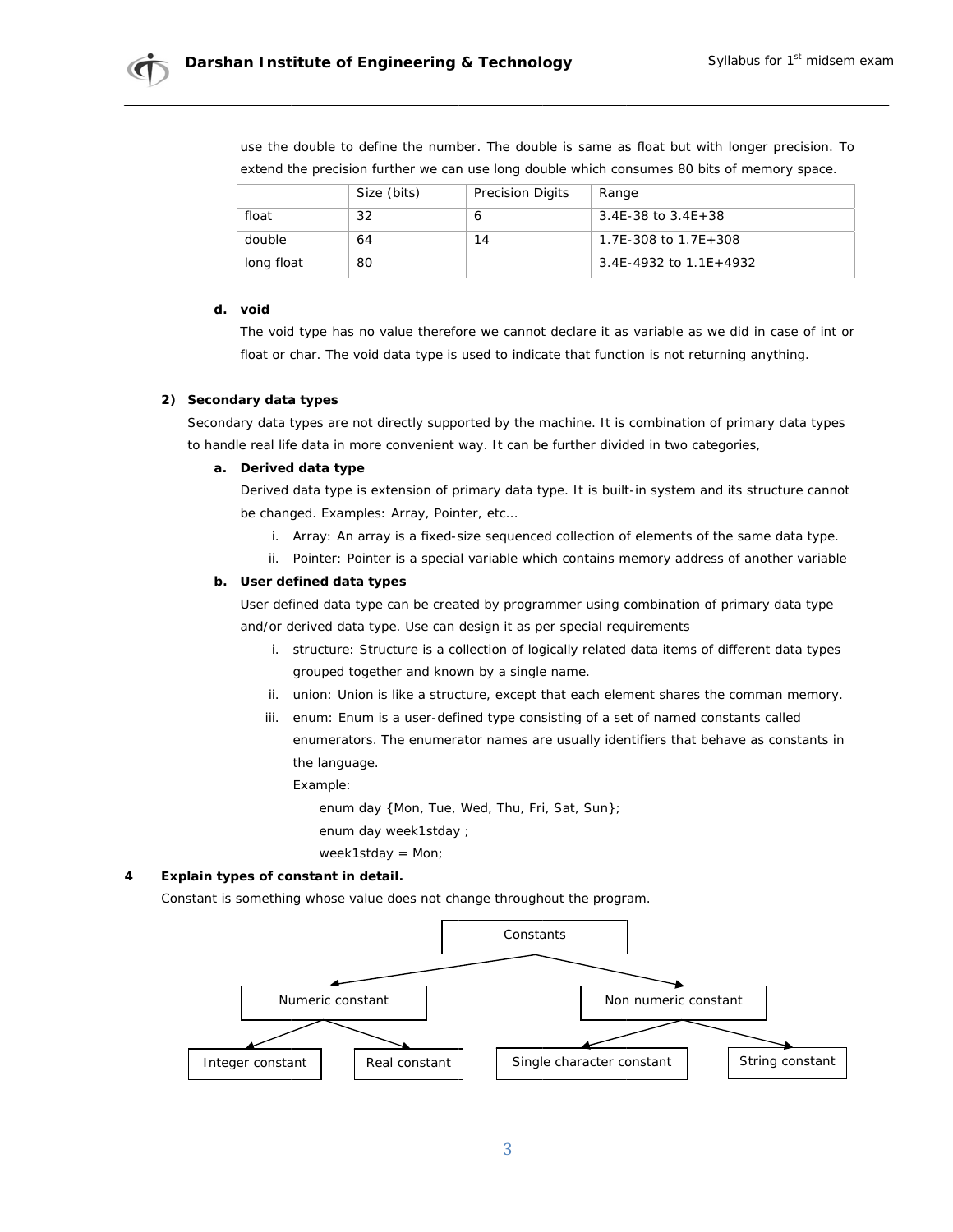

use the double to define the number. The double is same as float but with longer precision. To extend the precision further we can use long double which consumes 80 bits of memory space.

|            | Size (bits) | <b>Precision Digits</b> | Range                    |
|------------|-------------|-------------------------|--------------------------|
| float      | 32          |                         | $3.4E-38$ to $3.4E+38$   |
| double     | 64          | 14                      | 1.7E-308 to $1.7E+308$   |
| long float | 80          |                         | 3.4E-4932 to $1.1E+4932$ |

### d. void

The void type has no value therefore we cannot declare it as variable as we did in case of int or float or char. The void data type is used to indicate that function is not returning anything.

### 2) Secondary data types

Secondary data types are not directly supported by the machine. It is combination of primary data types to handle real life data in more convenient way. It can be further divided in two categories,

### a. Derived data type

Derived data type is extension of primary data type. It is built-in system and its structure cannot be changed. Examples: Array, Pointer, etc...

- i. Array: An array is a fixed-size sequenced collection of elements of the same data type.
- ii. Pointer: Pointer is a special variable which contains memory address of another variable

## b. User defined data types

User defined data type can be created by programmer using combination of primary data type and/or derived data type. Use can design it as per special requirements

- i. structure: Structure is a collection of logically related data items of different data types grouped together and known by a single name.
- ii. union: Union is like a structure, except that each element shares the comman memory.
- iii. enum: Enum is a user-defined type consisting of a set of named constants called enumerators. The enumerator names are usually identifiers that behave as constants in the language.

Example:

enum day {Mon, Tue, Wed, Thu, Fri, Sat, Sun};

enum day week1stday ;

week1stday =  $Mon;$ 

#### Explain types of constant in detail.  $\overline{\mathbf{4}}$

Constant is something whose value does not change throughout the program.

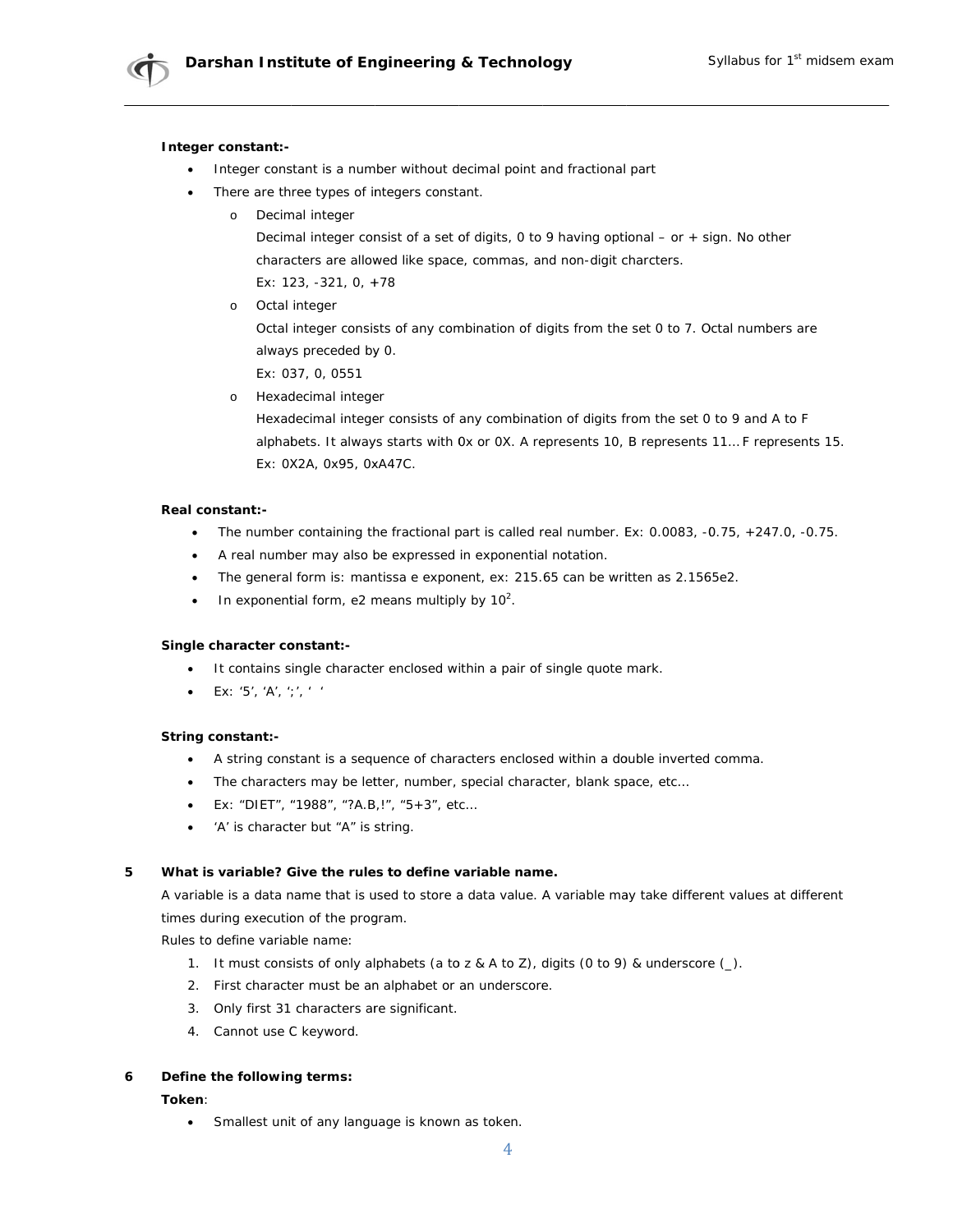### Integer constant:-

- Integer constant is a number without decimal point and fractional part
- There are three types of integers constant.
	- o Decimal integer

Decimal integer consist of a set of digits, 0 to 9 having optional - or + sign. No other characters are allowed like space, commas, and non-digit charcters. Ex: 123, -321, 0, +78

o Octal integer Octal integer consists of any combination of digits from the set 0 to 7. Octal numbers are

always preceded by 0.

- Ex: 037, 0, 0551
- o Hexadecimal integer

Hexadecimal integer consists of any combination of digits from the set 0 to 9 and A to F alphabets. It always starts with 0x or 0X. A represents 10, B represents 11... F represents 15. Ex: 0X2A, 0x95, 0xA47C.

### Real constant:-

- The number containing the fractional part is called real number. Ex:  $0.0083$ ,  $-0.75$ ,  $+247.0$ ,  $-0.75$ .
- A real number may also be expressed in exponential notation.
- The general form is: mantissa e exponent, ex: 215.65 can be written as 2.1565e2.  $\bullet$
- In exponential form, e2 means multiply by  $10^2$ .  $\bullet$

### Single character constant:-

- $\bullet$ It contains single character enclosed within a pair of single quote mark.
- Ex: '5', 'A', ';', ' '  $\bullet$

### String constant:-

- A string constant is a sequence of characters enclosed within a double inverted comma.
- The characters may be letter, number, special character, blank space, etc...  $\bullet$
- Ex: "DIET", "1988", "?A.B,!", "5+3", etc...
- 'A' is character but "A" is string.  $\bullet$

#### 5 What is variable? Give the rules to define variable name.

A variable is a data name that is used to store a data value. A variable may take different values at different times during execution of the program.

Rules to define variable name:

- 1. It must consists of only alphabets (a to z & A to Z), digits (0 to 9) & underscore (\_).
- 2. First character must be an alphabet or an underscore.
- 3. Only first 31 characters are significant.
- 4. Cannot use C keyword.

#### Define the following terms: 6

### Token:

Smallest unit of any language is known as token.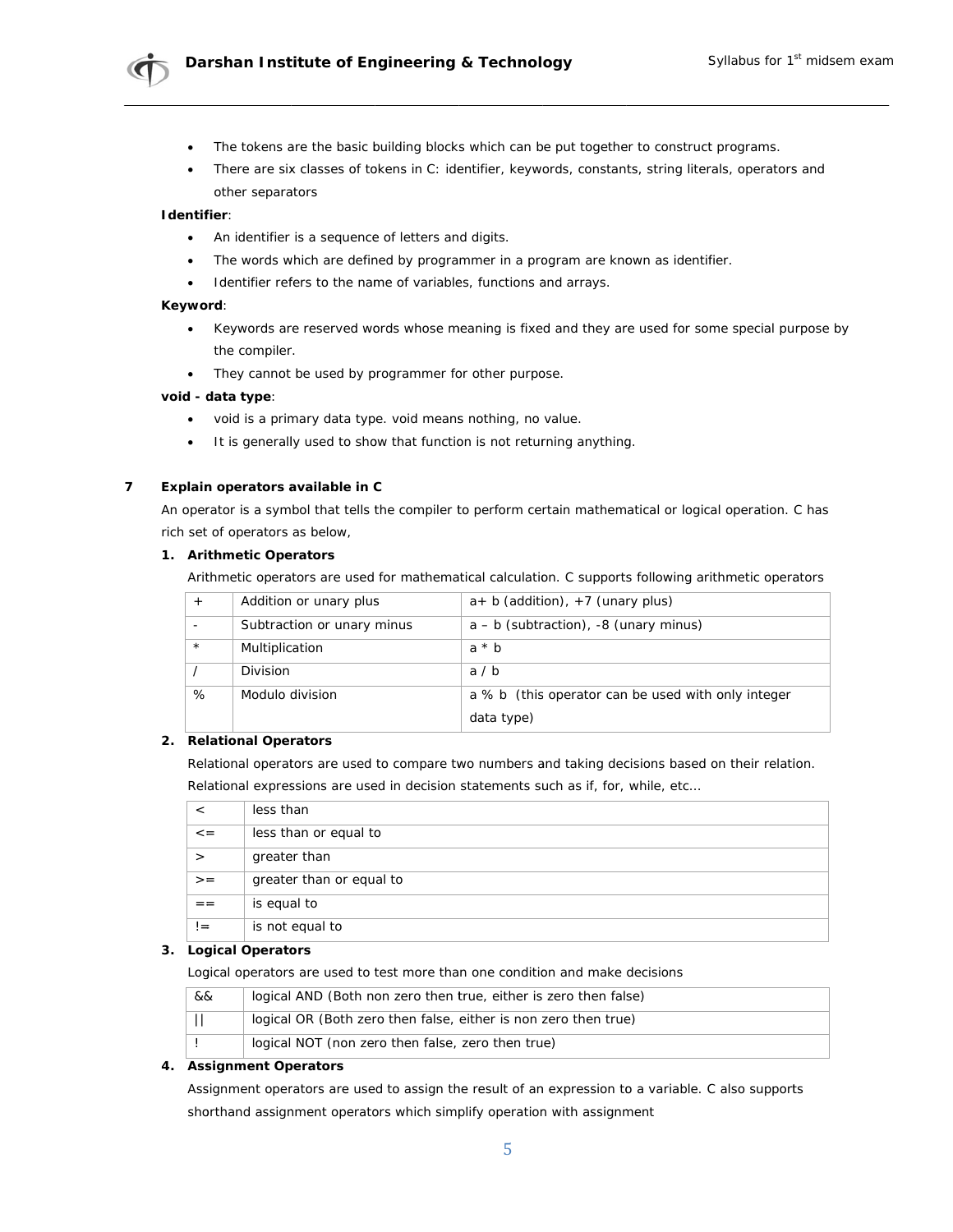

- The tokens are the basic building blocks which can be put together to construct programs.
- There are six classes of tokens in C: identifier, keywords, constants, string literals, operators and other separators

### Identifier:

- $\bullet$ An identifier is a sequence of letters and digits.
- The words which are defined by programmer in a program are known as identifier.
- Identifier refers to the name of variables, functions and arrays.

### Keyword:

- Keywords are reserved words whose meaning is fixed and they are used for some special purpose by  $\bullet$ the compiler.
- They cannot be used by programmer for other purpose.

### void - data type:

- $\bullet$ void is a primary data type. void means nothing, no value.
- $\bullet$ It is generally used to show that function is not returning anything.

#### $\overline{7}$ Explain operators available in C

An operator is a symbol that tells the compiler to perform certain mathematical or logical operation. C has rich set of operators as below,

### 1. Arithmetic Operators

Arithmetic operators are used for mathematical calculation. C supports following arithmetic operators

|         | Addition or unary plus     | $a+ b$ (addition), +7 (unary plus)                 |
|---------|----------------------------|----------------------------------------------------|
|         | Subtraction or unary minus | $a - b$ (subtraction), $-8$ (unary minus)          |
| $\star$ | Multiplication             | $a * b$                                            |
|         | Division                   | a/b                                                |
| %       | Modulo division            | a % b (this operator can be used with only integer |
|         |                            | data type)                                         |

## 2. Relational Operators

Relational operators are used to compare two numbers and taking decisions based on their relation.

Relational expressions are used in decision statements such as if, for, while, etc...

|         | less than                |
|---------|--------------------------|
| $\lt$ = | less than or equal to    |
|         | greater than             |
| $>$ $=$ | greater than or equal to |
| = =     | is equal to              |
| $!=$    | is not equal to          |

### 3. Logical Operators

Logical operators are used to test more than one condition and make decisions

| && | logical AND (Both non zero then true, either is zero then false) |
|----|------------------------------------------------------------------|
|    | logical OR (Both zero then false, either is non zero then true)  |
|    | logical NOT (non zero then false, zero then true)                |

### 4. Assignment Operators

Assignment operators are used to assign the result of an expression to a variable. C also supports shorthand assignment operators which simplify operation with assignment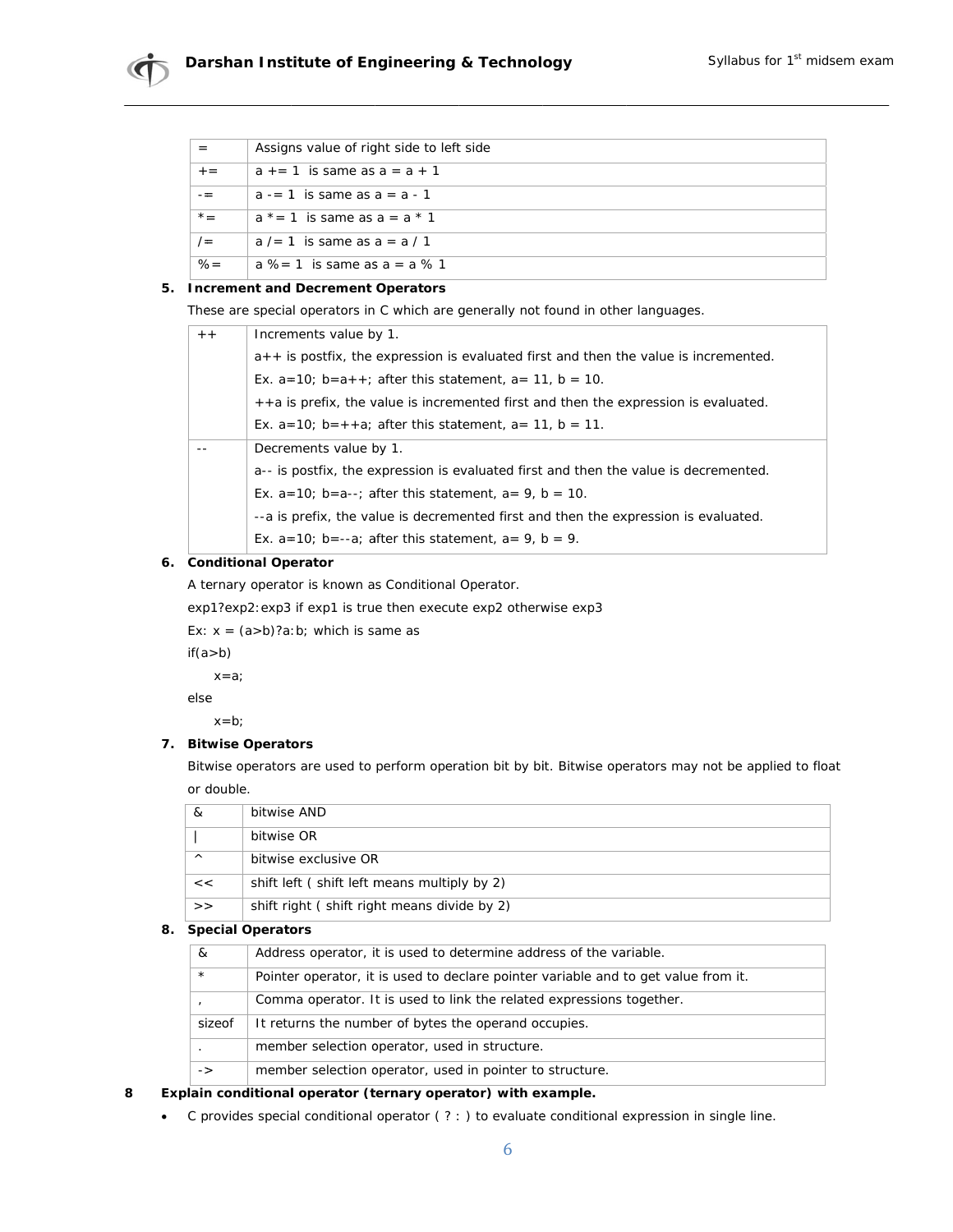|       | Assigns value of right side to left side |
|-------|------------------------------------------|
| $+ =$ | $a_{+} = 1$ is same as $a_{-} = a_{+} 1$ |
|       | $a = 1$ is same as $a = a - 1$           |
| $x =$ | $a^*$ = 1 is same as $a = a * 1$         |
| $/ =$ | $a$ /= 1 is same as $a = a/1$            |
| $% =$ | $a$ % = 1 is same as $a = a$ % 1         |

## 5. Increment and Decrement Operators

These are special operators in C which are generally not found in other languages.

| $+ +$ | Increments value by 1.                                                                 |
|-------|----------------------------------------------------------------------------------------|
|       | $a++$ is postfix, the expression is evaluated first and then the value is incremented. |
|       | Ex. $a=10$ ; $b=a++$ ; after this statement, $a=11$ , $b=10$ .                         |
|       | ++a is prefix, the value is incremented first and then the expression is evaluated.    |
|       | Ex. $a=10$ ; $b=++a$ ; after this statement, $a=11$ , $b=11$ .                         |
|       | Decrements value by 1.                                                                 |
|       | a-- is postfix, the expression is evaluated first and then the value is decremented.   |
|       | Ex. $a=10$ ; $b=a-$ ; after this statement, $a=9$ , $b=10$ .                           |
|       | --a is prefix, the value is decremented first and then the expression is evaluated.    |
|       | Ex. $a=10$ ; $b=-a$ ; after this statement, $a=9$ , $b=9$ .                            |

## 6. Conditional Operator

A ternary operator is known as Conditional Operator.

exp1?exp2: exp3 if exp1 is true then execute exp2 otherwise exp3

Ex:  $x = (a>b)?a:b;$  which is same as

 $if(a>b)$ 

 $x = a$ ;

else

 $x = b$ ;

## 7. Bitwise Operators

Bitwise operators are used to perform operation bit by bit. Bitwise operators may not be applied to float or double.

| &        | bitwise AND                                 |
|----------|---------------------------------------------|
|          | bitwise OR                                  |
| $\wedge$ | bitwise exclusive OR                        |
| <<       | shift left (shift left means multiply by 2) |
| >        | shift right (shift right means divide by 2) |

## 8. Special Operators

| $\mathcal{R}_{\mathcal{L}}$                   | Address operator, it is used to determine address of the variable.                 |
|-----------------------------------------------|------------------------------------------------------------------------------------|
| $\star$                                       | Pointer operator, it is used to declare pointer variable and to get value from it. |
|                                               | Comma operator. It is used to link the related expressions together.               |
| sizeof                                        | It returns the number of bytes the operand occupies.                               |
|                                               | member selection operator, used in structure.                                      |
| $\mathord{\hspace{1pt}\text{--}\hspace{1pt}}$ | member selection operator, used in pointer to structure.                           |

#### 8 Explain conditional operator (ternary operator) with example.

C provides special conditional operator (? : ) to evaluate conditional expression in single line.  $\bullet$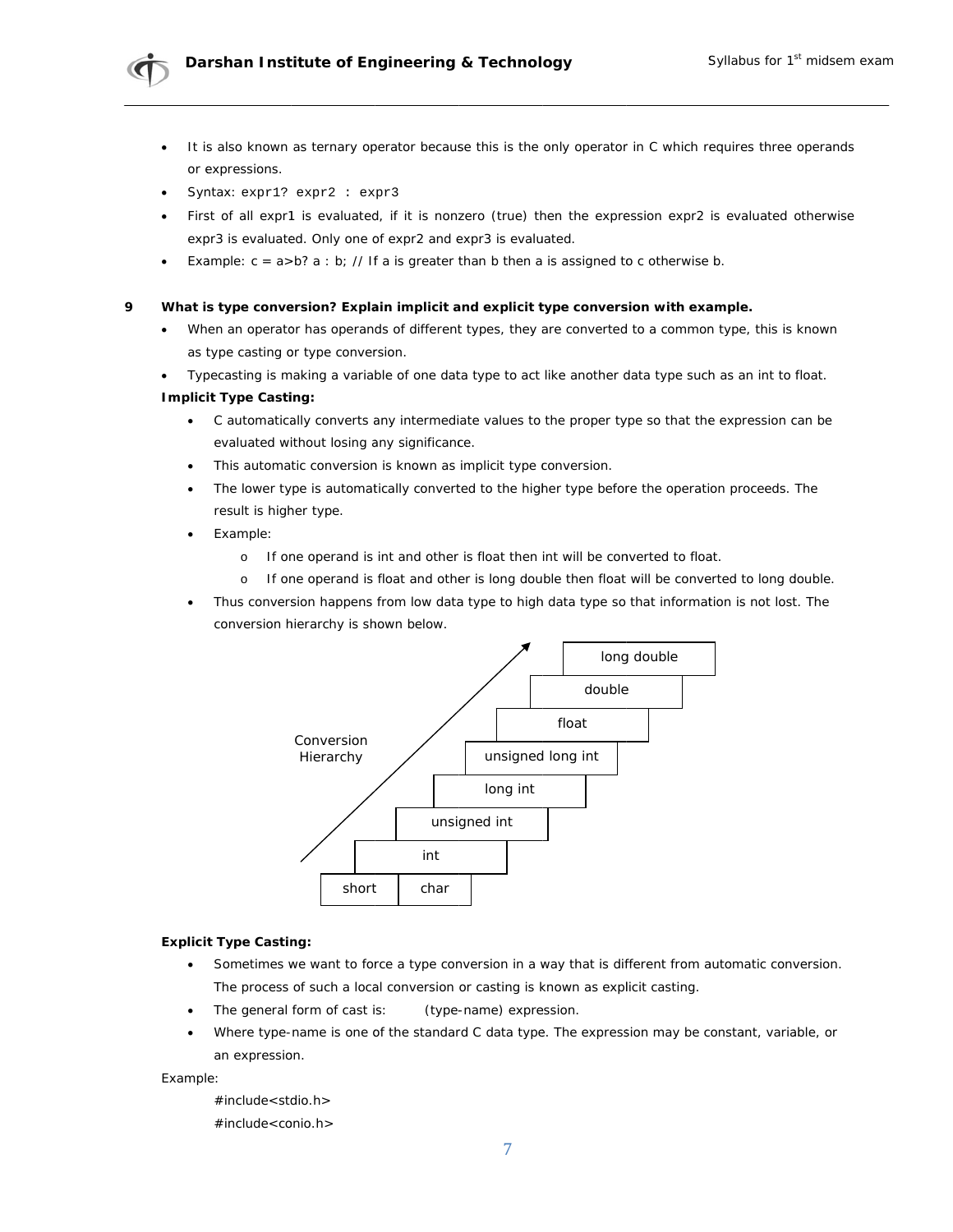

- It is also known as ternary operator because this is the only operator in C which requires three operands or expressions.
- Syntax: expr1? expr2 : expr3
- First of all expr1 is evaluated, if it is nonzero (true) then the expression expr2 is evaluated otherwise expr3 is evaluated. Only one of expr2 and expr3 is evaluated.
- Example:  $c = a > b$ ? a : b; // If a is greater than b then a is assigned to c otherwise b.

#### What is type conversion? Explain implicit and explicit type conversion with example.  $\mathbf Q$

- When an operator has operands of different types, they are converted to a common type, this is known  $\bullet$ as type casting or type conversion.
- Typecasting is making a variable of one data type to act like another data type such as an int to float.

### **Implicit Type Casting:**

- C automatically converts any intermediate values to the proper type so that the expression can be evaluated without losing any significance.
- This automatic conversion is known as implicit type conversion.
- The lower type is automatically converted to the higher type before the operation proceeds. The result is higher type.
- Example:
	- If one operand is int and other is float then int will be converted to float.  $\circ$
	- $\circ$ If one operand is float and other is long double then float will be converted to long double.
- Thus conversion happens from low data type to high data type so that information is not lost. The  $\bullet$ conversion hierarchy is shown below.



## **Explicit Type Casting:**

- Sometimes we want to force a type conversion in a way that is different from automatic conversion. The process of such a local conversion or casting is known as explicit casting.
- (type-name) expression. The general form of cast is:
- Where type-name is one of the standard C data type. The expression may be constant, variable, or an expression.

Example:

#include<stdio.h> #include<conio.h>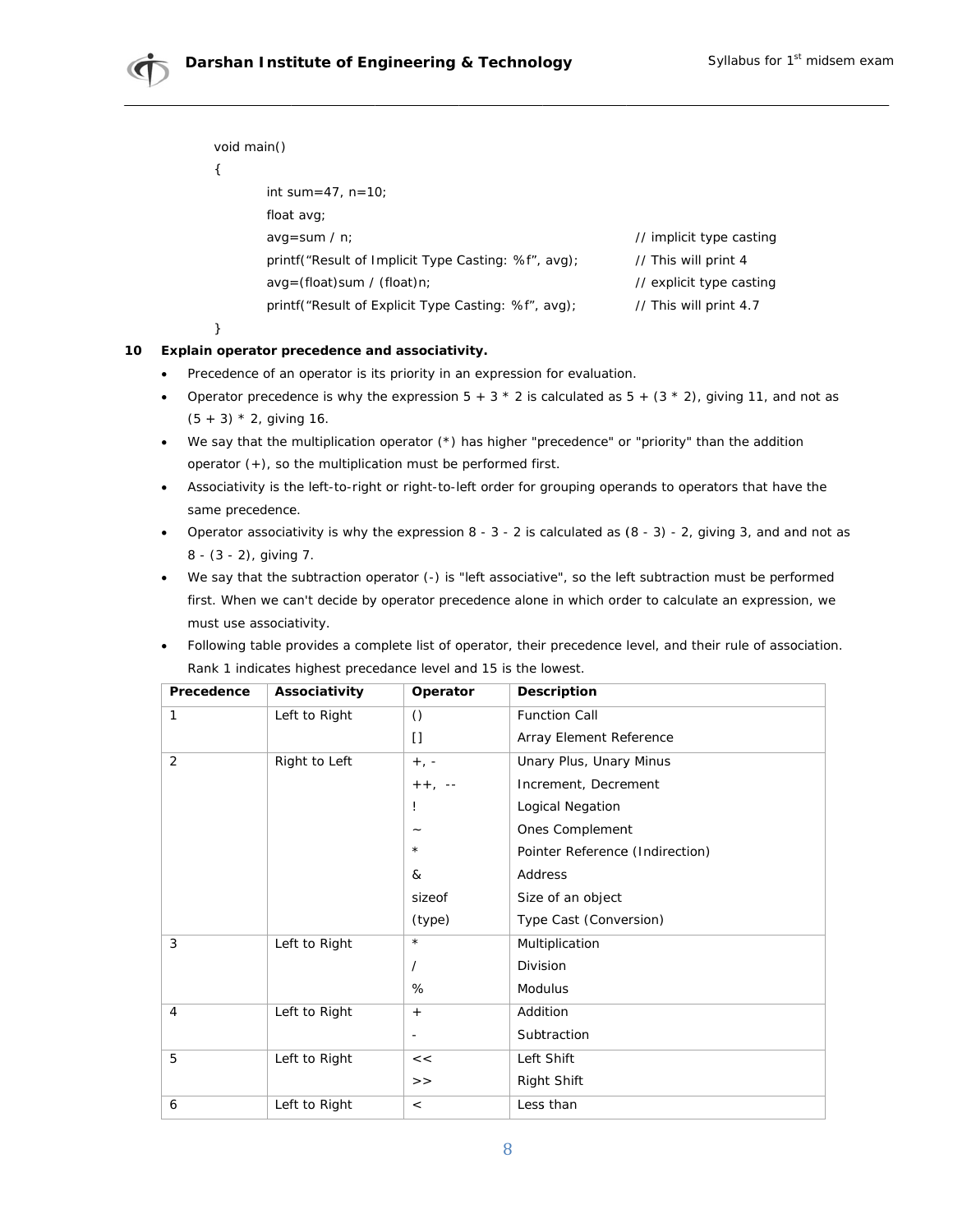void main()

 $\{$ 

| int sum=47, $n=10$ ;                                |                          |
|-----------------------------------------------------|--------------------------|
| float avg;                                          |                          |
| avg=sum $/ n$ ;                                     | // implicit type casting |
| printf("Result of Implicit Type Casting: %f", avg); | // This will print 4     |
| $avg = (float)sum / (float)n;$                      | // explicit type casting |
| printf("Result of Explicit Type Casting: %f", avg); | // This will print 4.7   |

 $\mathcal{E}$ 

## 10 Explain operator precedence and associativity.

- $\bullet$ Precedence of an operator is its priority in an expression for evaluation.
- Operator precedence is why the expression  $5 + 3 * 2$  is calculated as  $5 + (3 * 2)$ , giving 11, and not as  $\bullet$  $(5 + 3) * 2$ , giving 16.
- We say that the multiplication operator  $(*)$  has higher "precedence" or "priority" than the addition operator  $(+)$ , so the multiplication must be performed first.
- Associativity is the left-to-right or right-to-left order for grouping operands to operators that have the same precedence.
- Operator associativity is why the expression  $8 3 2$  is calculated as  $(8 3) 2$ , giving 3, and and not as 8 - (3 - 2), giving 7.
- We say that the subtraction operator (-) is "left associative", so the left subtraction must be performed first. When we can't decide by operator precedence alone in which order to calculate an expression, we must use associativity.
- Following table provides a complete list of operator, their precedence level, and their rule of association.  $\bullet$  . Rank 1 indicates highest precedance level and 15 is the lowest.

| Precedence | Associativity | Operator                 | <b>Description</b>              |
|------------|---------------|--------------------------|---------------------------------|
| 1          | Left to Right | $\circ$                  | <b>Function Call</b>            |
|            |               | $\mathbf{I}$             | Array Element Reference         |
| 2          | Right to Left | $+$ , -                  | Unary Plus, Unary Minus         |
|            |               | $++ , --$                | Increment, Decrement            |
|            |               | Ţ                        | Logical Negation                |
|            |               | $\overline{\phantom{0}}$ | Ones Complement                 |
|            |               | $\star$                  | Pointer Reference (Indirection) |
|            |               | &                        | Address                         |
|            |               | sizeof                   | Size of an object               |
|            |               | (type)                   | Type Cast (Conversion)          |
| 3          | Left to Right | $\star$                  | Multiplication                  |
|            |               | $\prime$                 | Division                        |
|            |               | %                        | <b>Modulus</b>                  |
| 4          | Left to Right | $+$                      | Addition                        |
|            |               | $\overline{\phantom{a}}$ | Subtraction                     |
| 5          | Left to Right | <<                       | Left Shift                      |
|            |               | >                        | Right Shift                     |
| 6          | Left to Right | $\,<$                    | Less than                       |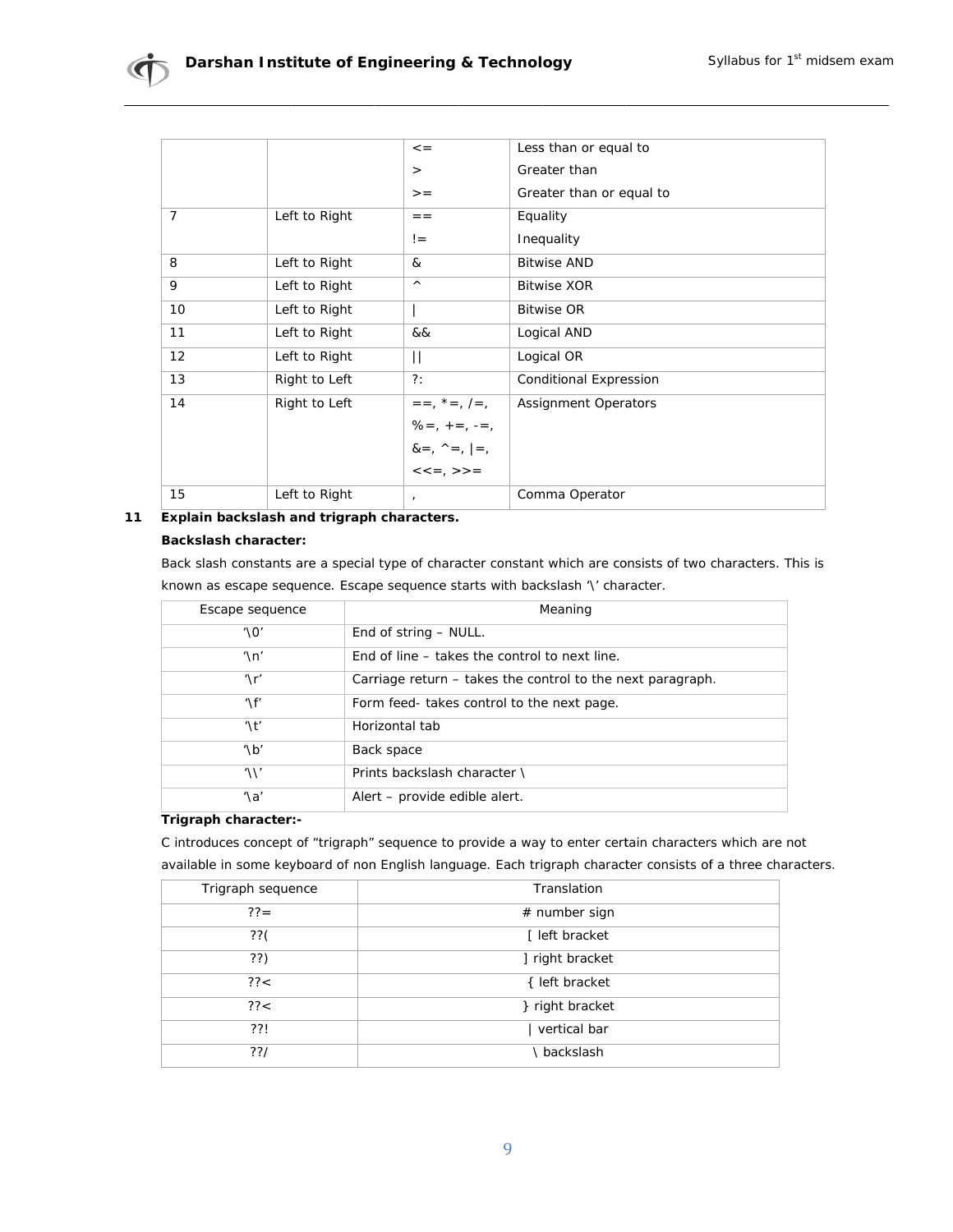|    |               | $\lt$ =                        | Less than or equal to         |
|----|---------------|--------------------------------|-------------------------------|
|    |               | $\geq$                         | Greater than                  |
|    |               | $>$ $=$                        | Greater than or equal to      |
| 7  | Left to Right | $=$ $=$                        | Equality                      |
|    |               | $!=$                           | Inequality                    |
| 8  | Left to Right | &                              | <b>Bitwise AND</b>            |
| 9  | Left to Right | $\wedge$                       | <b>Bitwise XOR</b>            |
| 10 | Left to Right |                                | <b>Bitwise OR</b>             |
| 11 | Left to Right | &&                             | Logical AND                   |
| 12 | Left to Right | Н                              | Logical OR                    |
| 13 | Right to Left | $?$ :                          | <b>Conditional Expression</b> |
| 14 | Right to Left | $=-, * =, / =,$                | <b>Assignment Operators</b>   |
|    |               | $\% = , + = , - = ,$           |                               |
|    |               | $8 = 7$ , $\wedge = 7$ , $= 7$ |                               |
|    |               | $<<=$ , >>=                    |                               |
| 15 | Left to Right |                                | Comma Operator                |

### 11 Explain backslash and trigraph characters.

### **Backslash character:**

Back slash constants are a special type of character constant which are consists of two characters. This is known as escape sequence. Escape sequence starts with backslash '\' character.

| Escape sequence          | Meaning                                                    |
|--------------------------|------------------------------------------------------------|
| $' \Omega'$              | End of string – NULL.                                      |
| $^{\prime}$ \n'          | End of line – takes the control to next line.              |
| $\Lambda$ r'             | Carriage return – takes the control to the next paragraph. |
| $\Lambda$ f'             | Form feed-takes control to the next page.                  |
| $\prime$ \t <sup>'</sup> | Horizontal tab                                             |
| $\sqrt{b'}$              | Back space                                                 |
| '\\'                     | Prints backslash character \                               |
| $'\lambda a'$            | Alert - provide edible alert.                              |

## Trigraph character:-

C introduces concept of "trigraph" sequence to provide a way to enter certain characters which are not available in some keyboard of non English language. Each trigraph character consists of a three characters.

| Trigraph sequence | Translation     |
|-------------------|-----------------|
| $?? =$            | # number sign   |
| $??$ (            | [ left bracket  |
| ??)               | ] right bracket |
| ??<               | { left bracket  |
| ?? <              | } right bracket |
| ??!               | vertical bar    |
| ??/               | backslash       |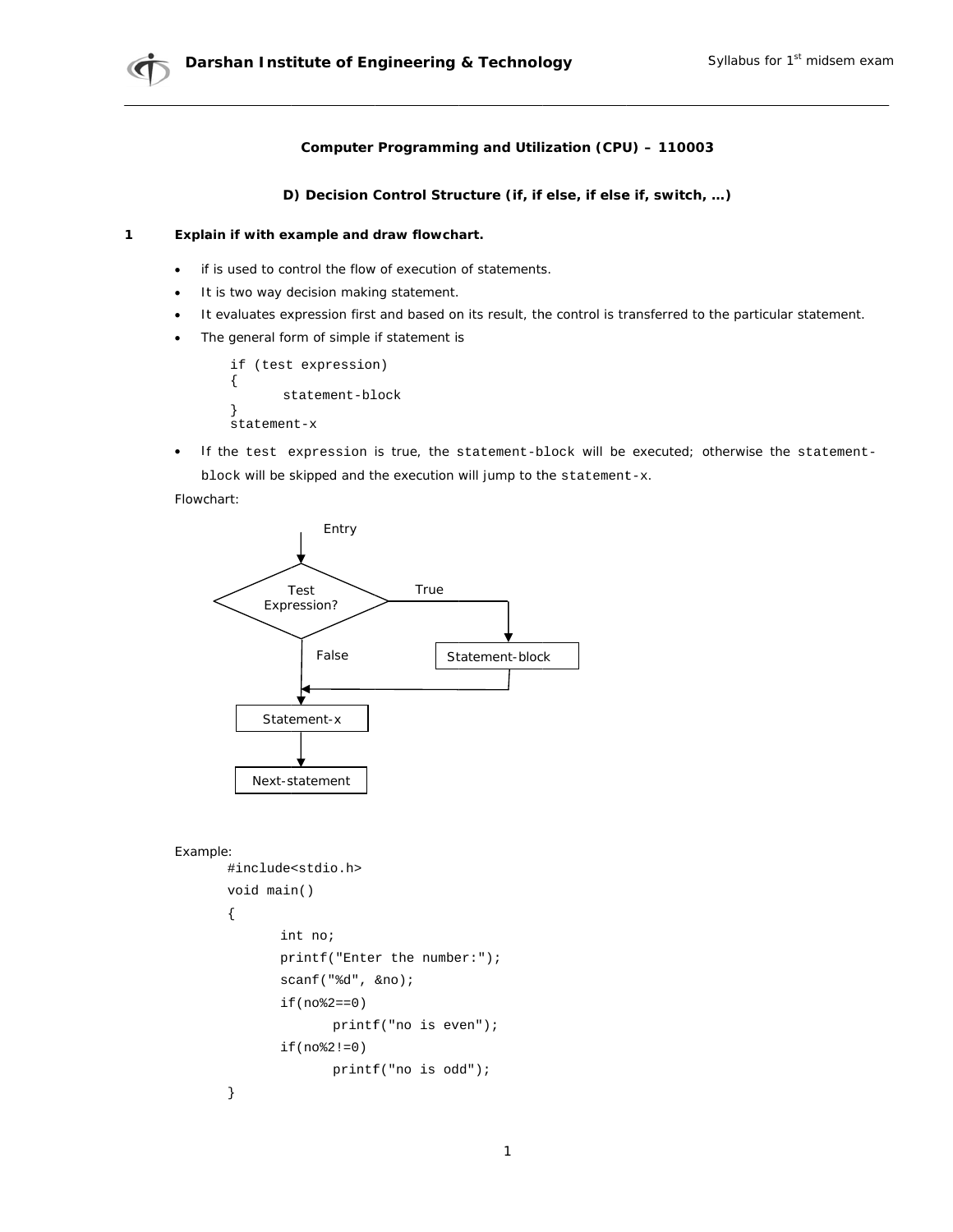## Computer Programming and Utilization (CPU) - 110003

D) Decision Control Structure (if, if else, if else if, switch, ...)

#### $\mathbf{1}$ Explain if with example and draw flowchart.

- if is used to control the flow of execution of statements.  $\bullet$
- It is two way decision making statement.  $\bullet$
- It evaluates expression first and based on its result, the control is transferred to the particular statement.  $\bullet$
- The general form of simple if statement is  $\bullet$

if (test expression)  $\{$ statement-block ľ statement-x

If the test expression is true, the statement-block will be executed; otherwise the statement- $\bullet$ block will be skipped and the execution will jump to the statement-x.

### Flowchart:



```
Example:
```

```
#include<stdio.h>
void main()
\{int no;
       print(f("Enter the number:");scanf("%d", &no);
       if(no*2 == 0)printf("no is even");if(no§2!=0)print(f("no is odd");\}
```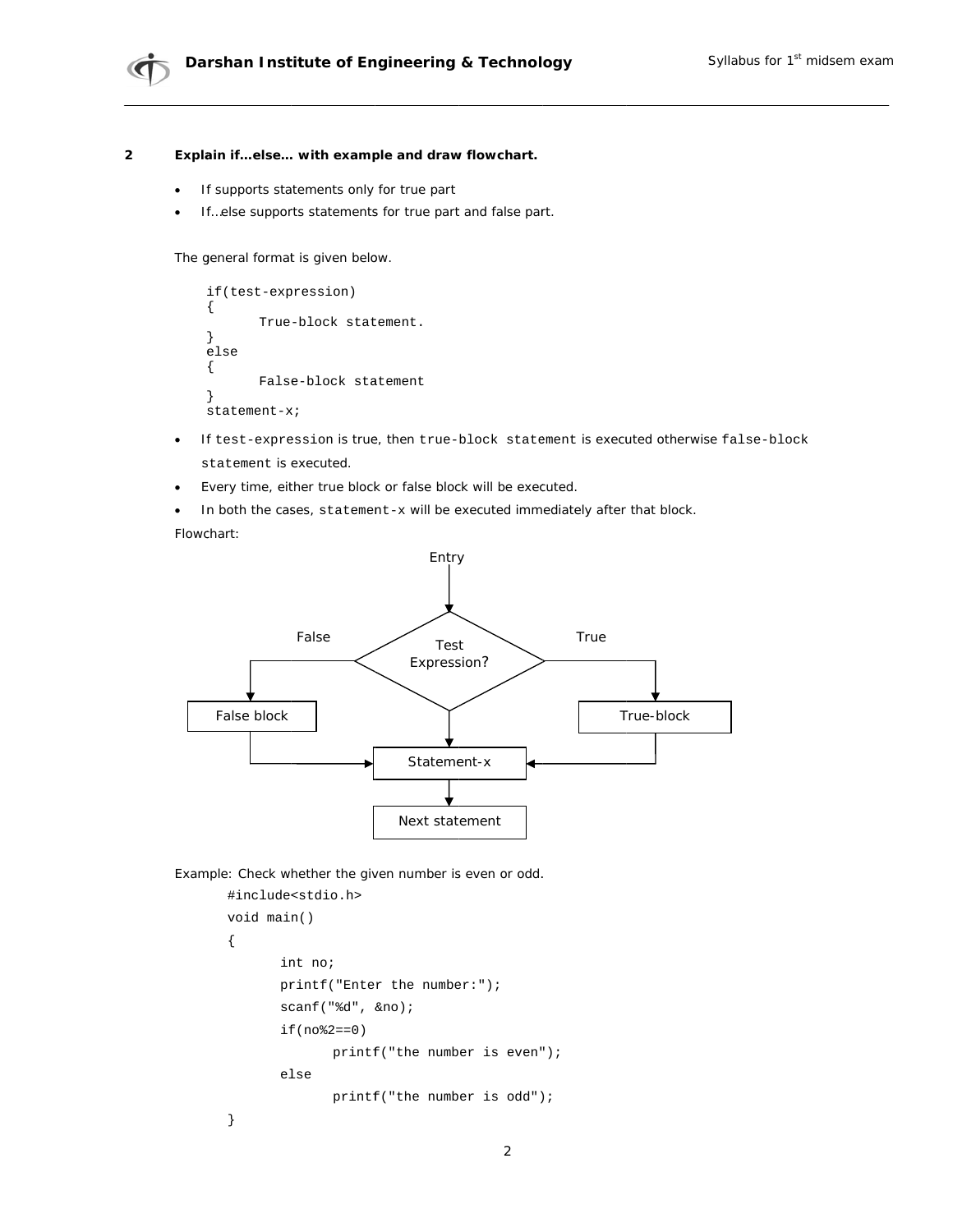#### $\overline{2}$ Explain if...else... with example and draw flowchart.

- If supports statements only for true part
- If...else supports statements for true part and false part.

The general format is given below.

```
if(test-expression)
\{True-block statement.
else
\{False-block statement
statement - x;
```
- If test-expression is true, then true-block statement is executed otherwise false-block  $\bullet$ statement is executed.
- Every time, either true block or false block will be executed.  $\blacksquare$
- In both the cases, statement-x will be executed immediately after that block.

Flowchart:



Example: Check whether the given number is even or odd.

```
#include<stdio.h>
void main()
\{int no;
       printf("Enter the number:");
       scanf("d", \&no);if (no*2 == 0)\text{printf}(\text{"the number is even");}else
               printf("the number is odd");
\}
```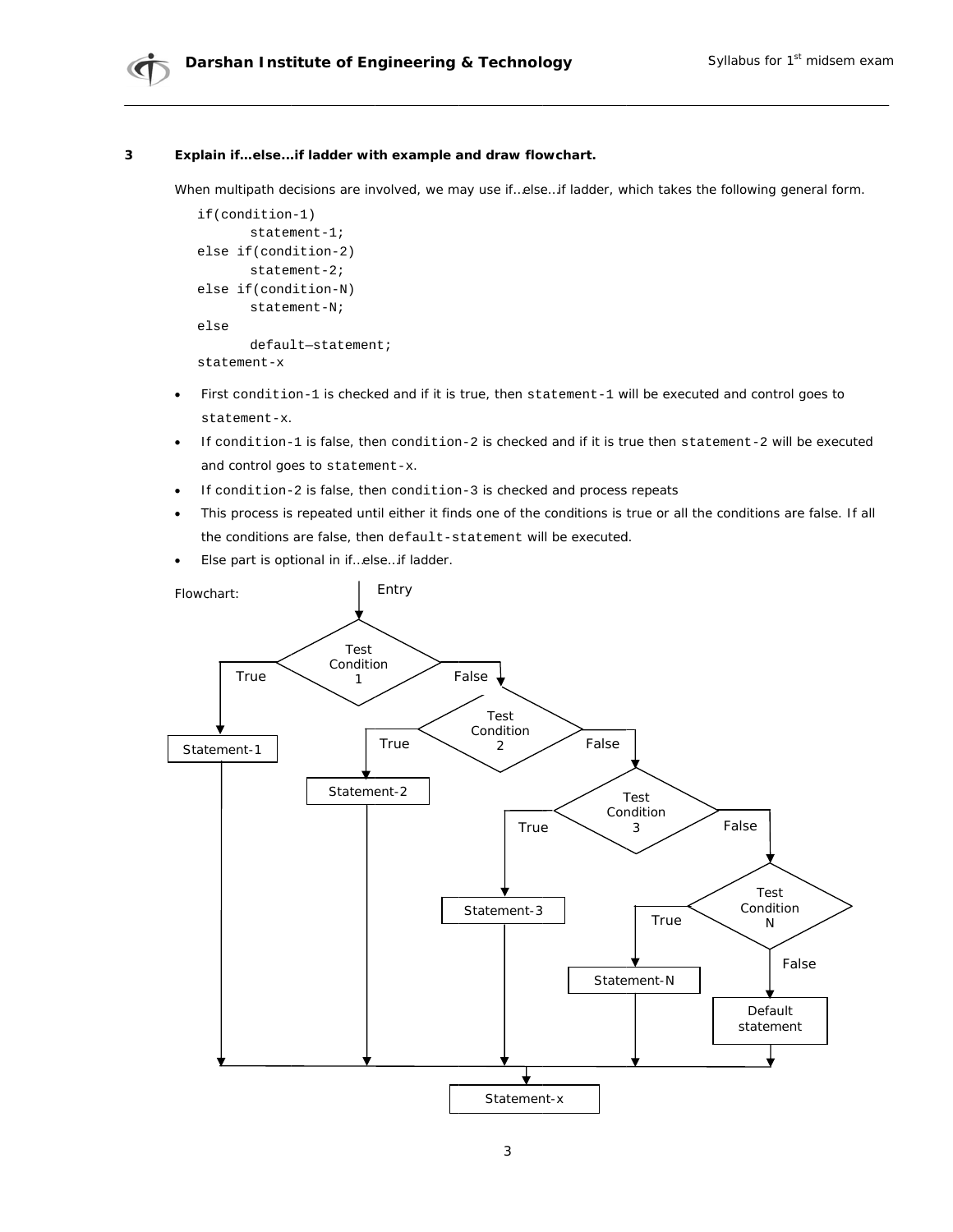

#### $\overline{\mathbf{3}}$ Explain if...else...if ladder with example and draw flowchart.

When multipath decisions are involved, we may use if...else...if ladder, which takes the following general form.

```
if(condition-1)
      statement-1;
else if(condition-2)
       statement - 2;else if(condition-N)
       statement-Nielse
      default-statement;
statement-x
```
- First condition-1 is checked and if it is true, then statement-1 will be executed and control goes to  $\bullet$ statement-x.
- If condition-1 is false, then condition-2 is checked and if it is true then statement-2 will be executed  $\bullet$ and control goes to statement-x.
- If condition-2 is false, then condition-3 is checked and process repeats
- This process is repeated until either it finds one of the conditions is true or all the conditions are false. If all  $\bullet$ the conditions are false, then default-statement will be executed.
- Else part is optional in if...else...if ladder.  $\bullet$

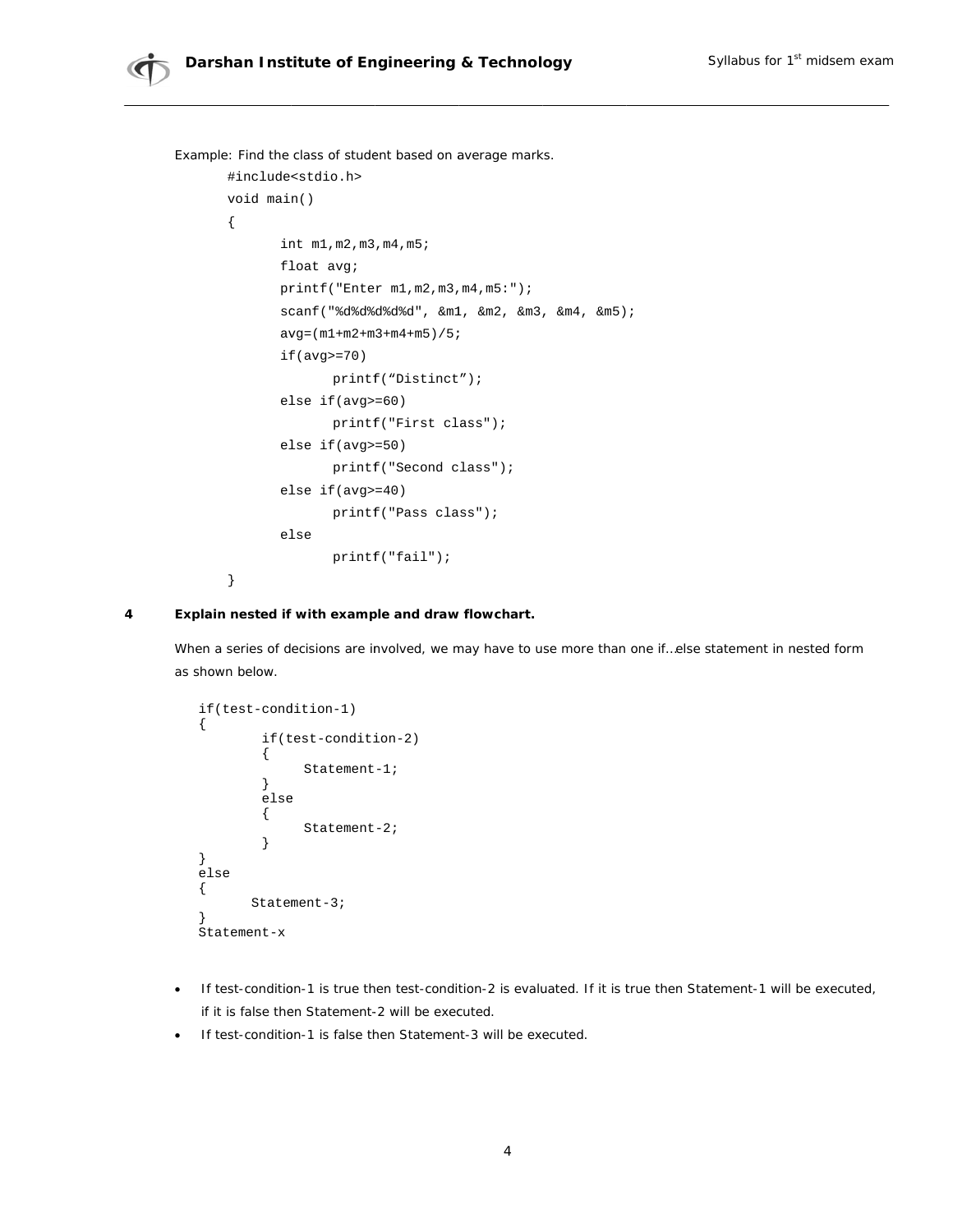Example: Find the class of student based on average marks. #include<stdio.h> void main()  $\{$ int m1, m2, m3, m4, m5; float avg;  $printf("Enter ml, m2, m3, m4, m5:");$ scanf ("%d%d%d%d%d", &m1, &m2, &m3, &m4, &m5);  $avg = (m1 + m2 + m3 + m4 + m5) / 5;$  $if (avg>=70)$ printf("Distinct");  $else if (avg>=60)$ printf("First class");  $else if (avg>=50)$ printf("Second class");  $else if (avg>=40)$ printf("Pass class"); else  $printf("fail");$  $\}$ 

#### Explain nested if with example and draw flowchart. 4

When a series of decisions are involved, we may have to use more than one if...else statement in nested form as shown below.

```
if(test-condition-1)
\{if(test-condition-2)
          \{Statement-1;
          \left\{ \right\}else
          \{Statement-2;
          \mathcal{E}\}else
\{Statement-3;
ŋ
Statement-x
```
- If test-condition-1 is true then test-condition-2 is evaluated. If it is true then Statement-1 will be executed, if it is false then Statement-2 will be executed.
- If test-condition-1 is false then Statement-3 will be executed.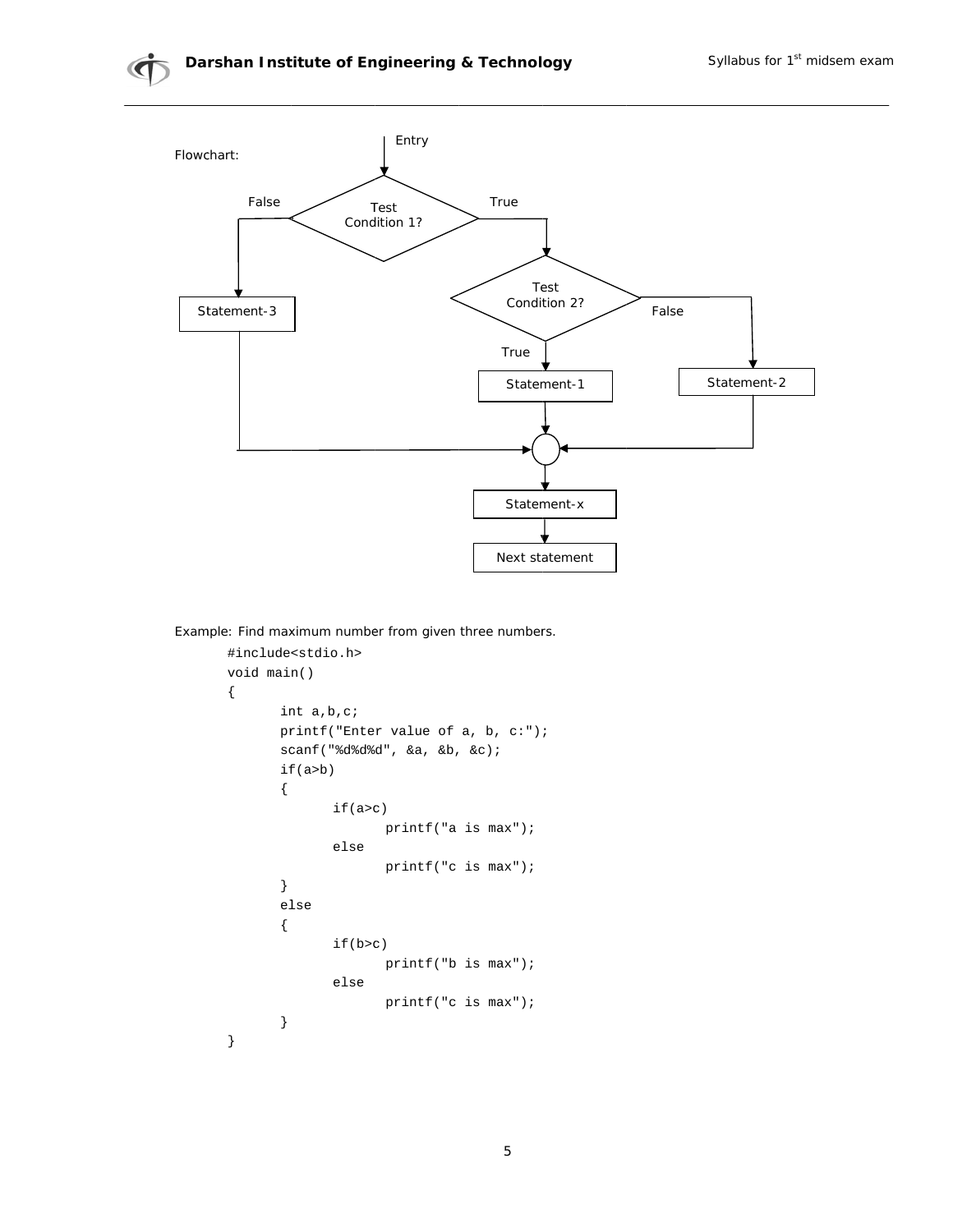

Example: Find maximum number from given three numbers.

```
#include<stdio.h>
void main()
\{int a, b, c;
       printf("Enter value of a, b, c:");
       scanf("adêdêd", & a, & b, & c);if(a>b)\{if(a>c)printf("a is max");
              elseprintf("c is max");
       \}{\tt else}\{if(b>c)printf("b is max");
              elseprintf("c is max");
       \}\}
```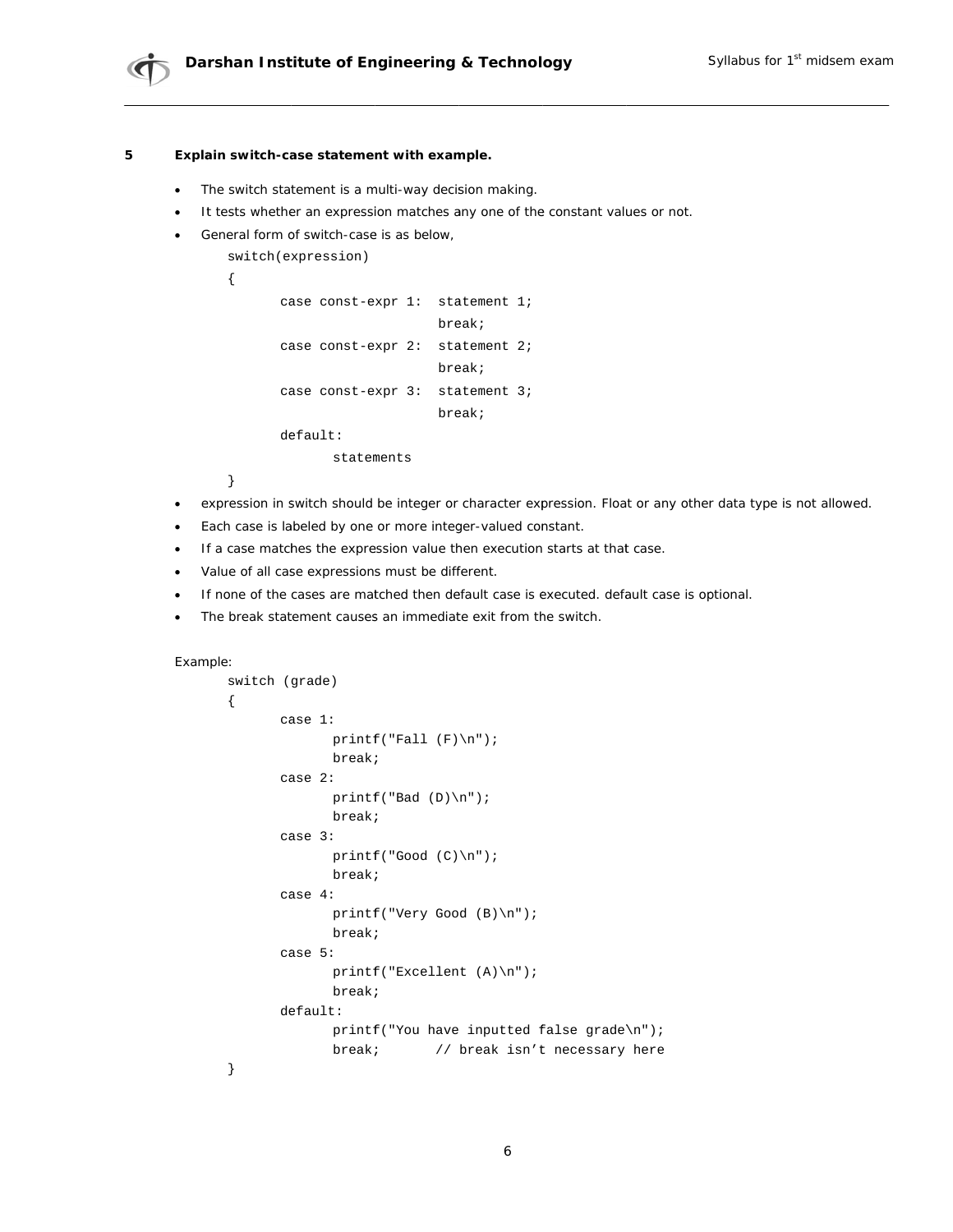#### Explain switch-case statement with example. 5

- The switch statement is a multi-way decision making.  $\bullet$
- It tests whether an expression matches any one of the constant values or not.  $\bullet$
- General form of switch-case is as below,

```
switch(expression)
```

```
\{
```

```
case const-expr 1: statement 1;
                    break;
case const-expr 2: statement 2;
                   break;
case const-expr 3: statement 3;
                   break;
default:
```
statements

 $\}$ 

- expression in switch should be integer or character expression. Float or any other data type is not allowed.  $\bullet$
- Each case is labeled by one or more integer-valued constant.  $\bullet$
- If a case matches the expression value then execution starts at that case.  $\bullet$
- Value of all case expressions must be different.
- If none of the cases are matched then default case is executed. default case is optional.
- The break statement causes an immediate exit from the switch.  $\bullet$

```
Example:
```

```
switch (grade)
\{case 1:printf("Fall (F)\n\n'');
             break;
      case 2:
             printf("Bad (D)\n\|');
             break;
      case 3:printf("Good (C)\n\|');
             break;
      case 4:
             printf("Very Good (B)\n\n\break;
      case 5:printf("Excellent (A)\n\n'\nbreak;
      default:
             printf("You have inputted false grade\n");
             break; // break isn't necessary here
\}
```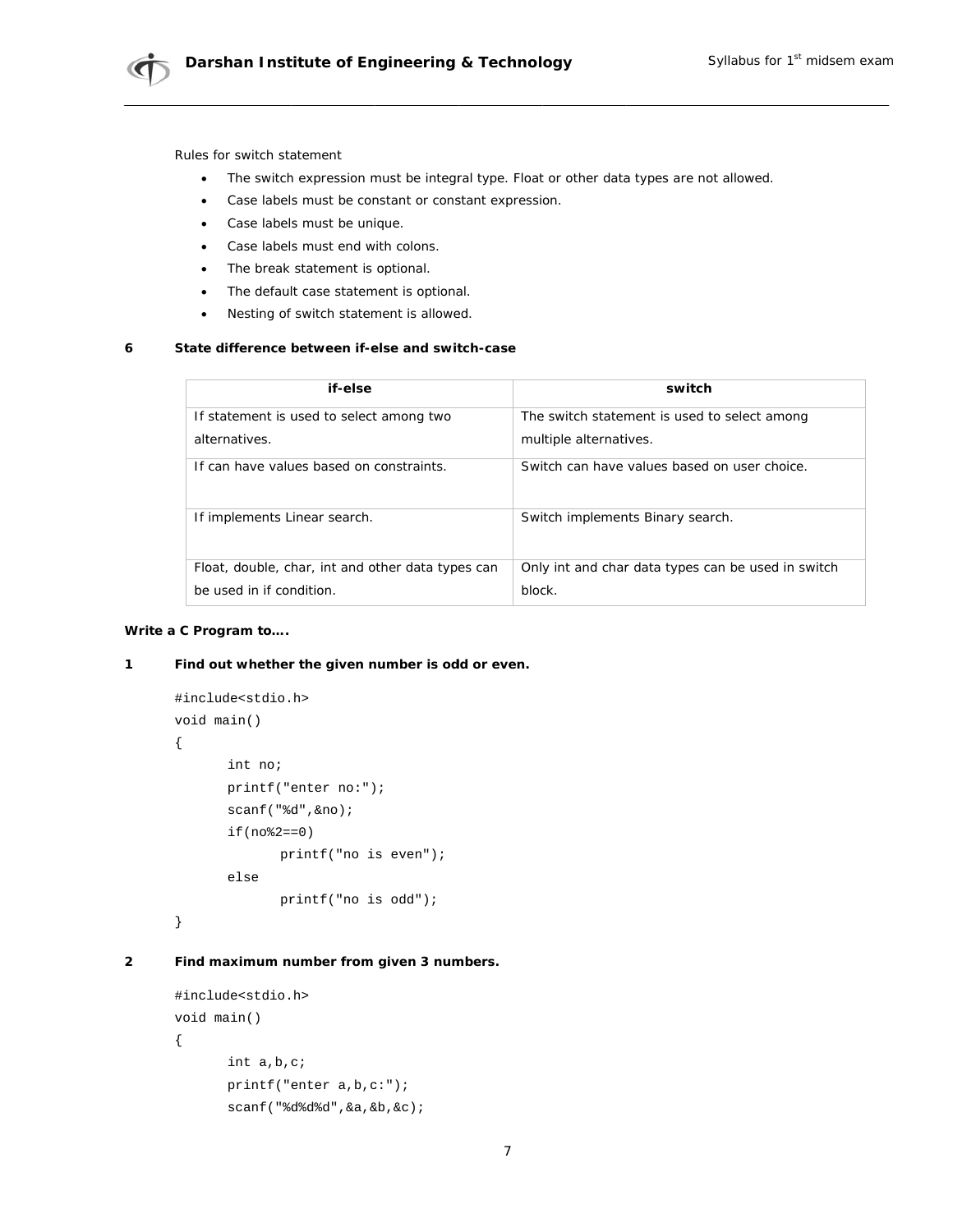

Rules for switch statement

- $\bullet$ The switch expression must be integral type. Float or other data types are not allowed.
- Case labels must be constant or constant expression.  $\bullet$
- Case labels must be unique.  $\bullet$
- Case labels must end with colons.
- The break statement is optional.  $\bullet$
- The default case statement is optional.  $\bullet$
- Nesting of switch statement is allowed.  $\bullet$

#### State difference between if-else and switch-case  $\boldsymbol{6}$

| if-else                                           | switch                                                    |
|---------------------------------------------------|-----------------------------------------------------------|
| If statement is used to select among two          | The <i>switch</i> statement is used to select among       |
| alternatives.                                     | multiple alternatives.                                    |
| If can have values based on constraints.          | Switch can have values based on user choice.              |
| If implements Linear search.                      | Switch implements Binary search.                          |
| Float, double, char, int and other data types can | Only int and char data types can be used in <i>switch</i> |
| be used in <i>if</i> condition.                   | block.                                                    |

## Write a C Program to....

#### $\mathbf 1$ Find out whether the given number is odd or even.

```
#include<stdio.h>
void main()
\{int no;
      printf("enter no:");
      scanf("%d", &no);
      if(no*2 == 0)printf("no is even");
      else
             printf("no is odd");
\}
```
#### $\overline{2}$ Find maximum number from given 3 numbers.

```
#include<stdio.h>
void main()
\{int a,b,c;
      printf("enter a,b,c;");scanf("%d%d%d", &a, &b, &c);
```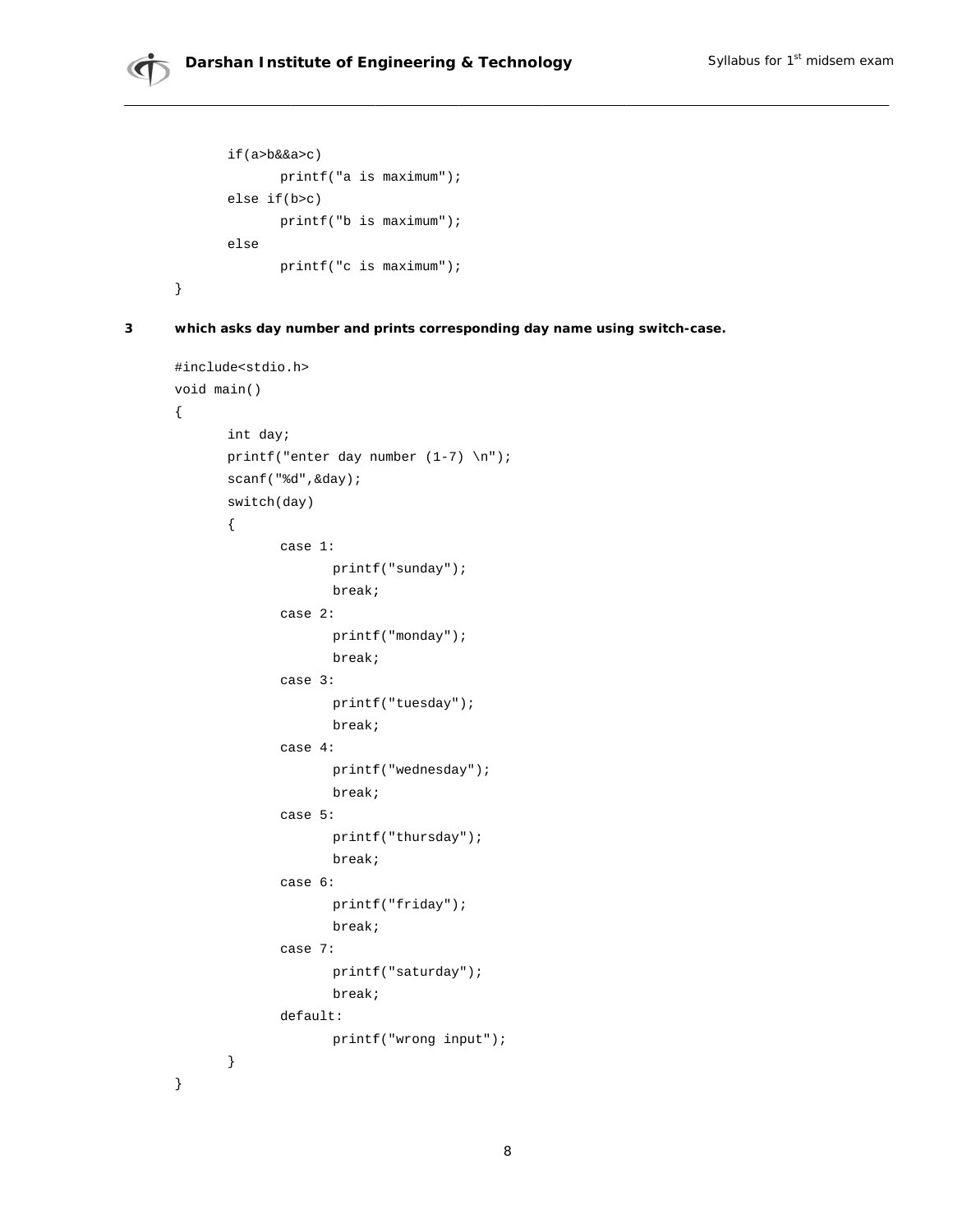```
if(a>b&&a
a>c) 
printf("a is maximum");
else if(b
b>c) 
printf("b is maximum");
else 
printf("c is maximum");
                             ;<br>;<br>;
```
}

**3 whic h asks day n number and p prints corres sponding day y name using switch-cas e.** 

```
#incl
lude<stdio.
h> 
void 
main() 
{ 
}
       int day; 
        printf("enter day number (1-7) \n");
        scanf("%d
d",&day); 
        switch(da
ay) 
       { 
         ca
ase 1: 
         ca
ase 2: 
         ca
ase 3: 
         ca
ase 4: 
         ca
ase 5: 
         ca
ase 6: 
         ca
ase 7: 
        default:
       } 
                       printf
f("sunday")
; 
                       break;
                       break;<br>printf("monday");
                       break;
                       break;<br>printf("tuesday");
                       break;
                       break;<br>printf("wednesday");
                       break;
                       break;<br>printf("thursday");
                       break;
                       break;<br>printf("friday");
                       break;
                       break;<br>printf("saturday");
                       break;
                       break;<br>::<br>printf("wrong input");
```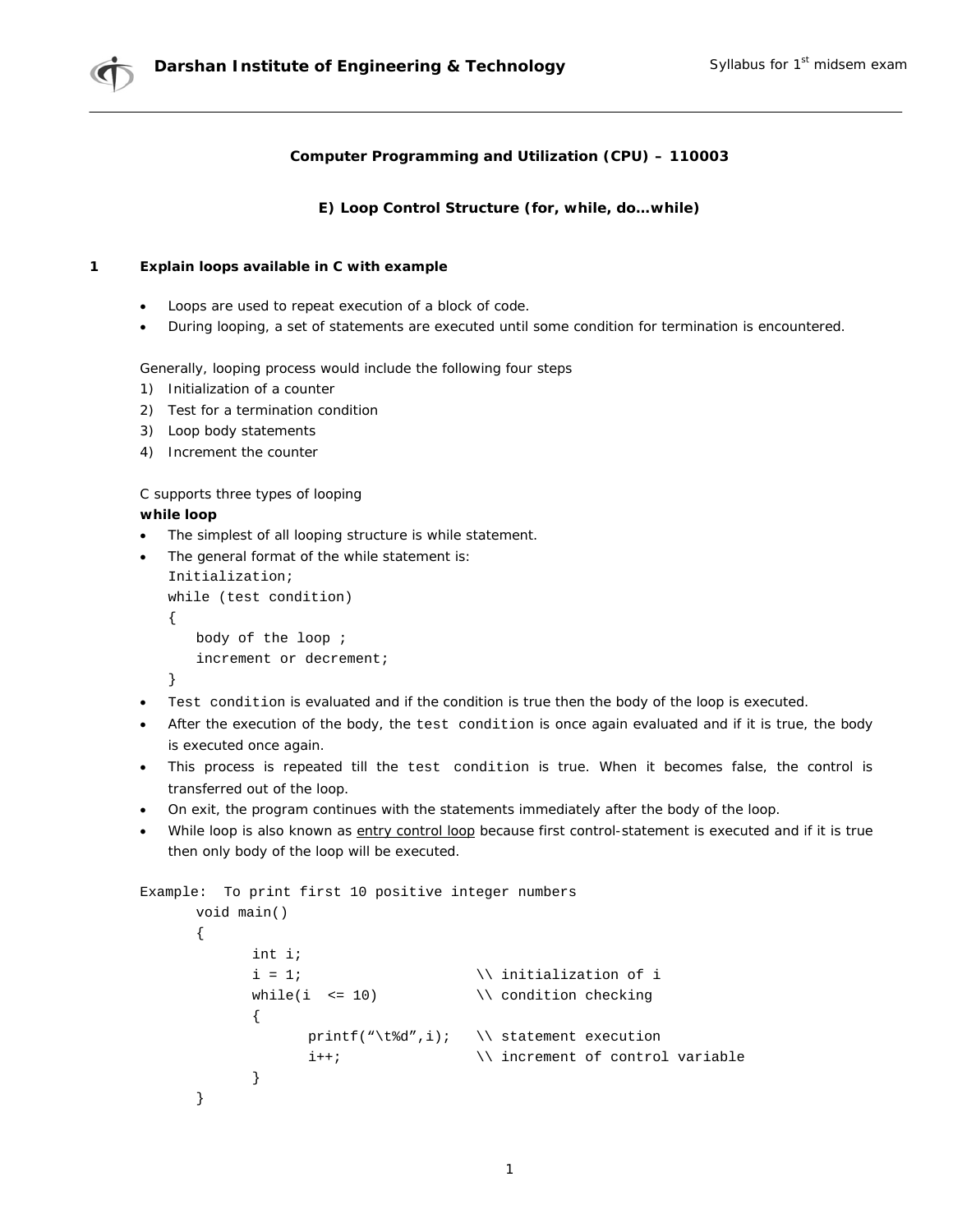

## **Computer Programming and Utilization (CPU) – 110003**

## **E) Loop Control Structure (for, while, do…while)**

## **1 Explain loops available in C with example**

- Loops are used to repeat execution of a block of code.
- During looping, a set of statements are executed until some condition for termination is encountered.

Generally, looping process would include the following four steps

- 1) Initialization of a counter
- 2) Test for a termination condition
- 3) Loop body statements
- 4) Increment the counter

C supports three types of looping

## **while loop**

• The simplest of all looping structure is while statement.

```
• The general format of the while statement is: 
   Initialization; 
   while (test condition) 
   { 
        body of the loop ; 
        increment or decrement; 
   }
```
- Test condition is evaluated and if the condition is true then the body of the loop is executed.
- After the execution of the body, the test condition is once again evaluated and if it is true, the body is executed once again.
- This process is repeated till the test condition is true. When it becomes false, the control is transferred out of the loop.
- On exit, the program continues with the statements immediately after the body of the loop.
- While loop is also known as entry control loop because first control-statement is executed and if it is true then only body of the loop will be executed.

```
Example: To print first 10 positive integer numbers 
      void main() 
      { 
             int i; 
             i = 1; \in \in initialization of i
             while(i <= 10) \setminus \mathcal{S} condition checking
             { 
                   printf("\t%d",i); \\ statement execution 
                   i++; \setminus \text{increment of control variable}} 
      }
```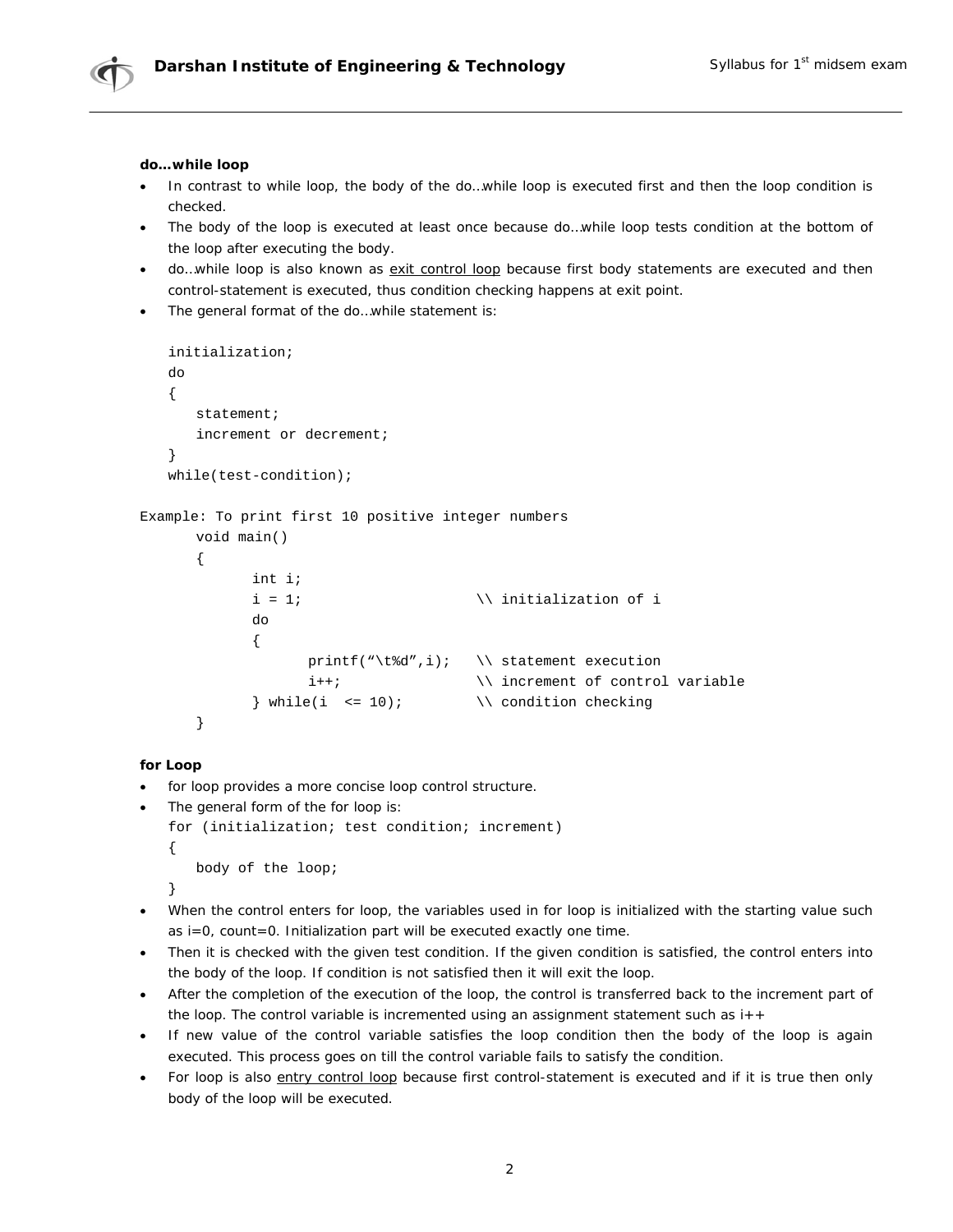

## **do…while loop**

- In contrast to while loop, the body of the do…while loop is executed first and then the loop condition is checked.
- The body of the loop is executed at least once because do...while loop tests condition at the bottom of the loop after executing the body.
- do...while loop is also known as exit control loop because first body statements are executed and then control-statement is executed, thus condition checking happens at exit point.
- The general format of the do...while statement is:

```
initialization; 
   do 
    { 
        statement; 
        increment or decrement; 
    } 
   while(test-condition); 
Example: To print first 10 positive integer numbers 
       void main() 
        { 
                int i; 
                i = 1; \langle initialization of i
                do 
                { 
                        printf("\t%d",i); \\ statement execution
                        i++; \qquad \qquad \qquad \qquad \setminus \qquad \qquad \text{increment of control variable}\} while(i <= 10); \qquad \qquad \qquad \qquad \qquad condition checking
        }
```
### **for Loop**

• *for* loop provides a more concise loop control structure.

```
The general form of the for loop is:
for (initialization; test condition; increment) 
{ 
    body of the loop;
```
- }
- When the control enters for loop, the variables used in for loop is initialized with the starting value such as i=0, count=0. Initialization part will be executed exactly one time.
- Then it is checked with the given test condition. If the given condition is satisfied, the control enters into the body of the loop. If condition is not satisfied then it will exit the loop.
- After the completion of the execution of the loop, the control is transferred back to the increment part of the loop. The control variable is incremented using an assignment statement such as  $i++$
- If new value of the control variable satisfies the loop condition then the body of the loop is again executed. This process goes on till the control variable fails to satisfy the condition.
- For loop is also entry control loop because first control-statement is executed and if it is true then only body of the loop will be executed.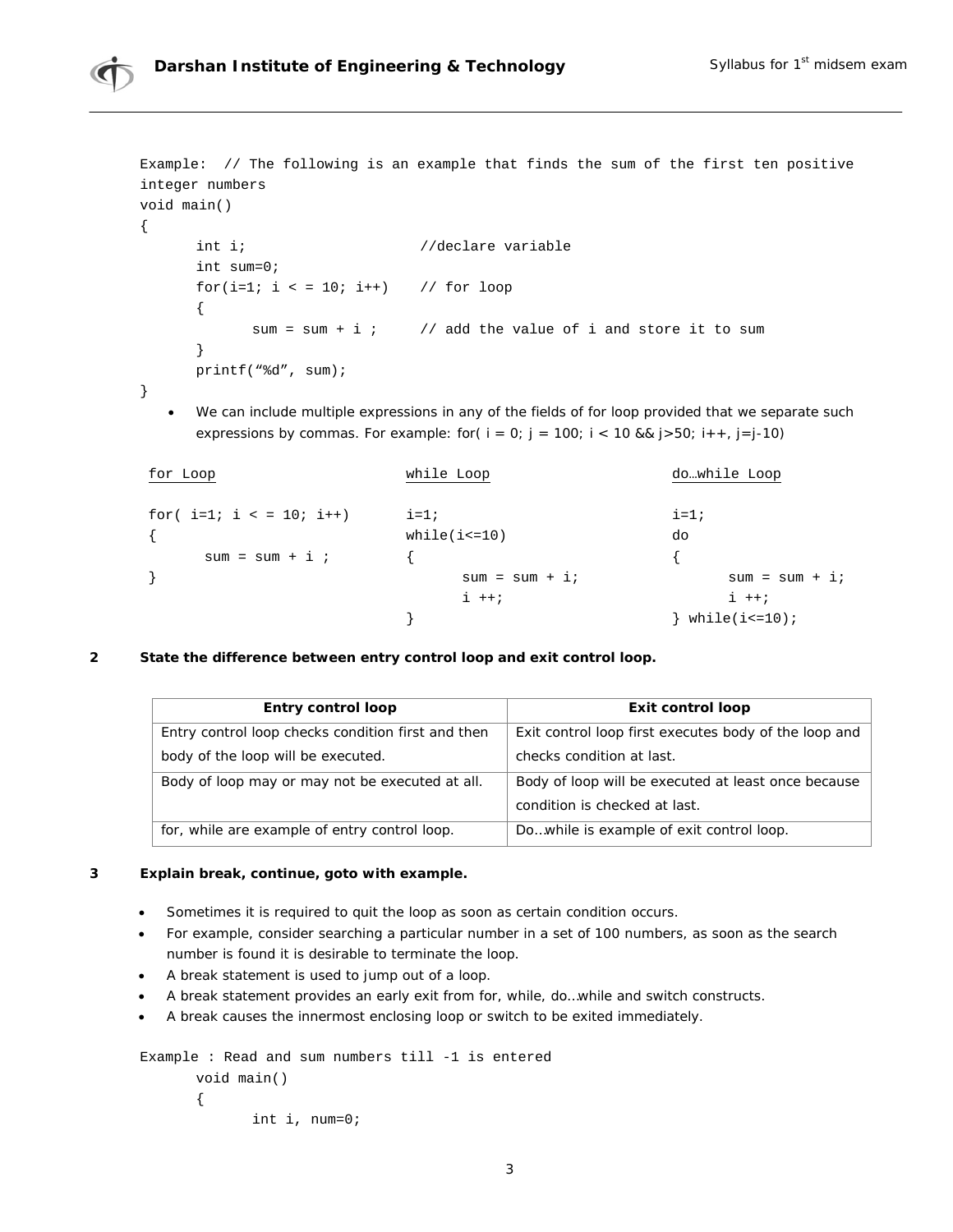

Example: // The following is an example that finds the sum of the first ten positive integer numbers void main()

```
int i; //\text{ declare variable} int sum=0; 
for(i=1; i \le 10; i++) // for loop
 { 
      sum = sum + i ; // add the value of i and store it to sum
 } 
 printf("%d", sum);
```
}

{

• We can include multiple expressions in any of the fields of for loop provided that we separate such expressions by commas. For example: for(  $i = 0$ ;  $j = 100$ ;  $i < 10$  &&  $j > 50$ ;  $i + +$ ,  $j = j - 10$ )

| for Loop                       | while Loop      | dowhile Loop       |
|--------------------------------|-----------------|--------------------|
| for( $i=1$ ; $i < 10$ ; $i++)$ | $i=1;$          | $i=1;$             |
|                                | $while(i=10)$   | do                 |
| $sum = sum + i$                |                 |                    |
|                                | $sum = sum + i$ | $sum = sum + i$    |
|                                | $i + j$         | $i + j$            |
|                                |                 | while( $i$ <= 10); |

**2 State the difference between entry control loop and exit control loop.**

| Entry control loop                                 | Exit control loop                                     |
|----------------------------------------------------|-------------------------------------------------------|
| Entry control loop checks condition first and then | Exit control loop first executes body of the loop and |
| body of the loop will be executed.                 | checks condition at last.                             |
| Body of loop may or may not be executed at all.    | Body of loop will be executed at least once because   |
|                                                    | condition is checked at last.                         |
| for, while are example of entry control loop.      | Dowhile is example of exit control loop.              |

## **3 Explain break, continue, goto with example.**

- Sometimes it is required to quit the loop as soon as certain condition occurs.
- For example, consider searching a particular number in a set of 100 numbers, as soon as the search number is found it is desirable to terminate the loop.
- A *break* statement is used to jump out of a loop.
- A *break* statement provides an early exit from for, while, do…while and switch constructs.
- A *break* causes the innermost enclosing loop or switch to be exited immediately.

```
Example : Read and sum numbers till -1 is entered 
       void main() 
       { 
               int i, num=0;
```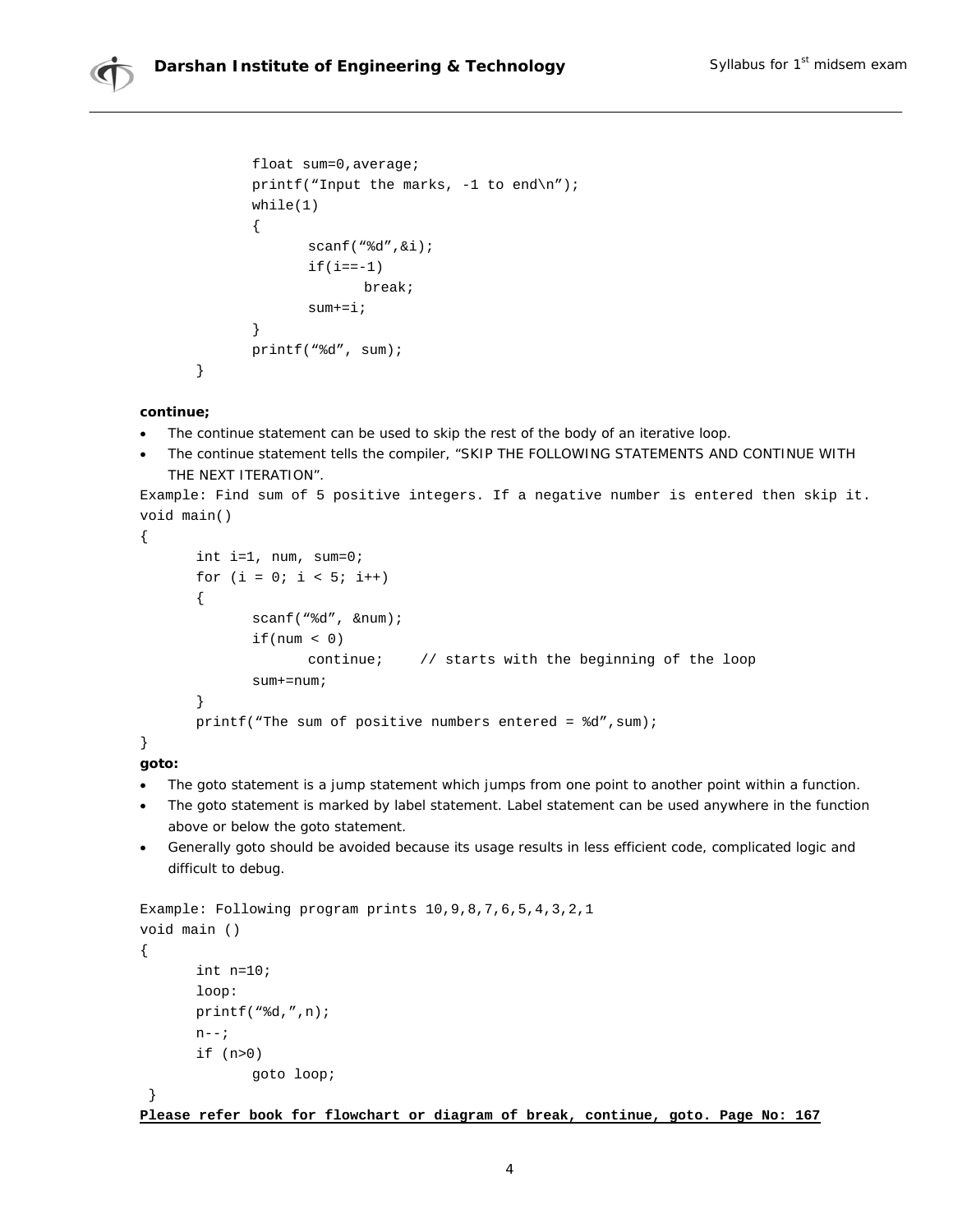



```
 float sum=0,average; 
printf("Input the marks, -1 to end\n\ln");
 while(1) 
 { 
         scanf("%d",&i); 
        if(i == -1) break; 
         sum+=i; 
 } 
 printf("%d", sum);
```
## **continue;**

}

- The *continue* statement can be used to skip the rest of the body of an iterative loop.
- The *continue* statement tells the compiler, "SKIP THE FOLLOWING STATEMENTS AND CONTINUE WITH THE NEXT ITERATION".

```
Example: Find sum of 5 positive integers. If a negative number is entered then skip it. 
void main()
```

```
{ 
       int i=1, num, sum=0; 
      for (i = 0; i < 5; i++) { 
              scanf("%d", &num); 
             if(num < 0) continue; // starts with the beginning of the loop 
               sum+=num; 
        } 
      printf("The sum of positive numbers entered = d', sum);
```
## } **goto:**

- The *goto* statement is a jump statement which jumps from one point to another point within a function.
- The *goto* statement is marked by label statement. Label statement can be used anywhere in the function above or below the *goto* statement.
- Generally *goto* should be avoided because its usage results in less efficient code, complicated logic and difficult to debug.

```
Example: Following program prints 10,9,8,7,6,5,4,3,2,1 
void main () 
{ 
        int n=10; 
        loop: 
        printf("%d,",n); 
       n--; if (n>0) 
                goto loop;
```
}

**Please refer book for flowchart or diagram of break, continue, goto. Page No: 167**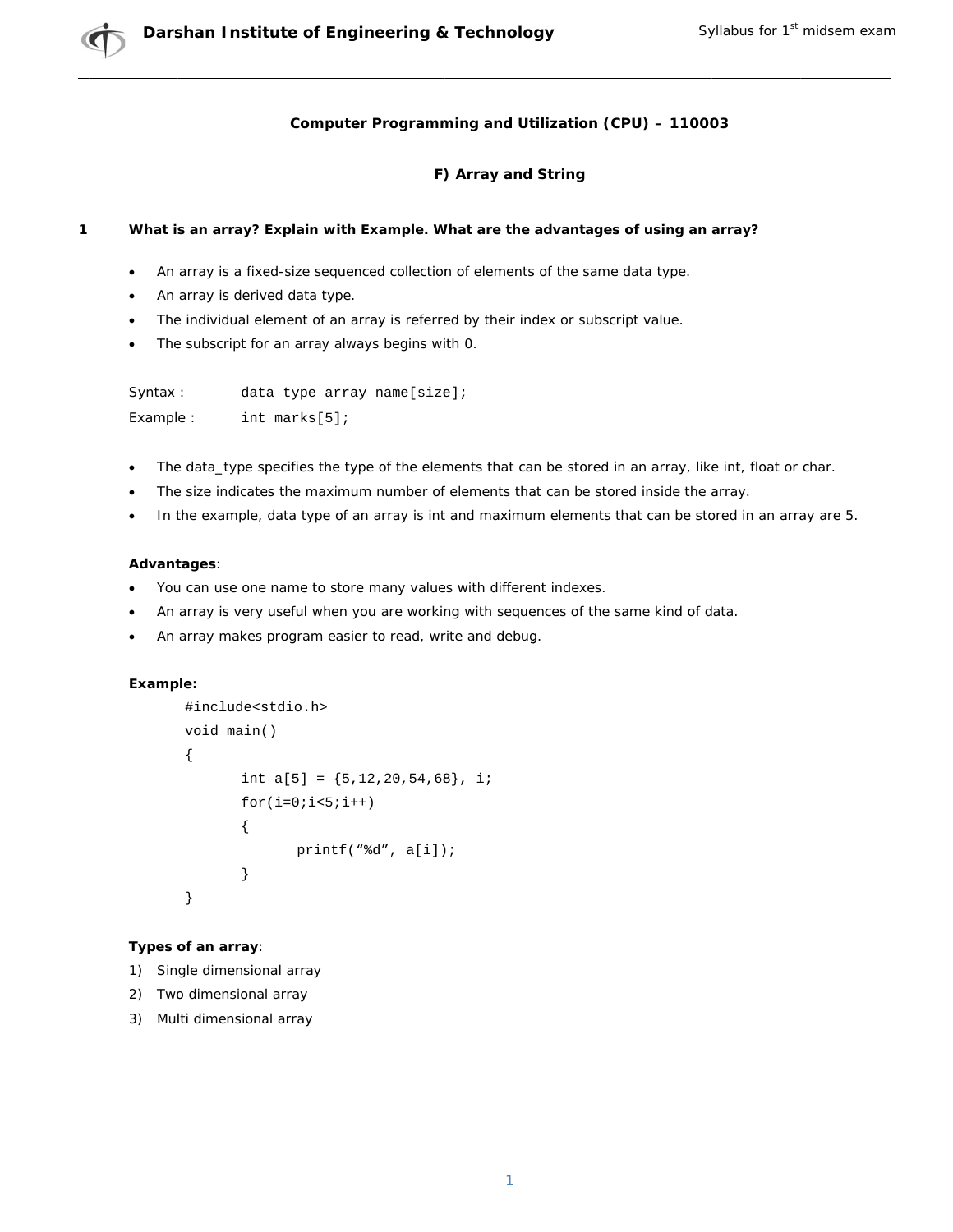## Computer Programming and Utilization (CPU) - 110003

## F) Array and String

#### $\mathbf{1}$ What is an array? Explain with Example. What are the advantages of using an array?

- An array is a fixed-size sequenced collection of elements of the same data type.
- An array is derived data type.
- The individual element of an array is referred by their index or subscript value.
- The subscript for an array always begins with 0.

| Syntax :  | data_type array_name[size]; |
|-----------|-----------------------------|
| Example : | int marks $[5]$ ;           |

- The data\_type specifies the type of the elements that can be stored in an array, like int, float or char.
- The size indicates the maximum number of elements that can be stored inside the array.
- In the example, data type of an array is int and maximum elements that can be stored in an array are 5.

## Advantages:

- $\bullet$ You can use one name to store many values with different indexes.
- An array is very useful when you are working with sequences of the same kind of data.
- An array makes program easier to read, write and debug.

## Example:

```
#include<stdio.h>
void main()
\{int a[5] = \{5, 12, 20, 54, 68\}, i;
       for(i=0;i<5;i++)\{printf("d", a[i]);\}\}
```
## Types of an array:

- 1) Single dimensional array
- 2) Two dimensional array
- 3) Multi dimensional array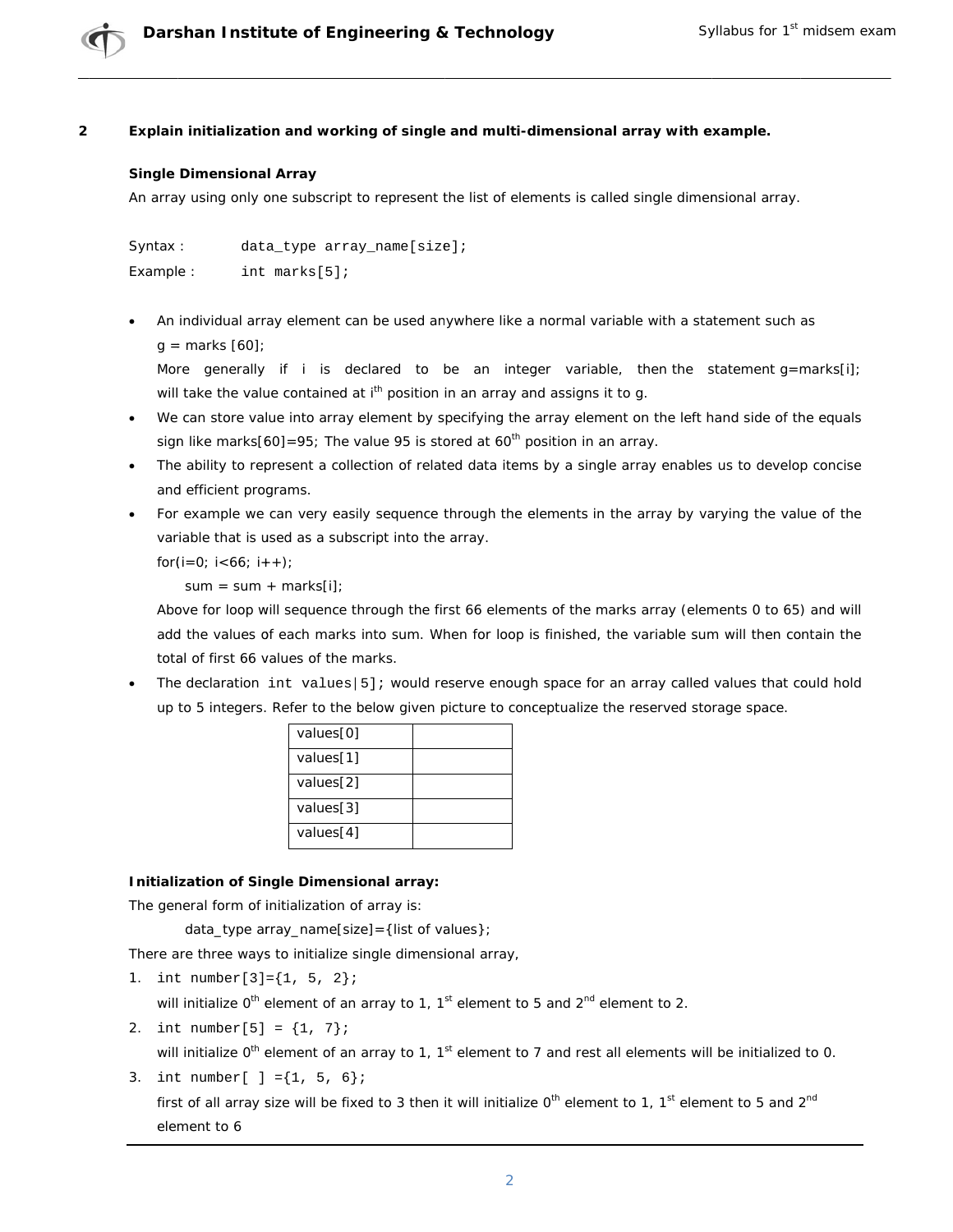#### $\overline{2}$ Explain initialization and working of single and multi-dimensional array with example.

## **Single Dimensional Array**

An array using only one subscript to represent the list of elements is called single dimensional array.

```
Syntax:
             data_type array_name[size];
Example:
             int marks[5];
```
An individual array element can be used anywhere like a normal variable with a statement such as  $q =$  marks  $[60]$ ;

More generally if *i* is declared to be an integer variable, then the statement  $g = marks[i]$ ; will take the value contained at i<sup>th</sup> position in an array and assigns it to g.

- We can store value into array element by specifying the array element on the left hand side of the equals sign like marks $[60]$ =95; The value 95 is stored at 60<sup>th</sup> position in an array.
- The ability to represent a collection of related data items by a single array enables us to develop concise and efficient programs.
- For example we can very easily sequence through the elements in the array by varying the value of the variable that is used as a subscript into the array.

for $(i=0; i<66; i++)$ ;

 $sum = sum + marks[i]$ 

Above for loop will sequence through the first 66 elements of the marks array (elements 0 to 65) and will add the values of each marks into sum. When for loop is finished, the variable sum will then contain the total of first 66 values of the marks.

The declaration int values [5]; would reserve enough space for an array called values that could hold up to 5 integers. Refer to the below given picture to conceptualize the reserved storage space.

| values[0] |  |
|-----------|--|
| values[1] |  |
| values[2] |  |
| values[3] |  |
| values[4] |  |

## **Initialization of Single Dimensional array:**

The general form of initialization of array is:

data\_type array\_name[size] = {list of values};

There are three ways to initialize single dimensional array,

1. int number  $[3] = \{1, 5, 2\}$ 

will initialize  $0^{th}$  element of an array to 1,  $1^{st}$  element to 5 and  $2^{nd}$  element to 2.

2. int number[5] =  $\{1, 7\}$ ;

will initialize O<sup>th</sup> element of an array to 1, 1<sup>st</sup> element to 7 and rest all elements will be initialized to 0.

3. int number  $[ ] = {1, 5, 6}$ 

first of all array size will be fixed to 3 then it will initialize 0<sup>th</sup> element to 1, 1<sup>st</sup> element to 5 and 2<sup>nd</sup> element to 6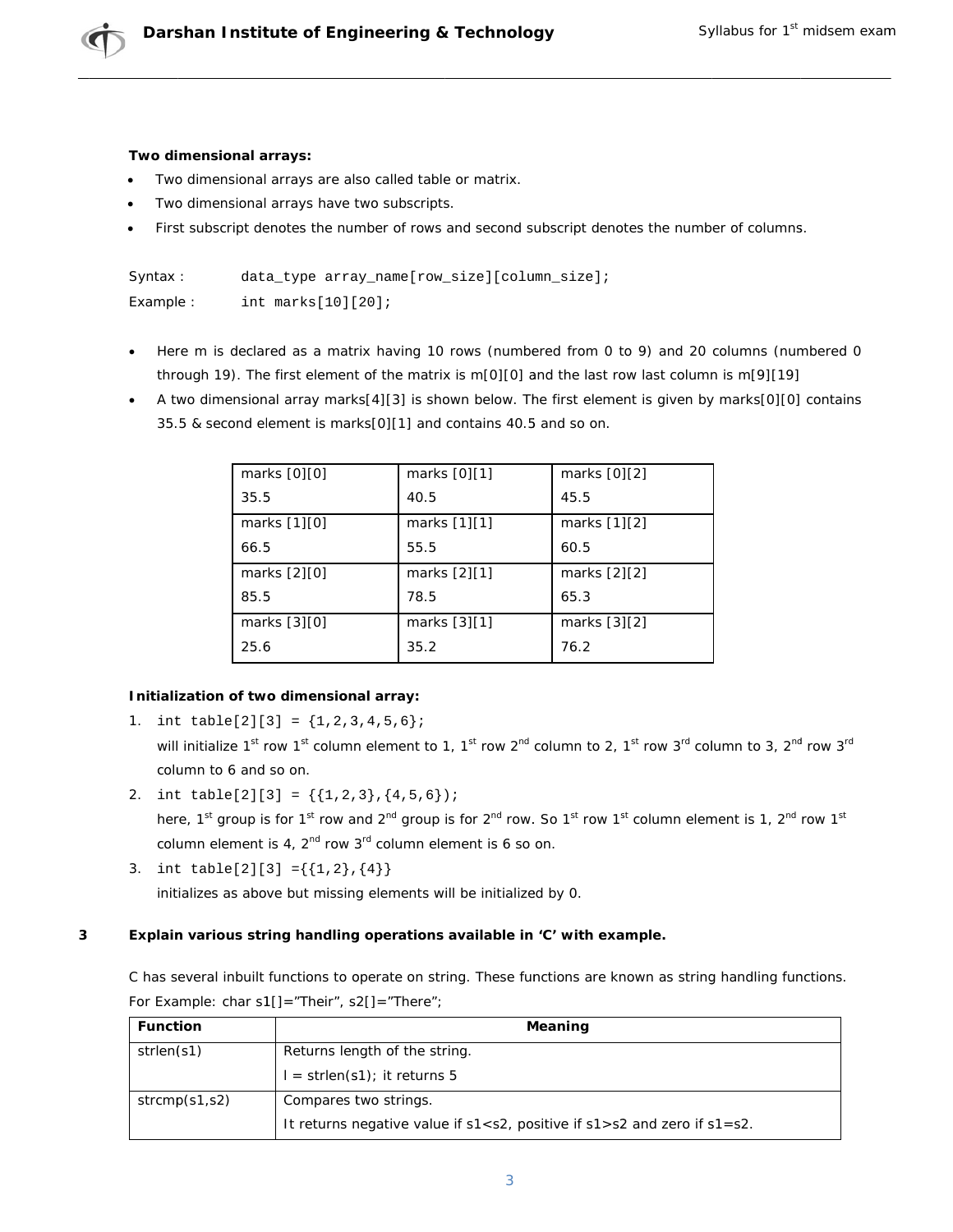## Two dimensional arrays:

- Two dimensional arrays are also called table or matrix.
- Two dimensional arrays have two subscripts.
- First subscript denotes the number of rows and second subscript denotes the number of columns.

| Syntax:   | data type array name [row size] [column size]; |
|-----------|------------------------------------------------|
| Example : | int $marks[10][20]$ ;                          |

- Here m is declared as a matrix having 10 rows (numbered from 0 to 9) and 20 columns (numbered 0 through 19). The first element of the matrix is m[0][0] and the last row last column is m[9][19]
- A two dimensional array marks[4][3] is shown below. The first element is given by marks[0][0] contains 35.5 & second element is marks[0][1] and contains 40.5 and so on.

| marks $[0][0]$ | marks [0][1]   | marks [0][2]   |
|----------------|----------------|----------------|
| 35.5           | 40.5           | 45.5           |
| marks [1][0]   | marks $[1][1]$ | marks $[1][2]$ |
| 66.5           | 55.5           | 60.5           |
| marks [2][0]   | marks $[2][1]$ | marks [2][2]   |
| 85.5           | 78.5           | 65.3           |
| marks [3][0]   | marks $[3][1]$ | marks [3][2]   |
| 25.6           | 35.2           | 76.2           |

## Initialization of two dimensional array:

1. int table[2][3] =  ${1, 2, 3, 4, 5, 6}$ ;

will initialize 1<sup>st</sup> row 1<sup>st</sup> column element to 1, 1<sup>st</sup> row 2<sup>nd</sup> column to 2, 1<sup>st</sup> row 3<sup>rd</sup> column to 3, 2<sup>nd</sup> row 3<sup>rd</sup> column to 6 and so on.

- 2. int table[2][3] = { $\{1,2,3\}$ , {4,5,6}); here, 1<sup>st</sup> group is for 1<sup>st</sup> row and 2<sup>nd</sup> group is for 2<sup>nd</sup> row. So 1<sup>st</sup> row 1<sup>st</sup> column element is 1, 2<sup>nd</sup> row 1<sup>st</sup> column element is 4,  $2^{nd}$  row  $3^{rd}$  column element is 6 so on.
- 3. int table[2][3] ={{1,2}, {4}} initializes as above but missing elements will be initialized by 0.

#### $\overline{\mathbf{3}}$ Explain various string handling operations available in 'C' with example.

C has several inbuilt functions to operate on string. These functions are known as string handling functions. For Example: char  $s1[] = "Their", s2[] = "There";$ 

| <b>Function</b> | Meaning                                                                                |  |
|-----------------|----------------------------------------------------------------------------------------|--|
| strlen(s1)      | Returns length of the string.                                                          |  |
|                 | $l = strlen(s1);$ it returns 5                                                         |  |
| strcmp(s1,s2)   | Compares two strings.                                                                  |  |
|                 | It returns negative value if $s1 < s2$ , positive if $s1 > s2$ and zero if $s1 = s2$ . |  |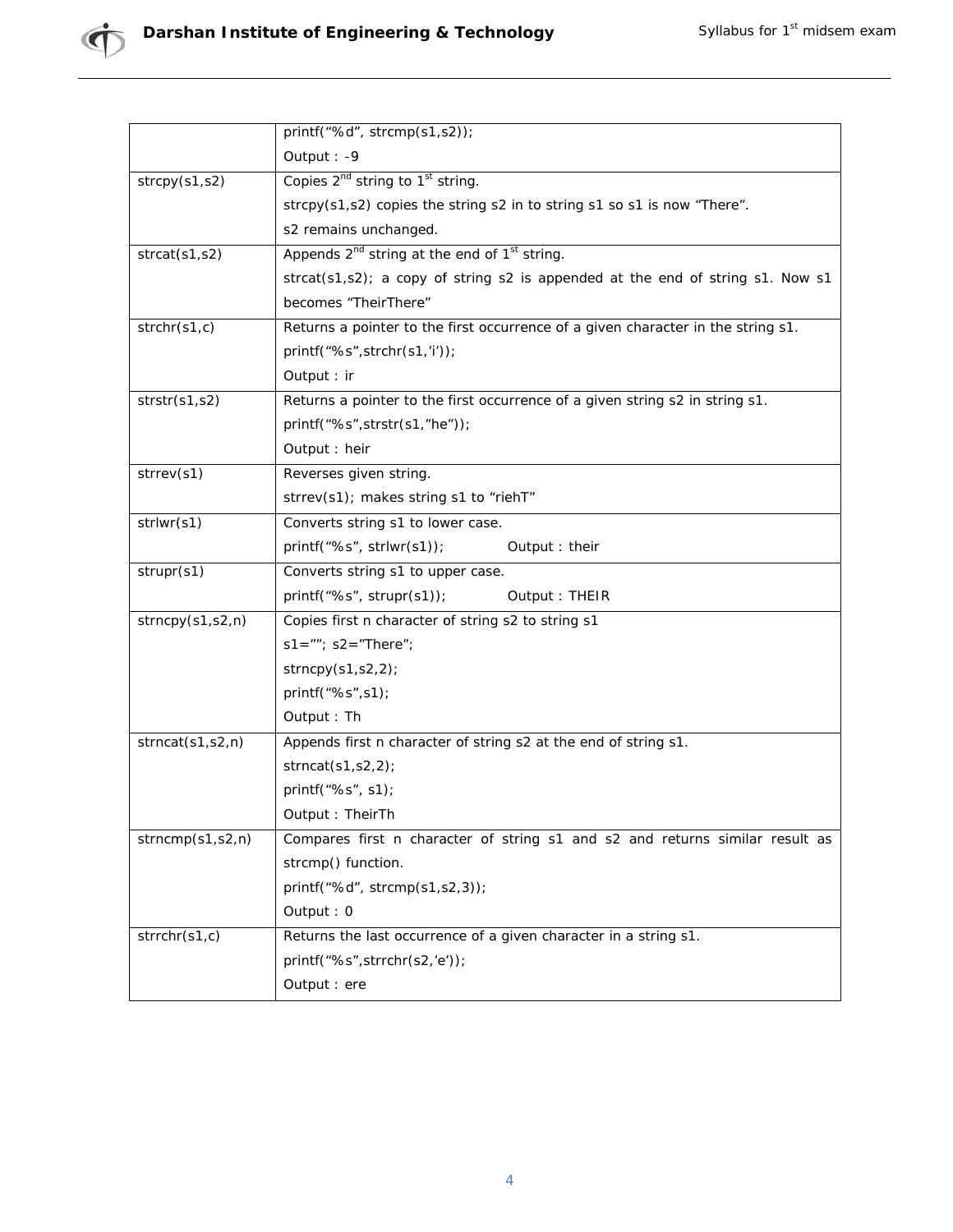|                  | printf("%d", strcmp(s1,s2));                                                                                                         |  |  |
|------------------|--------------------------------------------------------------------------------------------------------------------------------------|--|--|
|                  | Output: -9                                                                                                                           |  |  |
| strcpy(s1,s2)    | Copies 2 <sup>nd</sup> string to 1 <sup>st</sup> string.                                                                             |  |  |
|                  | strcpy(s1,s2) copies the string s2 in to string s1 so s1 is now "There".                                                             |  |  |
|                  | s2 remains unchanged.                                                                                                                |  |  |
| strcat(s1,s2)    | Appends 2 <sup>nd</sup> string at the end of 1 <sup>st</sup> string.                                                                 |  |  |
|                  | strcat(s1,s2); a copy of string s2 is appended at the end of string s1. Now s1                                                       |  |  |
|                  | becomes "TheirThere"                                                                                                                 |  |  |
| strchr(s1, c)    | Returns a pointer to the first occurrence of a given character in the string s1.                                                     |  |  |
|                  | printf("%s",strchr(s1,'i'));                                                                                                         |  |  |
|                  | Output : ir                                                                                                                          |  |  |
| strstr(s1,s2)    | Returns a pointer to the first occurrence of a given string s2 in string s1.                                                         |  |  |
|                  | printf("%s",strstr(s1,"he"));                                                                                                        |  |  |
|                  | Output : heir                                                                                                                        |  |  |
| strrev(s1)       | Reverses given string.                                                                                                               |  |  |
|                  | strrev(s1); makes string s1 to "riehT"                                                                                               |  |  |
| strlwr(s1)       | Converts string s1 to lower case.                                                                                                    |  |  |
|                  | $print(f''\%s", strlwr(s1));$<br>Output : their                                                                                      |  |  |
| strupr(s1)       | Converts string s1 to upper case.                                                                                                    |  |  |
|                  | printf("%s", strupr(s1));<br>Output: THEIR                                                                                           |  |  |
| strong(s1,s2,n)  | Copies first n character of string s2 to string s1                                                                                   |  |  |
|                  | $s1 = ""$ ; $s2 = "There"$ ;                                                                                                         |  |  |
|                  | strncpy(s1,s2,2);                                                                                                                    |  |  |
|                  | printf("%s", s1);                                                                                                                    |  |  |
|                  | Output: Th                                                                                                                           |  |  |
| strncat(s1,s2,n) | Appends first n character of string s2 at the end of string s1.                                                                      |  |  |
|                  | strncat $(s1,s2,2)$ ;                                                                                                                |  |  |
|                  | printf("%s", s1);                                                                                                                    |  |  |
|                  | Output: TheirTh                                                                                                                      |  |  |
| strncmp(s1,s2,n) | Compares first n character of string s1 and s2 and returns similar result as<br>strcmp() function.<br>printf("%d", strcmp(s1,s2,3)); |  |  |
|                  |                                                                                                                                      |  |  |
|                  |                                                                                                                                      |  |  |
|                  | Output: 0                                                                                                                            |  |  |
| strrchr(s1,c)    | Returns the last occurrence of a given character in a string s1.                                                                     |  |  |
|                  | printf("%s", strrchr(s2,'e'));                                                                                                       |  |  |
|                  | Output : ere                                                                                                                         |  |  |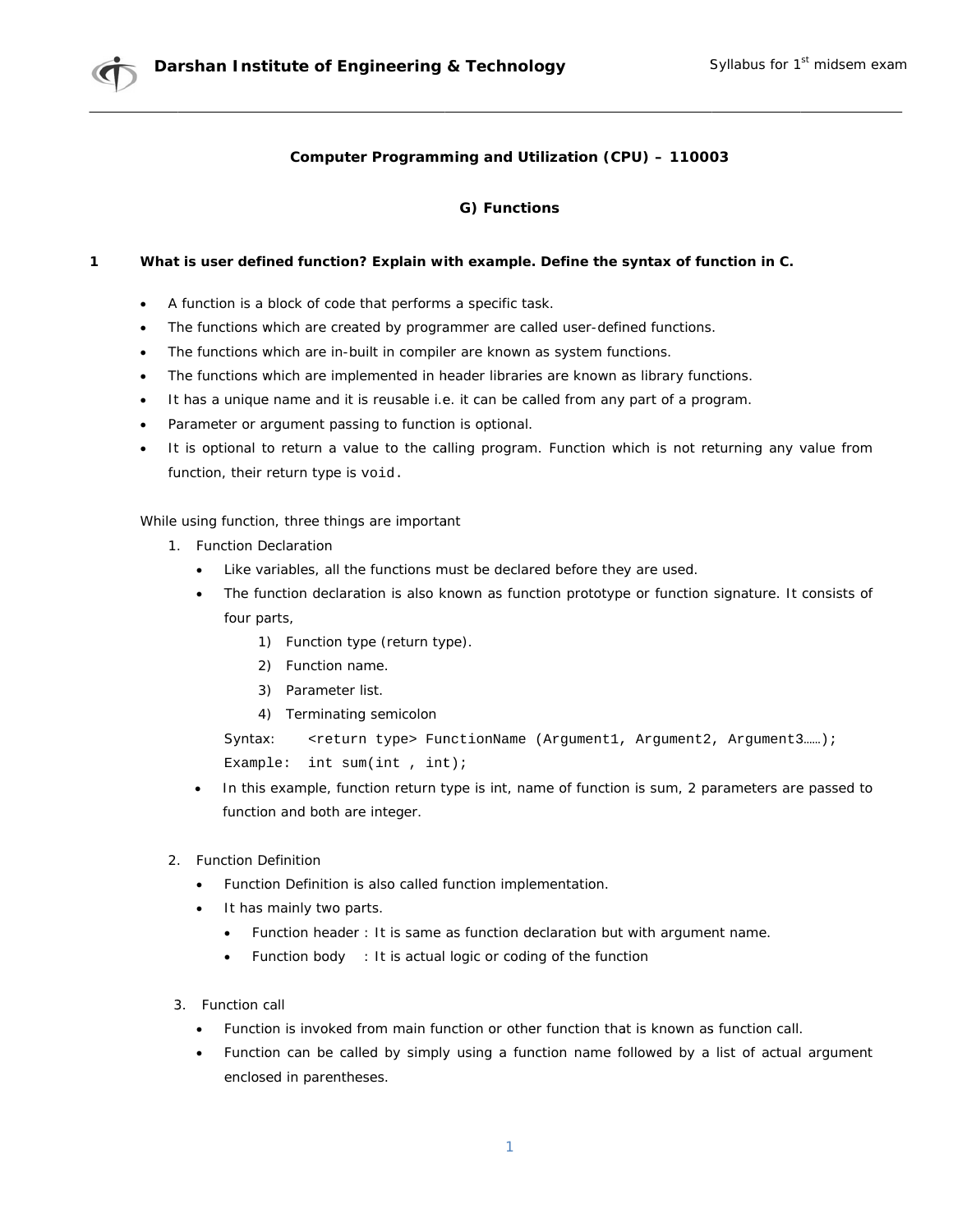## Computer Programming and Utilization (CPU) - 110003

## G) Functions

#### $\mathbf{1}$ What is user defined function? Explain with example. Define the syntax of function in C.

- A function is a block of code that performs a specific task.
- The functions which are created by programmer are called user-defined functions.
- The functions which are in-built in compiler are known as system functions.
- The functions which are implemented in header libraries are known as library functions.
- It has a unique name and it is reusable i.e. it can be called from any part of a program.  $\bullet$
- Parameter or argument passing to function is optional.
- It is optional to return a value to the calling program. Function which is not returning any value from function, their return type is void.

While using function, three things are important

- 1. Function Declaration
	- $\bullet$ Like variables, all the functions must be declared before they are used.
	- The function declaration is also known as function prototype or function signature. It consists of four parts,
		- 1) Function type (return type).
		- 2) Function name.
		- 3) Parameter list.
		- 4) Terminating semicolon

```
Syntax:
          <return type> FunctionName (Arqument1, Arqument2, Arqument3......);
Example: int sum(int, int);
```
- In this example, function return type is int, name of function is sum, 2 parameters are passed to function and both are integer.
- 2 Function Definition
	- $\bullet$ Function Definition is also called function implementation.
	- It has mainly two parts.
		- $\bullet$ Function header: It is same as function declaration but with argument name.
		- Function body : It is actual logic or coding of the function
- 3. Function call
	- Function is invoked from main function or other function that is known as function call.  $\bullet$
	- Function can be called by simply using a function name followed by a list of actual argument  $\bullet$ enclosed in parentheses.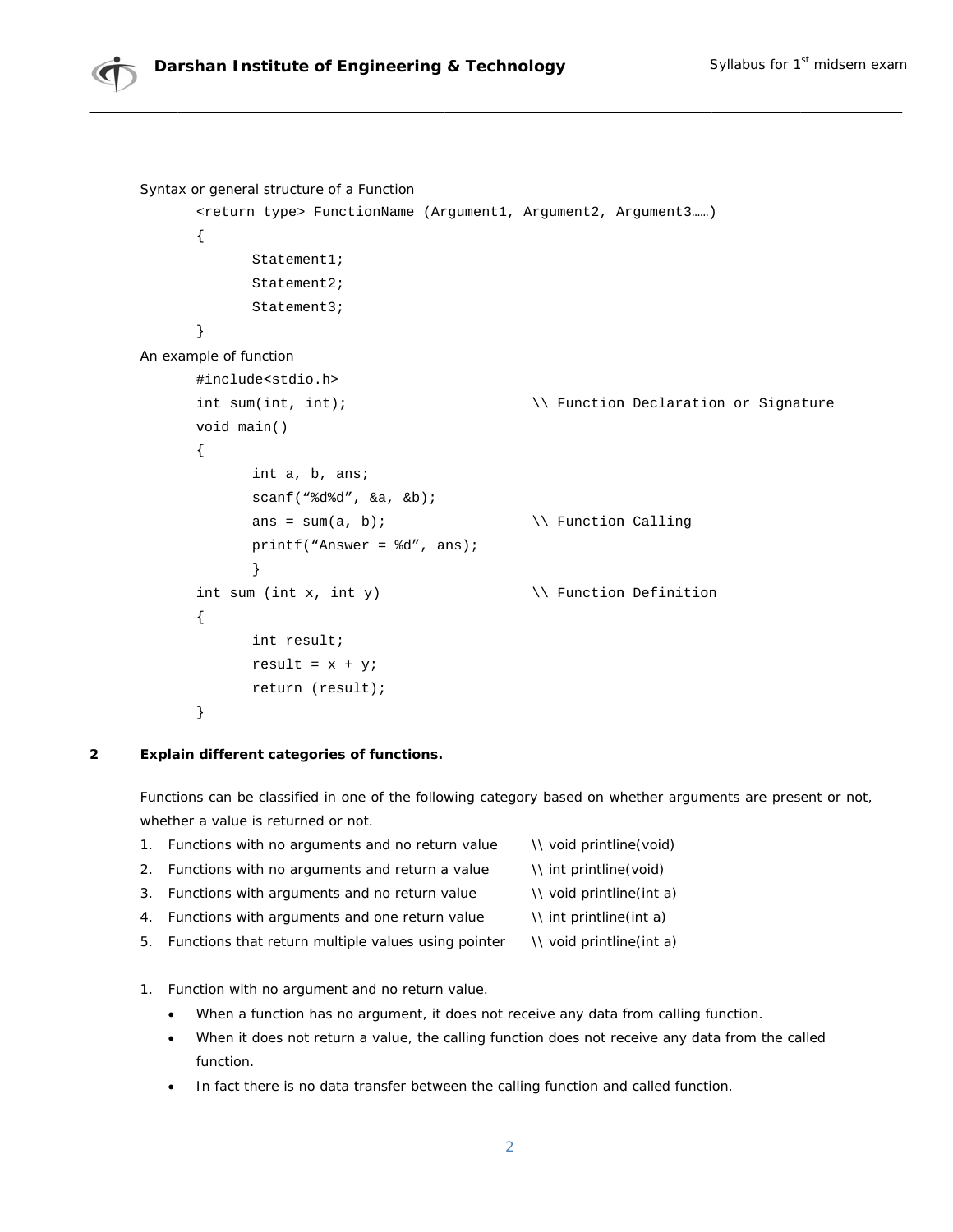

```
Syntax or general structure of a Function
       <return type> FunctionName (Argument1, Argument2, Argument3......)
       \{Statement1;
              Statement2;
              Statement3;
       \}An example of function
       #include<stdio.h>
       int sum(int, int);\\ Function Declaration or Signature
       void main()
       \{int a, b, ans;
              scan f ("d d', d a, d b);
              ans = sum(a, b);
                                                 \\ Function Calling
              printf("Answer = d'', ans);
              \}int sum (int x, int y)
                                                \\ Function Definition
       \{int result;
              result = x + yireturn (result);
       \}
```
#### $\overline{2}$ Explain different categories of functions.

Functions can be classified in one of the following category based on whether arguments are present or not, whether a value is returned or not.

- 1. Functions with no arguments and no return value \\ void printline(void) 2. Functions with no arguments and return a value \\ int printline(void)
- 3. Functions with arguments and no return value \\ void printline(int a)
- 4. Functions with arguments and one return value \\ int printline(int a)
- 5. Functions that return multiple values using pointer \\ void printline(int a)
- 1. Function with no argument and no return value.
	- When a function has no argument, it does not receive any data from calling function.  $\bullet$
	- When it does not return a value, the calling function does not receive any data from the called function.
	- In fact there is no data transfer between the calling function and called function.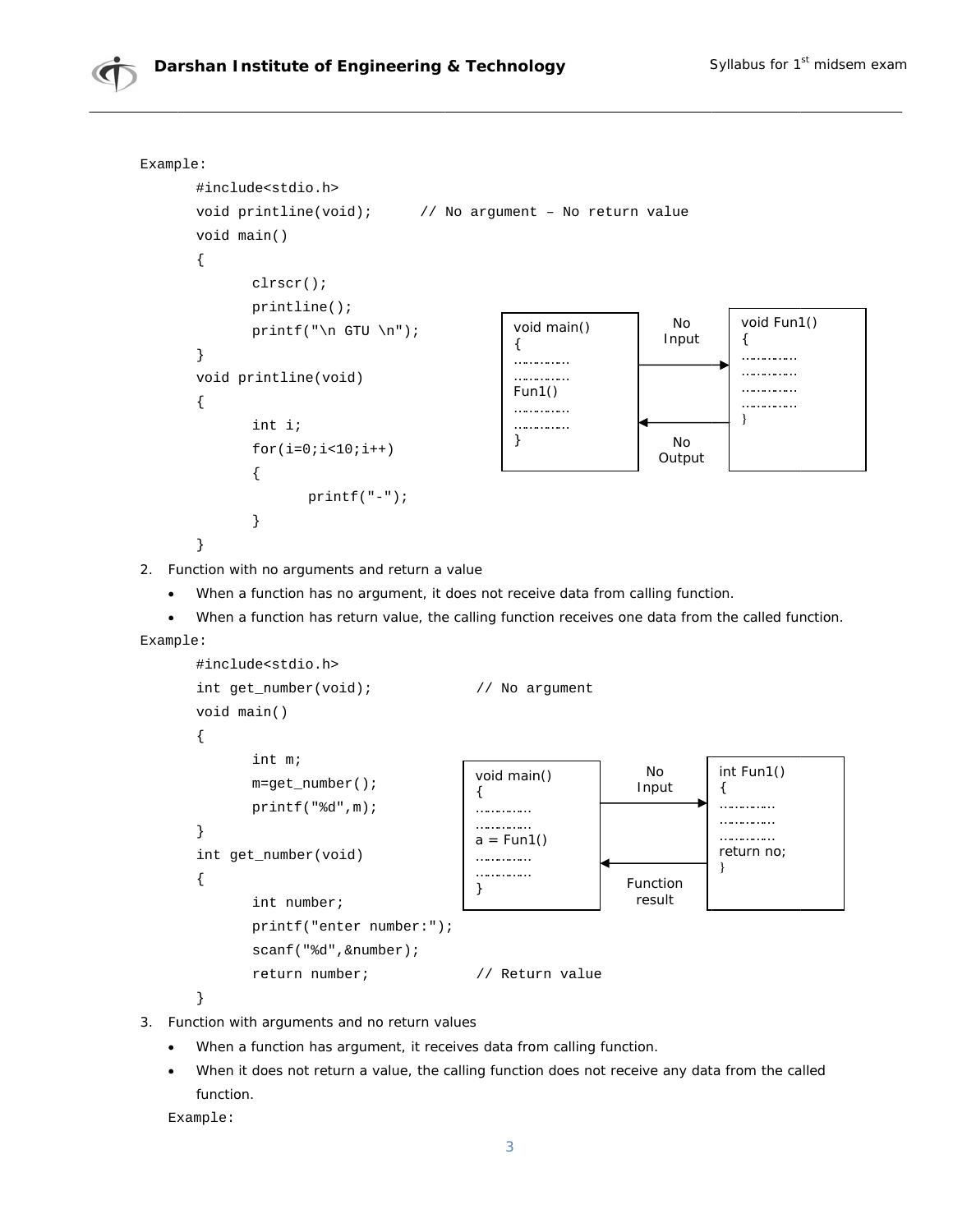

```
#include<stdio.h>
int get_number(void);
                                                      // No argument
void main()
\{int m;
                                                                                                         int Fun1()
                                                                                          No
                                                        void main()
           m = get_number();
                                                                                         Input
                                                                                                         €
                                                        \{printf("d", m);. . . . . . . . . . . . . . .
                                                        . . . . . . . . . . . . . . .
                                                                                                         . . . . . . . . . . . . . .
                                                        . . . . . . . . . . . . . .
\}. . . . . . . . . . . . . . .
                                                        a = Fun1()return no;
int get_number(void)
                                                        . . . . . . . . . . . . . .
                                                                                                         <sup>}</sup>
                                                        . . . . . . . . . . . . . . .
\{Function
                                                        \}result
           int number;
           printf("enter number:");
           \texttt{scanf}(\texttt{"}\texttt{\$d",\&number});return number;
                                                        // Return value
```

```
\}
```
- 3. Function with arguments and no return values
	- When a function has argument, it receives data from calling function.  $\bullet$
	- When it does not return a value, the calling function does not receive any data from the called function.

```
Example:
```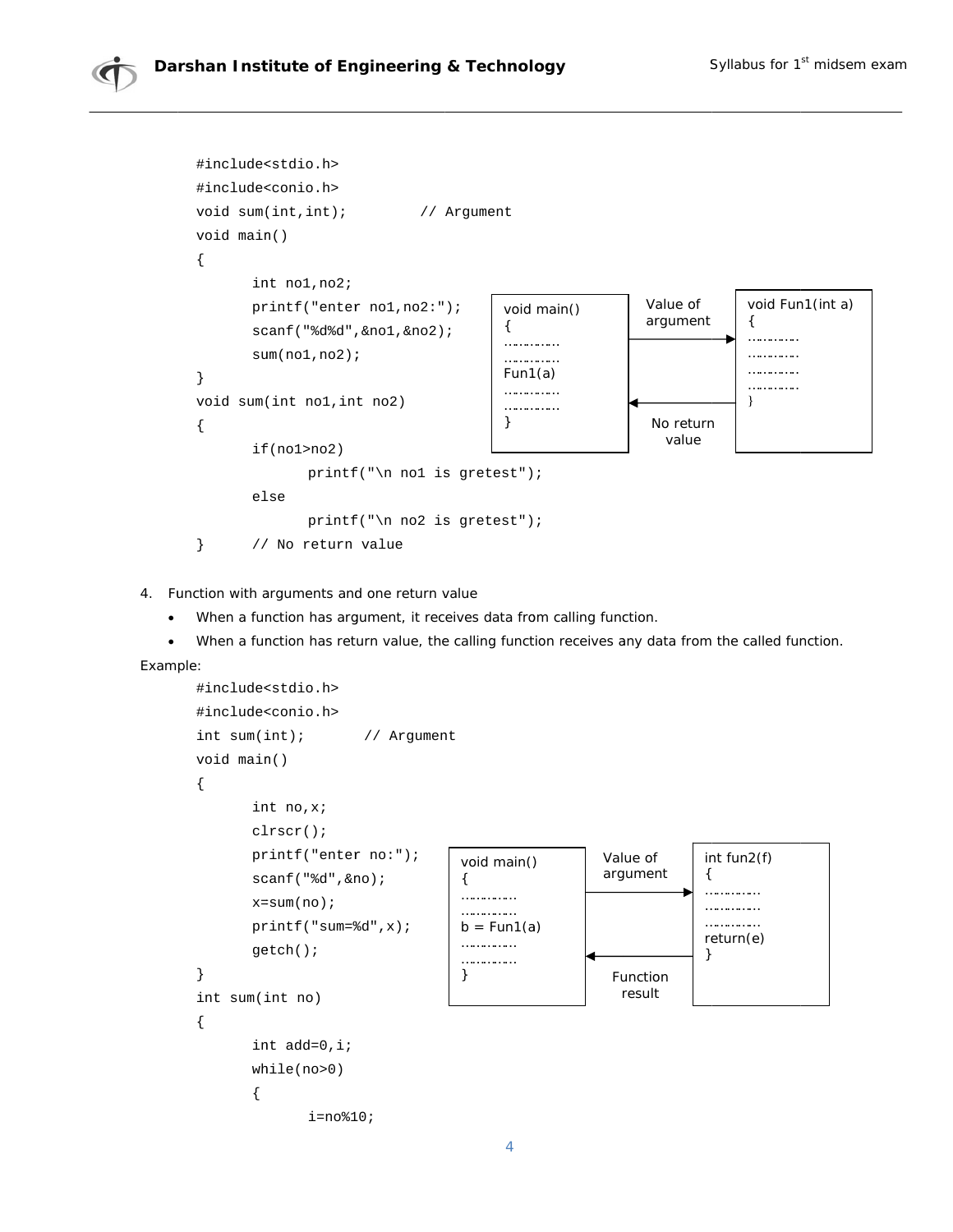

4. Function with arguments and one return value

 $\bullet$ When a function has argument, it receives data from calling function.

When a function has return value, the calling function receives any data from the called function.  $\bullet$ 

Example:

```
#include<stdio.h>
#include<conio.h>
int sum(int);// Argument
void main()
\{int no, x;
           \text{clrscr}();
           printf("enter no:");
                                                                              Value of
                                                                                                  int fun2(f)void main()
                                                                              argument
                                                                                                  €
           scanf("d", \&no);\{. . . . . . . . . . . . . . .
                                                   . . . . . . . . . . . . . . .
           x = sum(no);
                                                                                                  . . . . . . . . . . . . . . .
                                                   . . . . . . . . . . . . . . .
                                                                                                  . . . . . . . . . . . . . .
           print(f("sum=\&d", x);b = Fun1(a)return(e)
                                                   . . . . . . . . . . . . . .
           getch()}
                                                   . . . . . . . . . . . . . .
\}\mathcal{E}Function
                                                                                  result
int sum(int no)
\{int add=0, i;while(no>0)\{i = no810;
```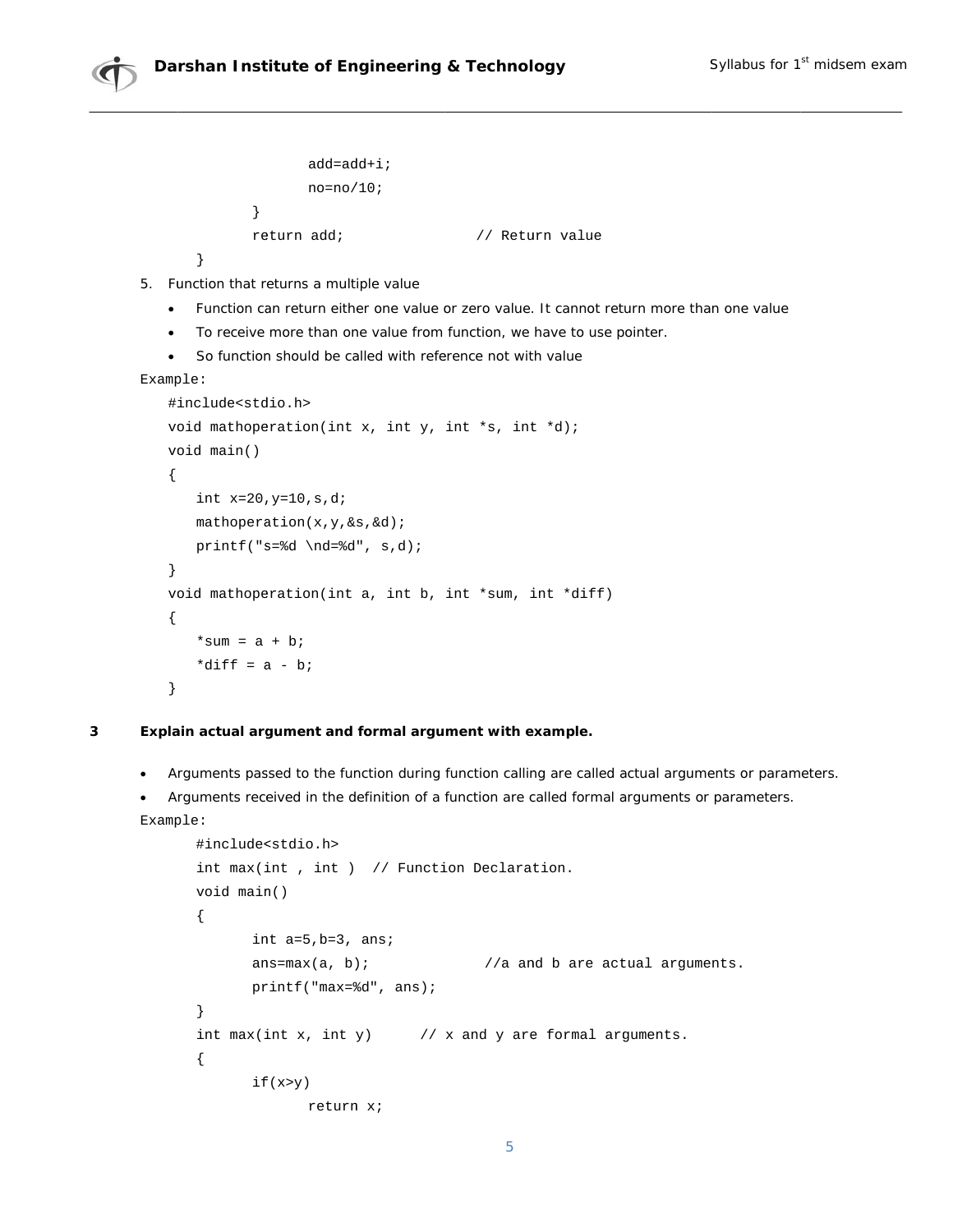

```
add=add+i;no=no/10;\left\{ \right\}return add;
                                // Return value
```
- $\}$
- 5. Function that returns a multiple value
	- Function can return either one value or zero value. It cannot return more than one value
	- To receive more than one value from function, we have to use pointer.
	- So function should be called with reference not with value

```
Example:
```

```
#include<stdio.h>
void mathoperation(int x, int y, int *s, int *d);
void main()
\{int x=20, y=10, s, d;
   mathrathoperation(x, y, \&s, \&d);
   printf("s = *d \nd = *d", s, d;\}void mathoperation(int a, int b, int *sum, int *diff)
\{*sum = a + bi*diff = a - b;
\}
```
 $\overline{3}$ 

## Explain actual argument and formal argument with example.

- Arguments passed to the function during function calling are called actual arguments or parameters.  $\bullet$
- Arguments received in the definition of a function are called formal arguments or parameters.  $\bullet$

```
Example:
       #include<stdio.h>
       int max(int, int) // Function Declaration.
      void main()
       \{int a=5, b=3, ans;
             ans = max(a, b);//a and b are actual arguments.
             printf("max=\dagger d", ans);\}int max(int x, int y) \frac{1}{x} and y are formal arguments.
       \{if(x>y)return x;
                                             5
```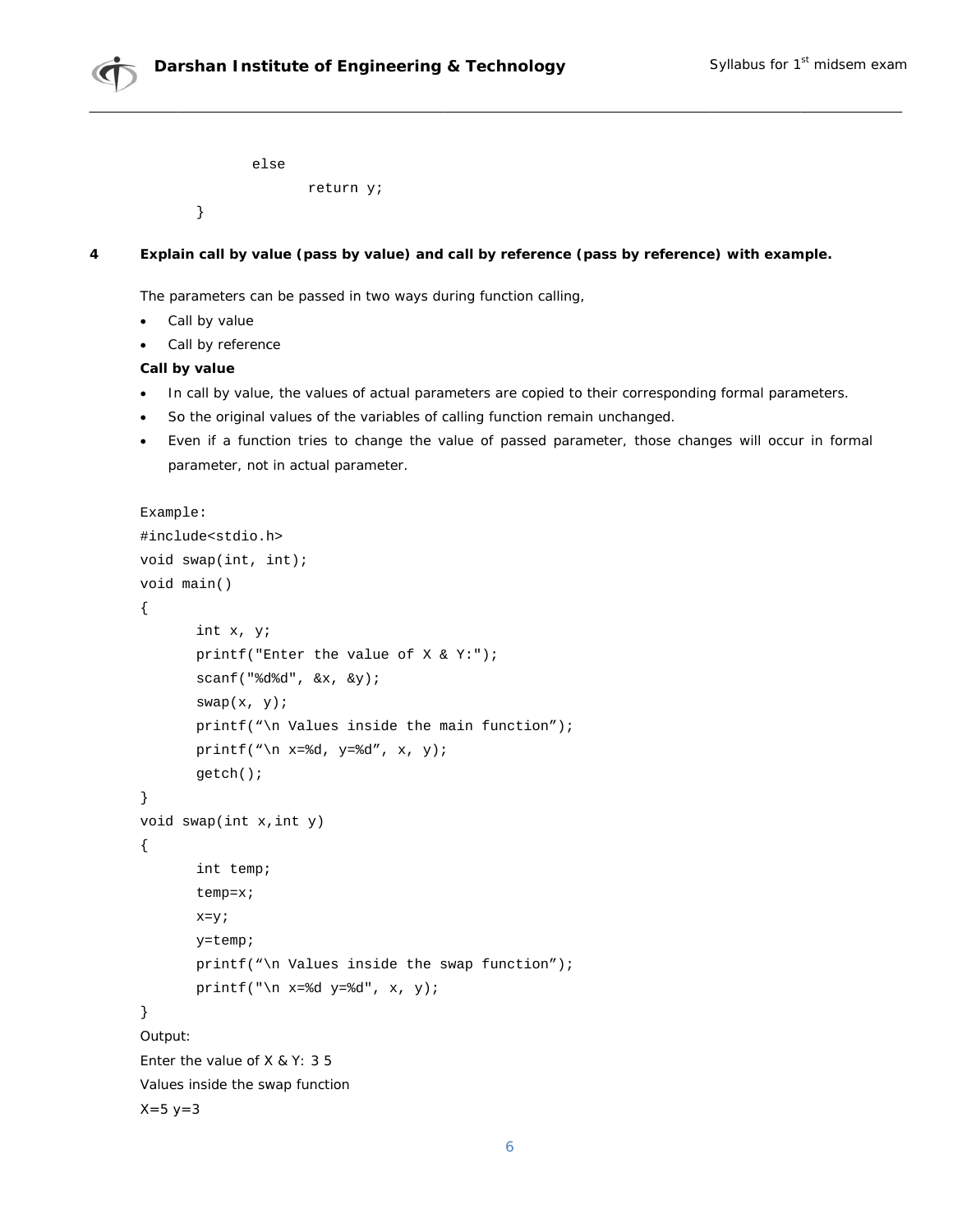



```
else
       return y;
```
#### $\overline{\mathbf{4}}$ Explain call by value (pass by value) and call by reference (pass by reference) with example.

The parameters can be passed in two ways during function calling,

• Call by value

 $\}$ 

Call by reference

## Call by value

- In call by value, the values of actual parameters are copied to their corresponding formal parameters.  $\bullet$
- So the original values of the variables of calling function remain unchanged.
- Even if a function tries to change the value of passed parameter, those changes will occur in formal  $\bullet$ parameter, not in actual parameter.

```
Example:
#include<stdio.h>
void swap(int, int);void main()
\{int x, y;
       printf("Enter the value of X < Y");
       \text{scanf}('%d%d", &x, &y);
       swap(x, y);
       printf("\n Values inside the main function");
       printf("\n x=%d, y=%d", x, y);
       getch()\}void swap(int x, int y)\{int temp;
       temp=x;x=y;y = temp;
       printf("\n Values inside the swap function");
       printf("\n x=%d y=%d", x, y);
\}Output:
Enter the value of X & Y: 35Values inside the swap function
X = 5 y = 3
```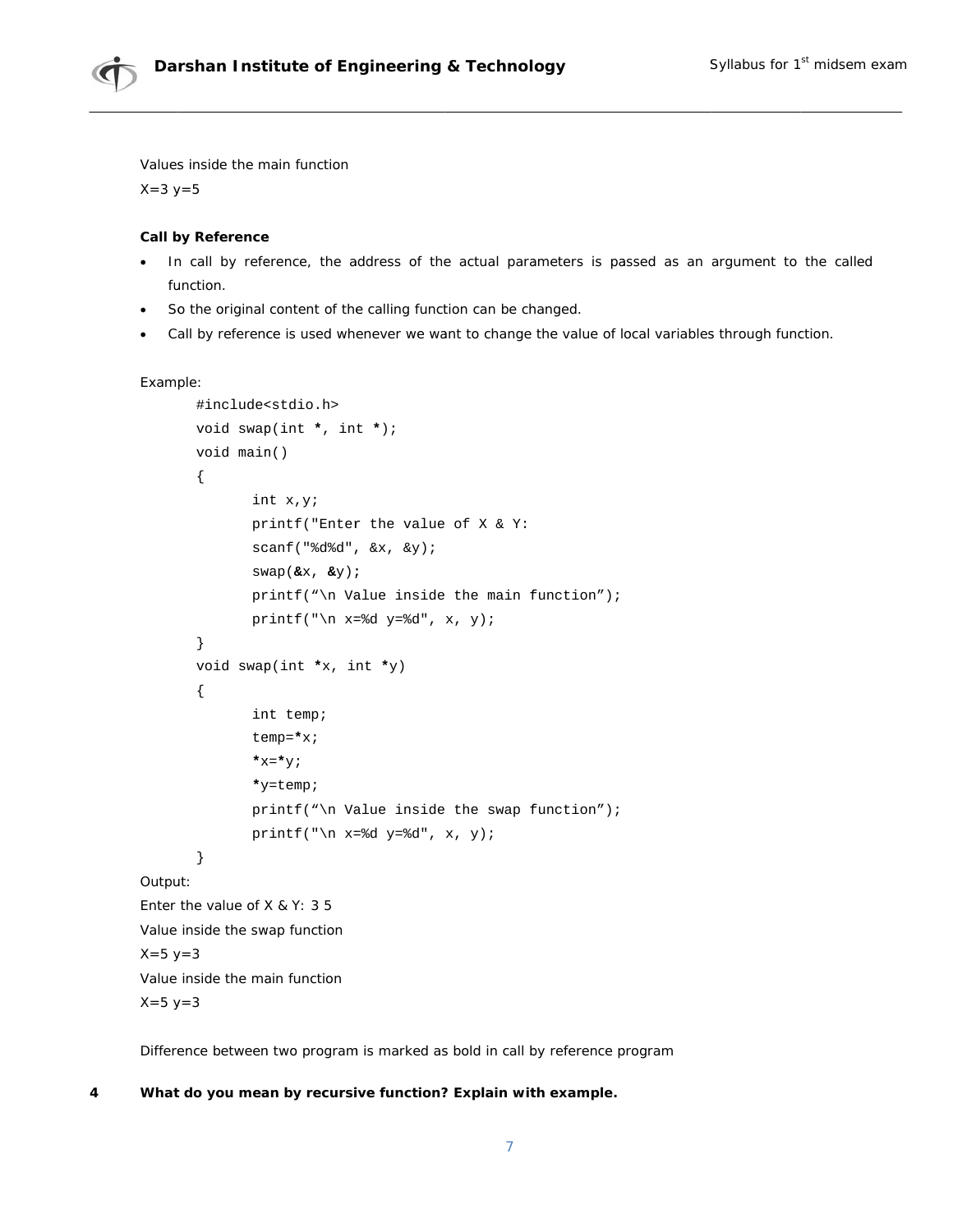

Values inside the main function

 $X = 3 y = 5$ 

### **Call by Reference**

- In call by reference, the address of the actual parameters is passed as an argument to the called  $\bullet$ function.
- So the original content of the calling function can be changed.
- Call by reference is used whenever we want to change the value of local variables through function.

### Example:

 $X = 5 y = 3$ 

```
#include<stdio.h>
       void swap(int *, int *);
       void main()
        \{int x, y;
               printf("Enter the value of X & Y:
               scant("8d8d", & x, & y);swap(\&x, \&y);printf("\n Value inside the main function");
               printf("\n x=%d y=%d", x, y);
        \}void swap(int x, int xy)
        \{int temp;
               temp=\star x;\star_{\mathrm{X}}=\star_{\mathrm{Y}} ;
               *y=temp;
               printf("\n Value inside the swap function");
               printf("\n x=%d y=%d", x, y);
        \}Output:
Enter the value of X & Y: 3 5
Value inside the swap function
X = 5 y = 3Value inside the main function
```
Difference between two program is marked as bold in call by reference program

#### $\overline{\mathbf{4}}$ What do you mean by recursive function? Explain with example.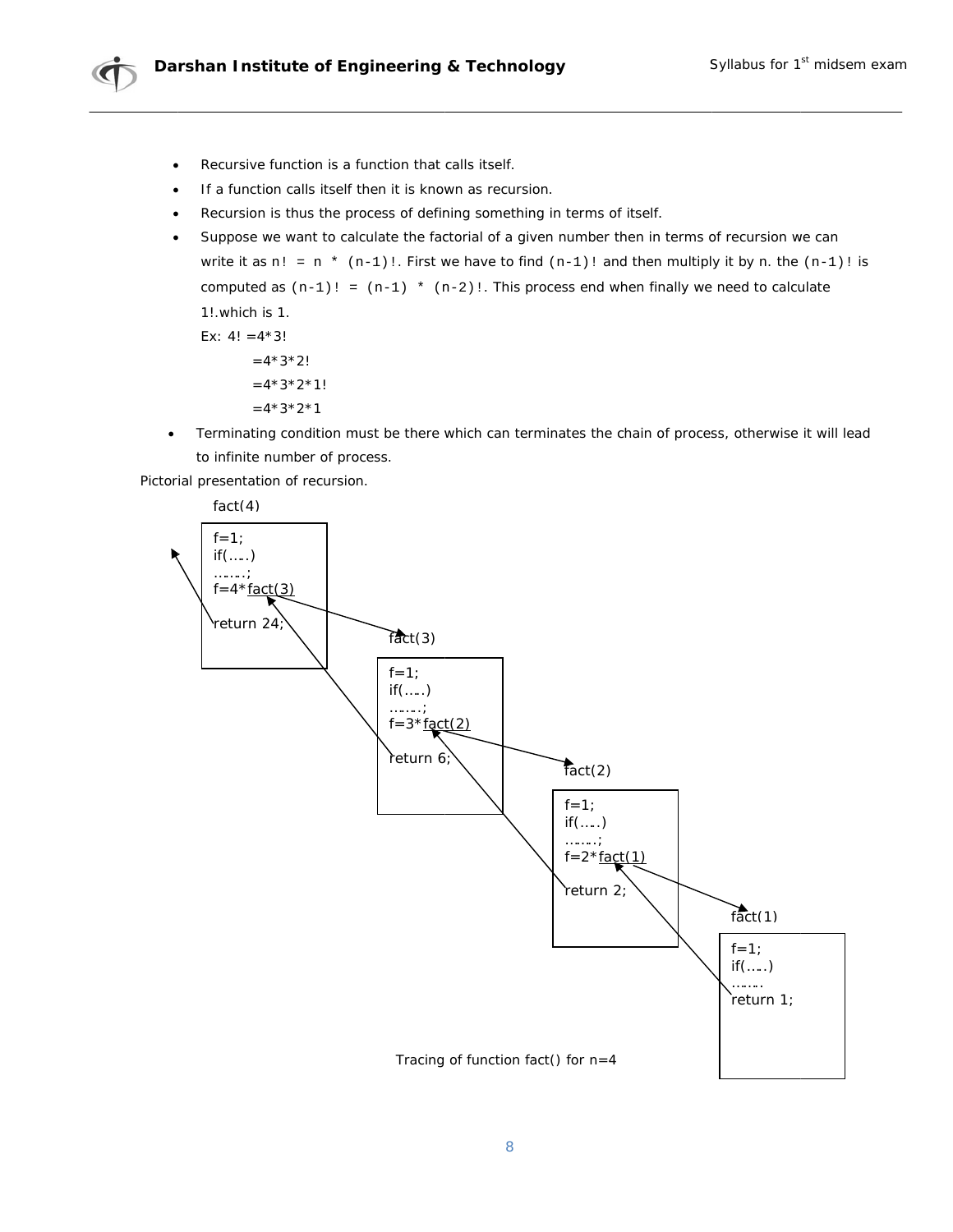

- Recursive function is a function that calls itself.  $\bullet$
- If a function calls itself then it is known as recursion.  $\bullet$
- Recursion is thus the process of defining something in terms of itself.
- Suppose we want to calculate the factorial of a given number then in terms of recursion we can  $\bullet$ write it as  $n! = n * (n-1)!$ . First we have to find  $(n-1)!$  and then multiply it by n. the  $(n-1)!$  is computed as  $(n-1)! = (n-1) * (n-2)!$ . This process end when finally we need to calculate

1! which is 1. Ex:  $4! = 4*3!$  $=4*3*2!$  $=4*3*2*1!$  $=4*3*2*1$ 

Terminating condition must be there which can terminates the chain of process, otherwise it will lead  $\bullet$ to infinite number of process.

Pictorial presentation of recursion.

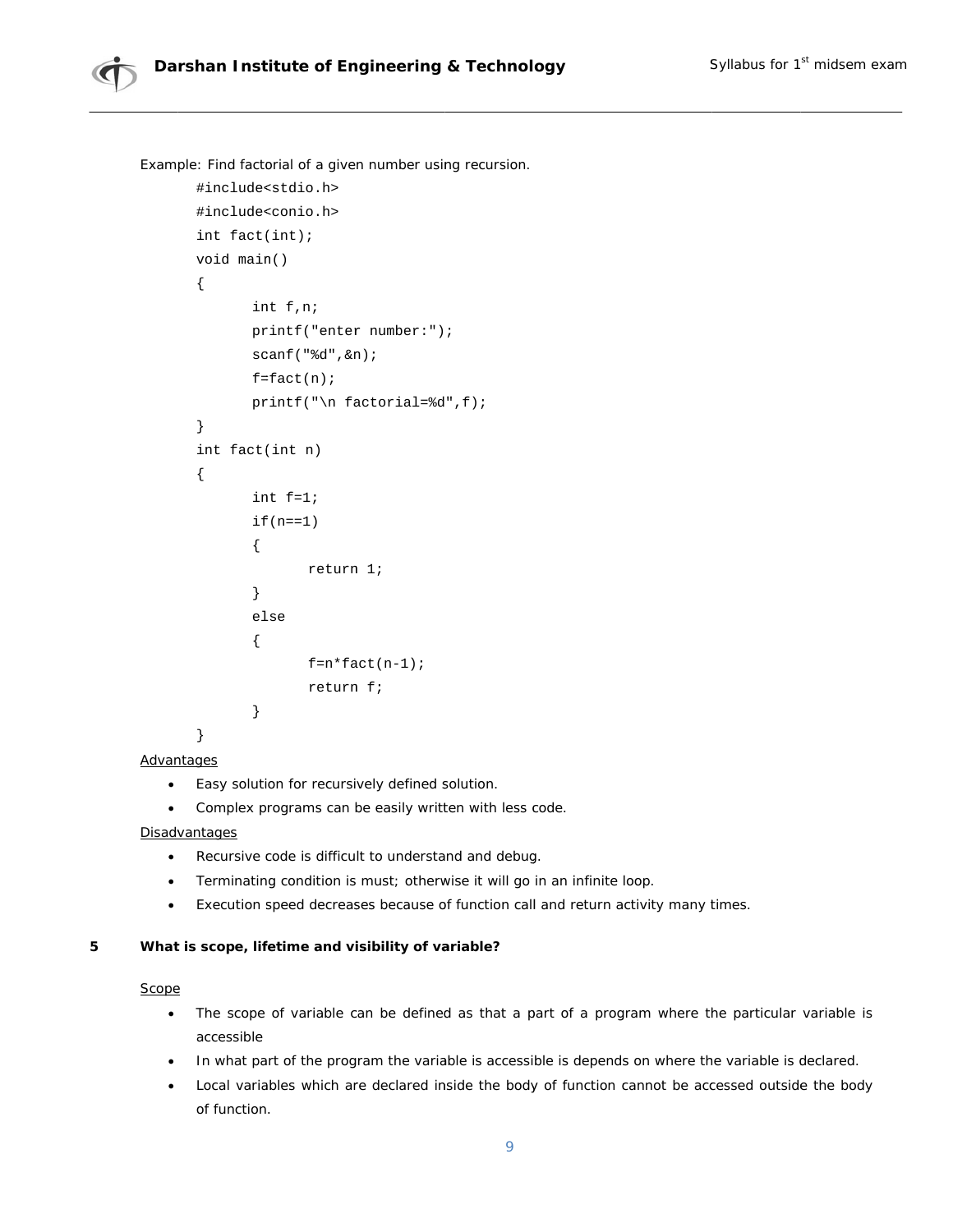

Example: Find factorial of a given number using recursion.

```
#include<stdio.h>
#include<conio.h>
int fact(int);void main()
\{int f, n;
       printf("enter number:");
       scanf("d", \&n);f = fact(n);printf("\n factorial=%d",f);
\}int fact(int n)
\{int f=1;
       if(n==1)€
              return 1;
       \}else
       \{f=n*fact(n-1);return f;
       \}\}
```
## Advantages

- Easy solution for recursively defined solution.  $\bullet$
- Complex programs can be easily written with less code.

## Disadvantages

- Recursive code is difficult to understand and debug.
- Terminating condition is must; otherwise it will go in an infinite loop.
- Execution speed decreases because of function call and return activity many times.  $\bullet$

#### $\overline{\mathbf{5}}$ What is scope, lifetime and visibility of variable?

## Scope

- The scope of variable can be defined as that a part of a program where the particular variable is accessible
- . In what part of the program the variable is accessible is depends on where the variable is declared.
- Local variables which are declared inside the body of function cannot be accessed outside the body  $\bullet$ of function.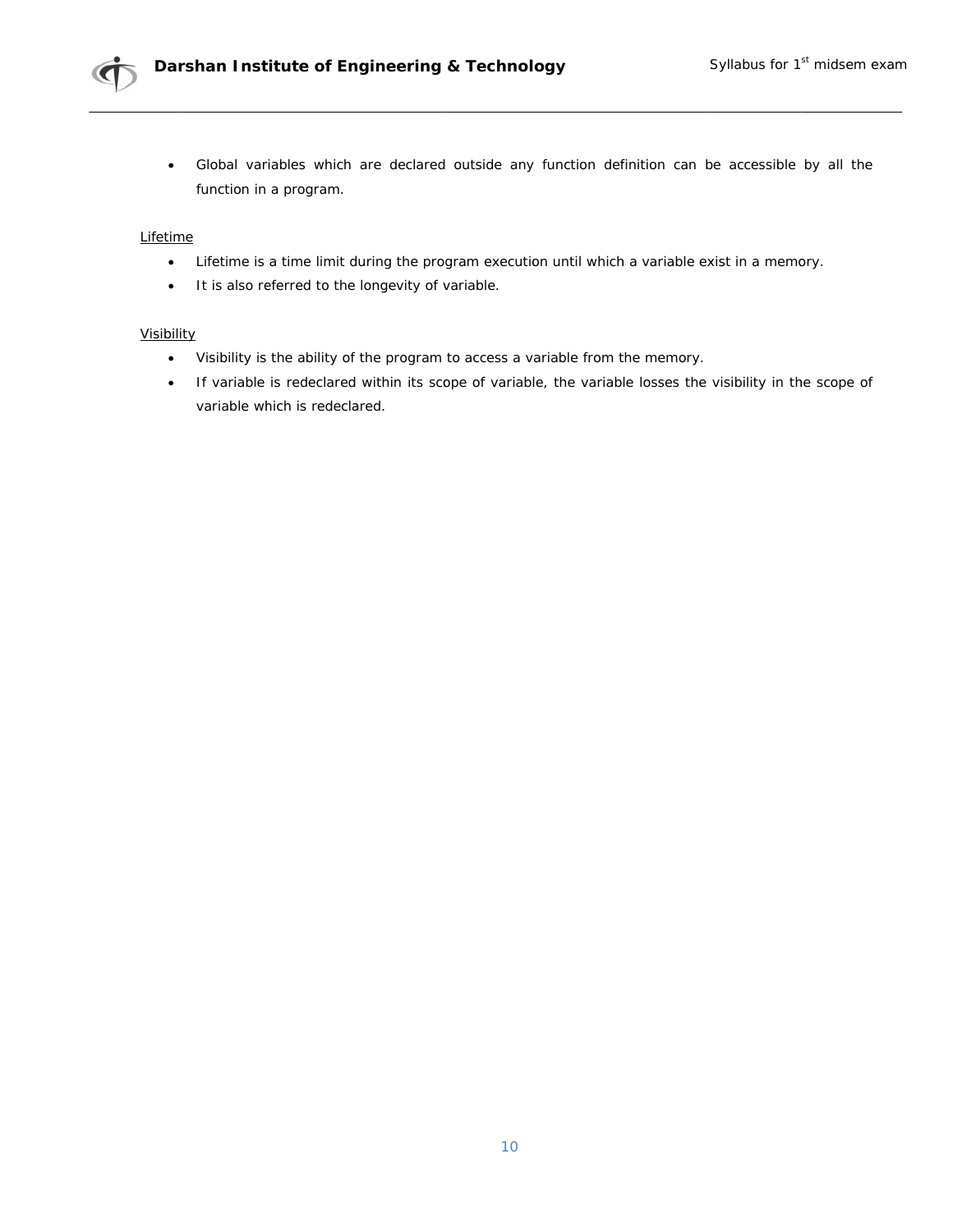

Global variables which are declared outside any function definition can be accessible by all the  $\bullet$ function in a program.

### Lifetime

- $\bullet$ Lifetime is a time limit during the program execution until which a variable exist in a memory.
- It is also referred to the longevity of variable.

## Visibility

- Visibility is the ability of the program to access a variable from the memory.
- If variable is redeclared within its scope of variable, the variable losses the visibility in the scope of variable which is redeclared.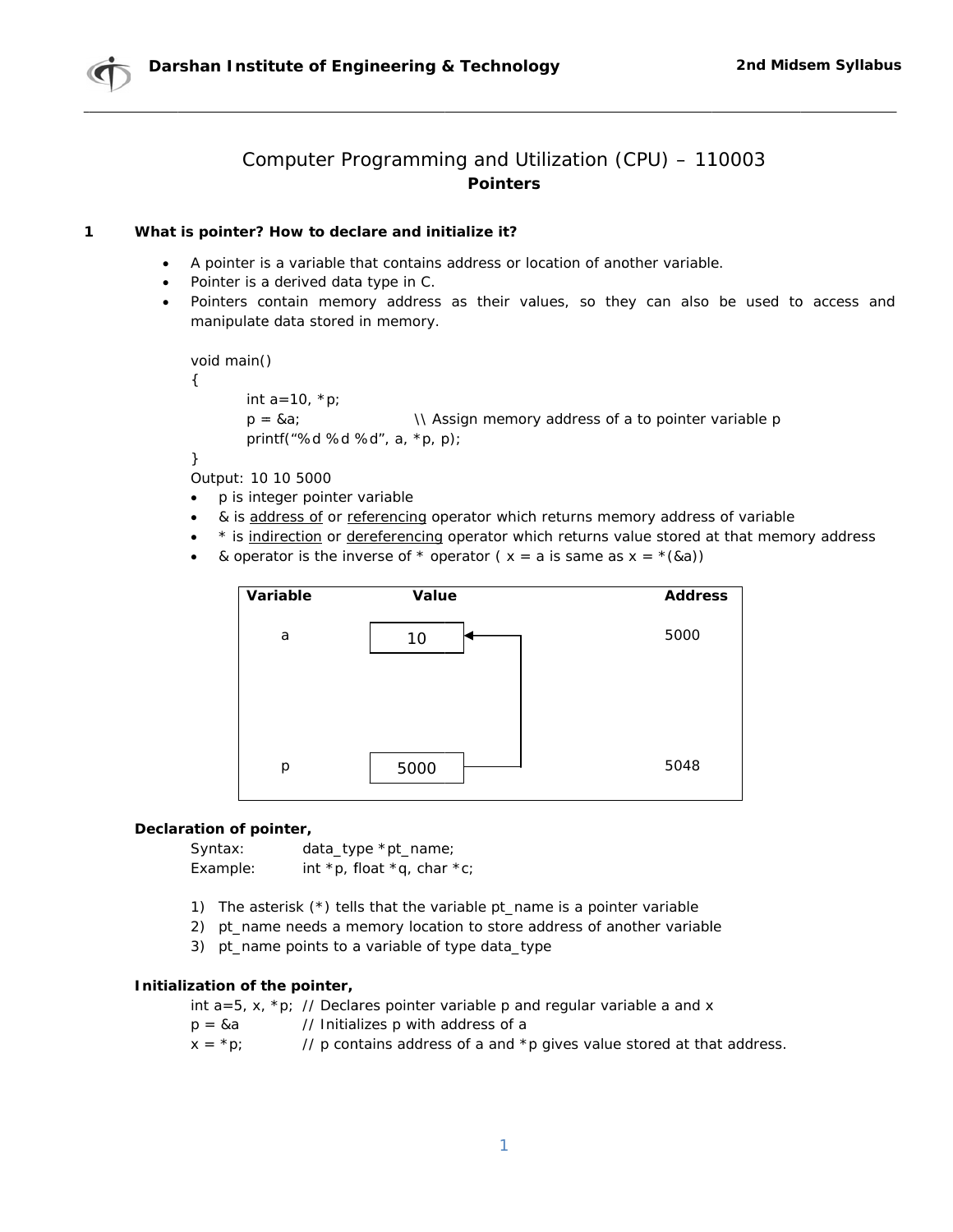

# Computer Programming and Utilization (CPU) - 110003 **Pointers**

#### $\mathbf{1}$ What is pointer? How to declare and initialize it?

- A pointer is a variable that contains address or location of another variable.
- Pointer is a derived data type in C.
- Pointers contain memory address as their values, so they can also be used to access and manipulate data stored in memory.

```
void main()
```
€

```
int a = 10, *p;
```

```
p = & a;\\ Assign memory address of a to pointer variable p
printf("%d %d %d", a, *p, p);
```
}

Output: 10 10 5000

- p is integer pointer variable
- & is address of or referencing operator which returns memory address of variable
- \* is indirection or dereferencing operator which returns value stored at that memory address  $\bullet$
- & operator is the inverse of  $*$  operator ( $x = a$  is same as  $x = * (a \cdot a)$ )



## Declaration of pointer,

Syntax:  $data_type * pt_name;$ Example: int \*p, float \*q, char \*c;

- 1) The asterisk (\*) tells that the variable pt\_name is a pointer variable
- 2) pt\_name needs a memory location to store address of another variable
- 3) pt\_name points to a variable of type data\_type

## Initialization of the pointer,

int  $a=5$ , x, \*p; // Declares pointer variable p and regular variable a and x

- // Initializes p with address of a  $p = 8a$
- $x = *p$ ; // p contains address of a and \*p gives value stored at that address.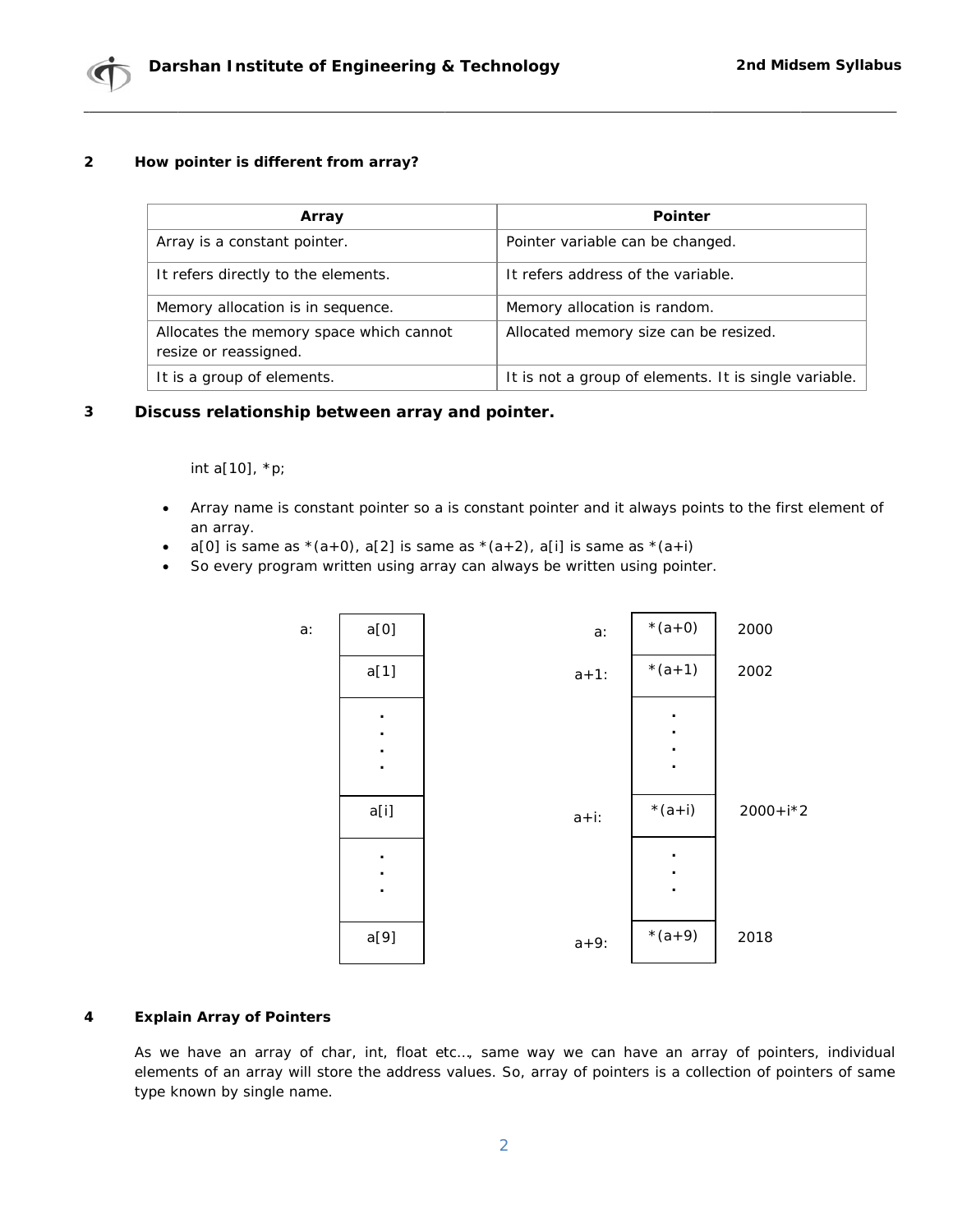

#### $\mathbf{2}$ How pointer is different from array?

| Array                                                            | <b>Pointer</b>                                        |
|------------------------------------------------------------------|-------------------------------------------------------|
| Array is a constant pointer.                                     | Pointer variable can be changed.                      |
| It refers directly to the elements.                              | It refers address of the variable.                    |
| Memory allocation is in sequence.                                | Memory allocation is random.                          |
| Allocates the memory space which cannot<br>resize or reassigned. | Allocated memory size can be resized.                 |
| It is a group of elements.                                       | It is not a group of elements. It is single variable. |

#### $\mathbf{3}$ Discuss relationship between array and pointer.

int a[10], \*p;

- Array name is constant pointer so a is constant pointer and it always points to the first element of  $\bullet$ an array.
- $a[0]$  is same as  $*(a+0)$ ,  $a[2]$  is same as  $*(a+2)$ ,  $a[i]$  is same as  $*(a+i)$
- So every program written using array can always be written using pointer.  $\bullet$



#### $\overline{\mathbf{4}}$ **Explain Array of Pointers**

As we have an array of char, int, float etc..., same way we can have an array of pointers, individual elements of an array will store the address values. So, array of pointers is a collection of pointers of same type known by single name.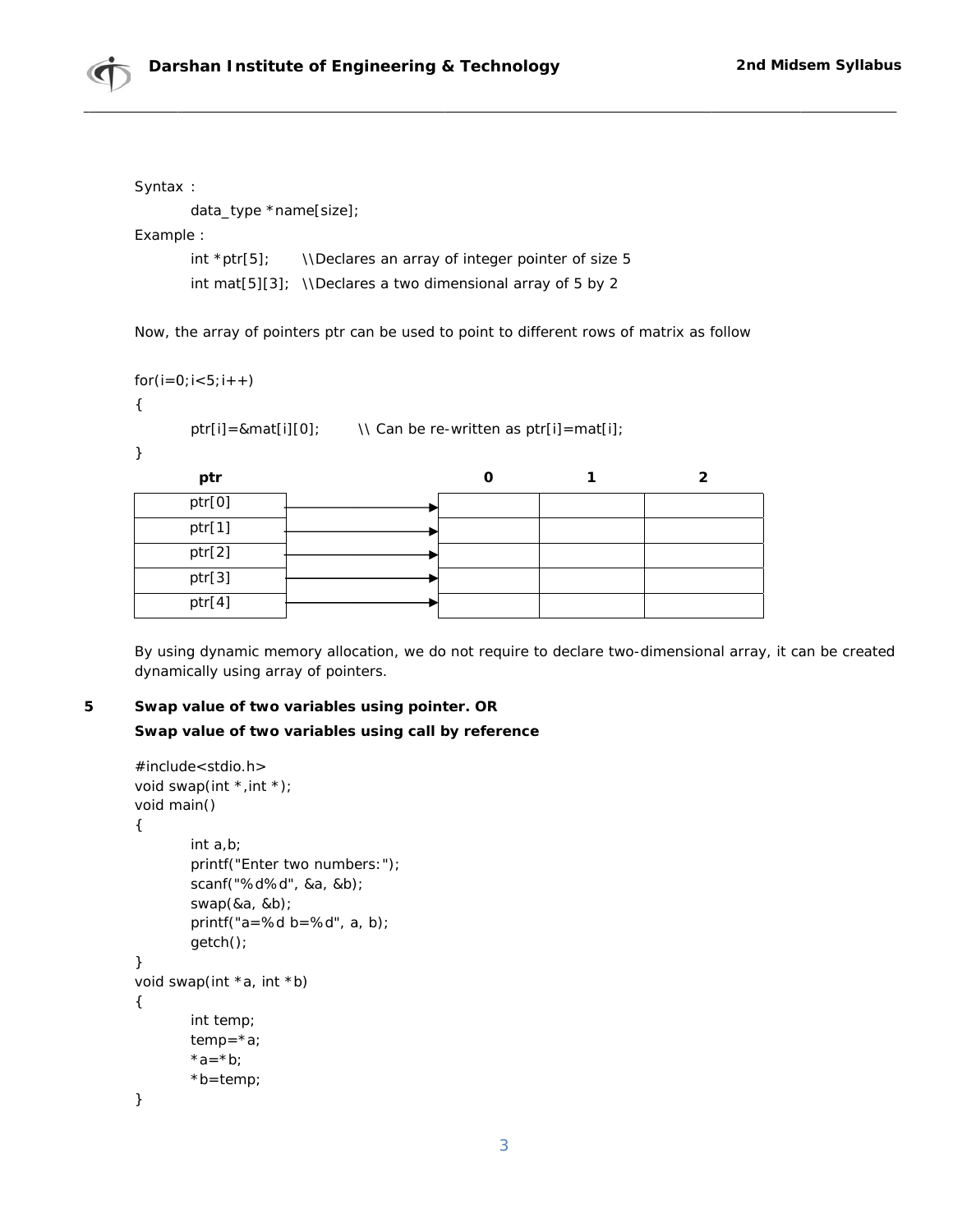

Syntax:

data\_type \*name[size];

Example:

\\Declares an array of integer pointer of size 5 int  $*ptr[5]$ ; int mat[5][3]; \\Declares a two dimensional array of 5 by 2

Now, the array of pointers ptr can be used to point to different rows of matrix as follow

```
for(i=0; i<5; i++)
```

```
\left\{ \right.
```
ptr[i]=&mat[i][0];  $\qquad \qquad \qquad \qquad$  \\ Can be re-written as ptr[i]=mat[i];

 $\mathcal{Y}$ 

| ptr    |  |  |
|--------|--|--|
| ptr[0] |  |  |
| ptr[1] |  |  |
| ptr[2] |  |  |
| ptr[3] |  |  |
| ptr[4] |  |  |

By using dynamic memory allocation, we do not require to declare two-dimensional array, it can be created dynamically using array of pointers.

5 Swap value of two variables using pointer. OR Swap value of two variables using call by reference

```
#include<stdio.h>
void swap(int *, int *);
void main()
\{int a.b;printf("Enter two numbers:");
        scanf("%d%d", &a, &b);
        swap(8a, 8b);
        printf("a=%d b=%d", a, b);
        getch();
}
void swap(int *a, int *b)
\{int temp;
        temp = *a;*a = *b;*b=temp;
\mathcal{E}
```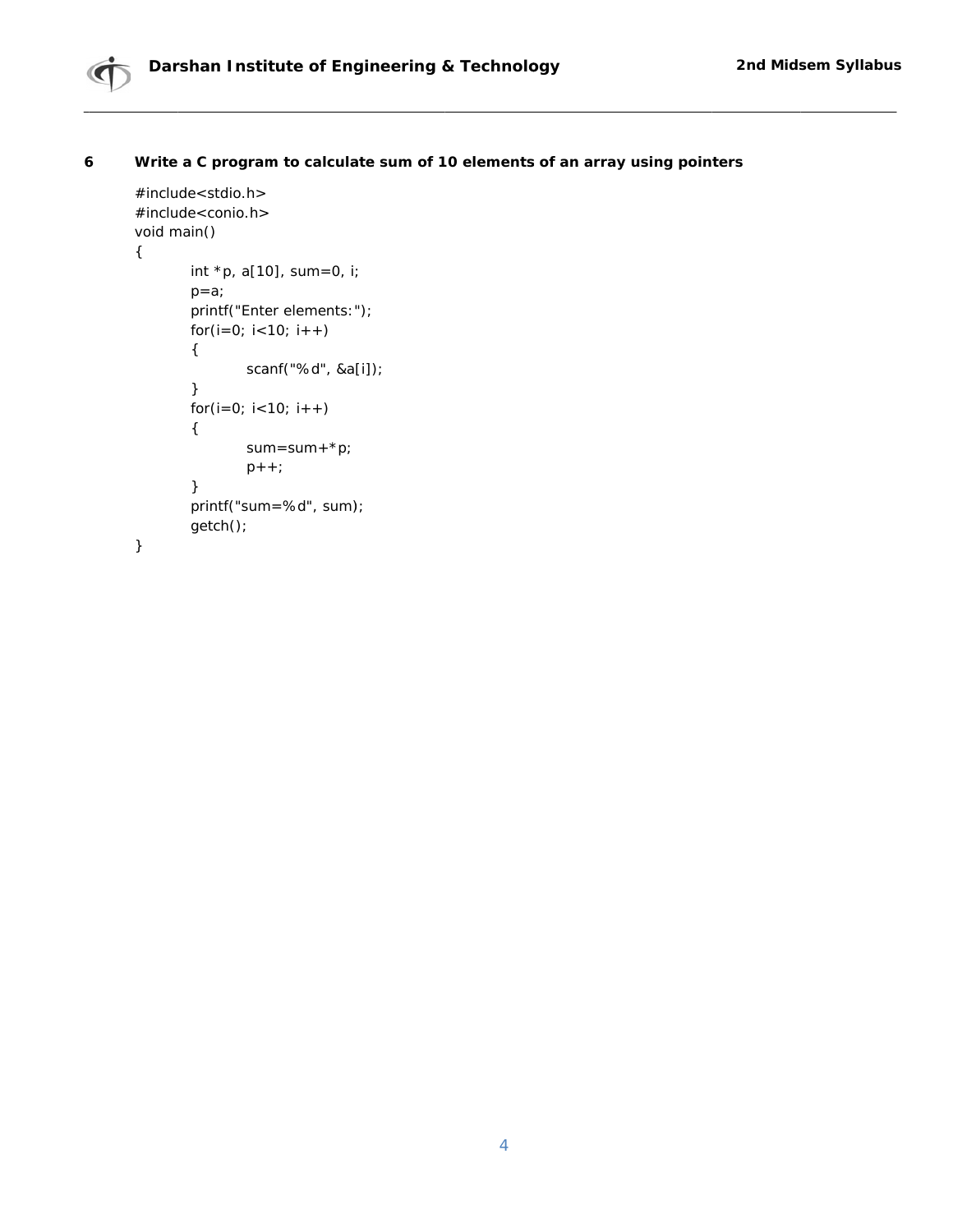

#### $\boldsymbol{6}$ Write a C program to calculate sum of 10 elements of an array using pointers

```
#include<stdio.h>
#include<conio.h>
void main()
       int *p, a[10], sum=0, i;
       p=a;
       printf("Enter elements:");
       for(i=0; i<10; i++)\{scanf("%d", &a[i]);
       \}for(i=0; i<10; i++)\{sum = sum + *p;p++;\}printf("sum=%d", sum);
       getch();
```
 $\}$ 

 $\{$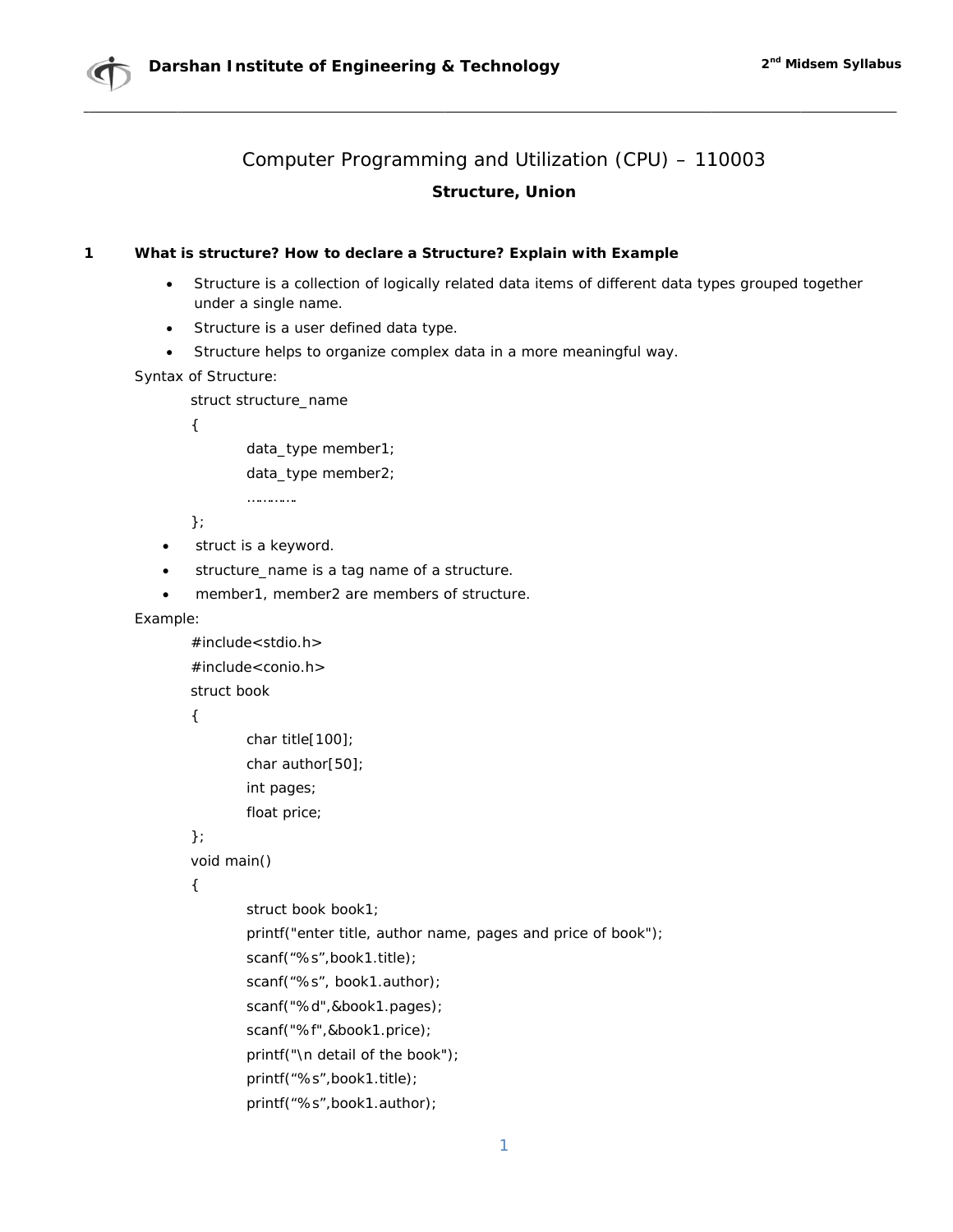



#### $\mathbf{1}$ What is structure? How to declare a Structure? Explain with Example

- Structure is a collection of logically related data items of different data types grouped together  $\bullet$ under a single name.
- Structure is a user defined data type.
- Structure helps to organize complex data in a more meaningful way.  $\bullet$

Syntax of Structure:

struct structure\_name

 $\left\{ \right.$ 

data\_type member1;

data\_type member2;

. . . . . . . . . . . . .

 $\}$ 

- struct is a keyword.
- structure\_name is a tag name of a structure.
- member1, member2 are members of structure.

Example:

 $\#$ include < stdio.h >  $\#$ include<conio.h>

struct book

 $\{$ 

```
char title[100];
char author[50];
int pages;
float price;
```
 $\mathcal{E}$ :

void main()

 $\left\{ \right.$ 

```
struct book book1;
printf("enter title, author name, pages and price of book");
scanf("%s",book1.title);
scanf("%s", book1.author);
scanf("%d",&book1.pages);
scanf("%f",&book1.price);
printf("\n detail of the book");
printf("%s",book1.title);
printf("%s",book1.author);
```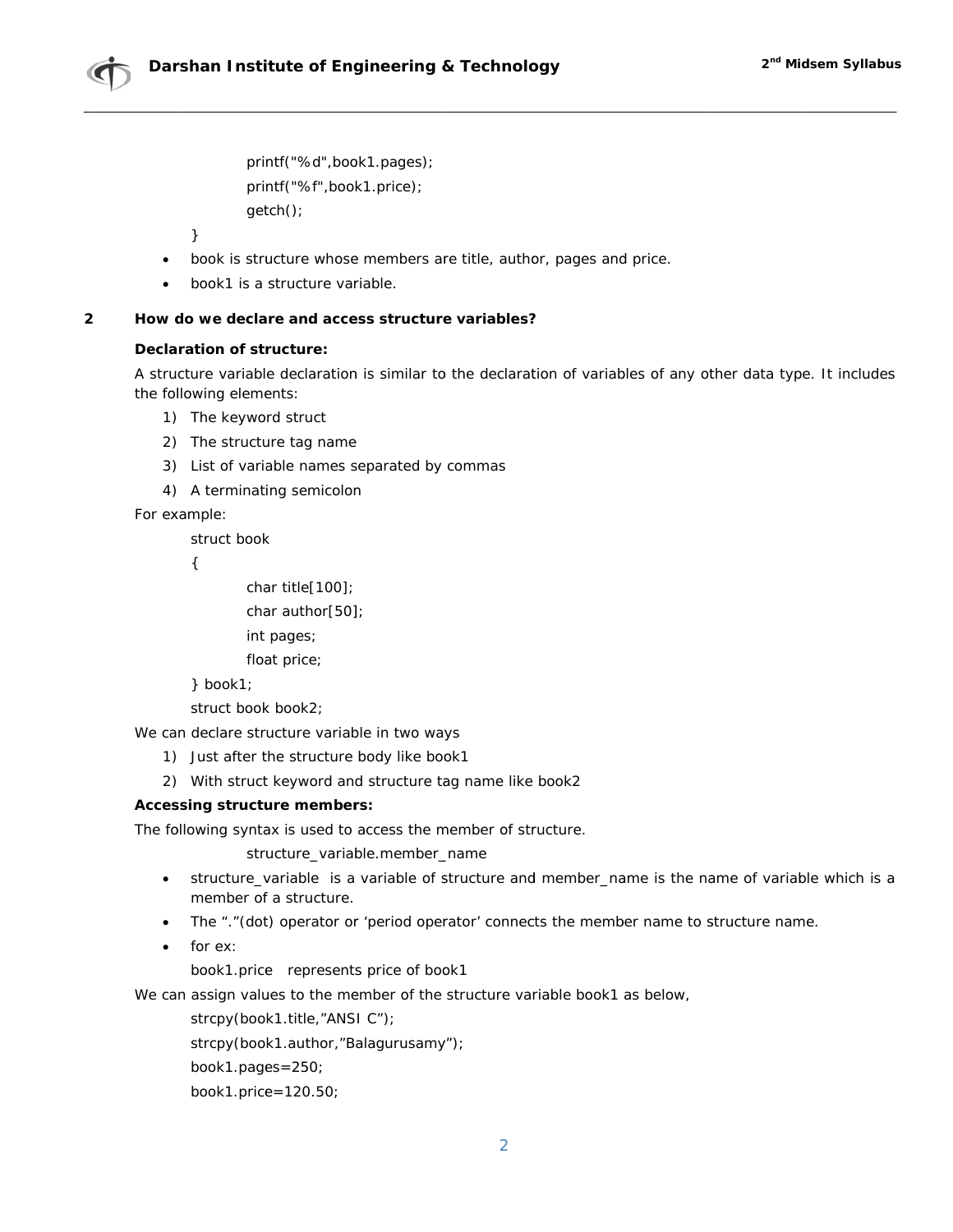printf("%d",book1.pages); printf("%f",book1.price); getch();

 $\mathcal{E}$ 

- book is structure whose members are title, author, pages and price.  $\bullet$
- book1 is a structure variable.

#### $\overline{2}$ How do we declare and access structure variables?

## **Declaration of structure:**

A structure variable declaration is similar to the declaration of variables of any other data type. It includes the following elements:

- 1) The keyword struct
- 2) The structure tag name
- 3) List of variable names separated by commas
- 4) A terminating semicolon

For example:

struct book

 $\left\{ \right.$ 

char title[100];

char author[50];

int pages:

float price;

```
\} book1;
```
struct book book2;

We can declare structure variable in two ways

- 1) Just after the structure body like book1
- 2) With struct keyword and structure tag name like book2

## **Accessing structure members:**

The following syntax is used to access the member of structure.

structure\_variable.member\_name

- structure\_variable is a variable of structure and member\_name is the name of variable which is a member of a structure.
- The "."(dot) operator or 'period operator' connects the member name to structure name.
- for  $ex:$

book1.price represents price of book1

We can assign values to the member of the structure variable book1 as below,

strcpy(book1.title,"ANSI C");

strcpy(book1.author,"Balagurusamy");

book1.pages= $250$ ;

book1.price=120.50;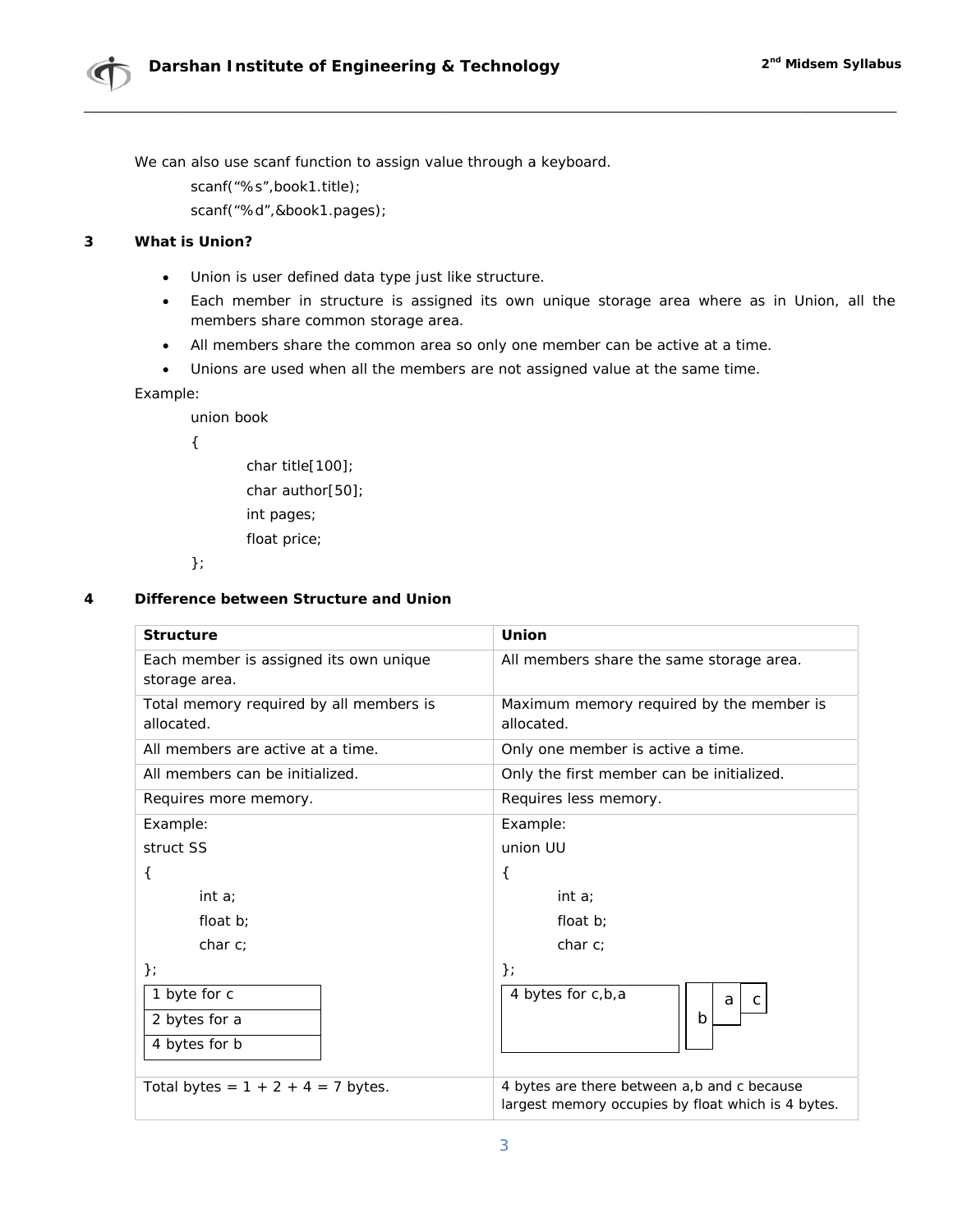

We can also use scanf function to assign value through a keyboard.

scanf("%s",book1.title);

scanf("%d",&book1.pages);

#### $\overline{3}$ **What is Union?**

- Union is user defined data type just like structure.  $\bullet$
- Each member in structure is assigned its own unique storage area where as in Union, all the  $\bullet$ members share common storage area.
- All members share the common area so only one member can be active at a time.  $\bullet$
- Unions are used when all the members are not assigned value at the same time.  $\bullet$

## Example:

union book

 $\left\{ \right.$ 

char title[100]; char author[50]; int pages; float price;

 $\}$ 

#### Difference between Structure and Union 4

| <b>Structure</b>                                        | Union                                                                                             |  |  |
|---------------------------------------------------------|---------------------------------------------------------------------------------------------------|--|--|
| Each member is assigned its own unique<br>storage area. | All members share the same storage area.                                                          |  |  |
| Total memory required by all members is<br>allocated.   | Maximum memory required by the member is<br>allocated.                                            |  |  |
| All members are active at a time.                       | Only one member is active a time.                                                                 |  |  |
| All members can be initialized.                         | Only the first member can be initialized.                                                         |  |  |
| Requires more memory.                                   | Requires less memory.                                                                             |  |  |
| Example:                                                | Example:                                                                                          |  |  |
| struct SS                                               | union UU                                                                                          |  |  |
| ₹                                                       | $\{$                                                                                              |  |  |
| int a                                                   | int $a$                                                                                           |  |  |
| float $b$ :                                             | float $b$ :                                                                                       |  |  |
| char c;                                                 | char c                                                                                            |  |  |
| $\}$ ;                                                  | $\}$                                                                                              |  |  |
| 1 byte for c                                            | 4 bytes for c,b,a<br>a<br>C                                                                       |  |  |
| 2 bytes for a                                           | b                                                                                                 |  |  |
| 4 bytes for b                                           |                                                                                                   |  |  |
| Total bytes = $1 + 2 + 4 = 7$ bytes.                    | 4 bytes are there between a,b and c because<br>largest memory occupies by float which is 4 bytes. |  |  |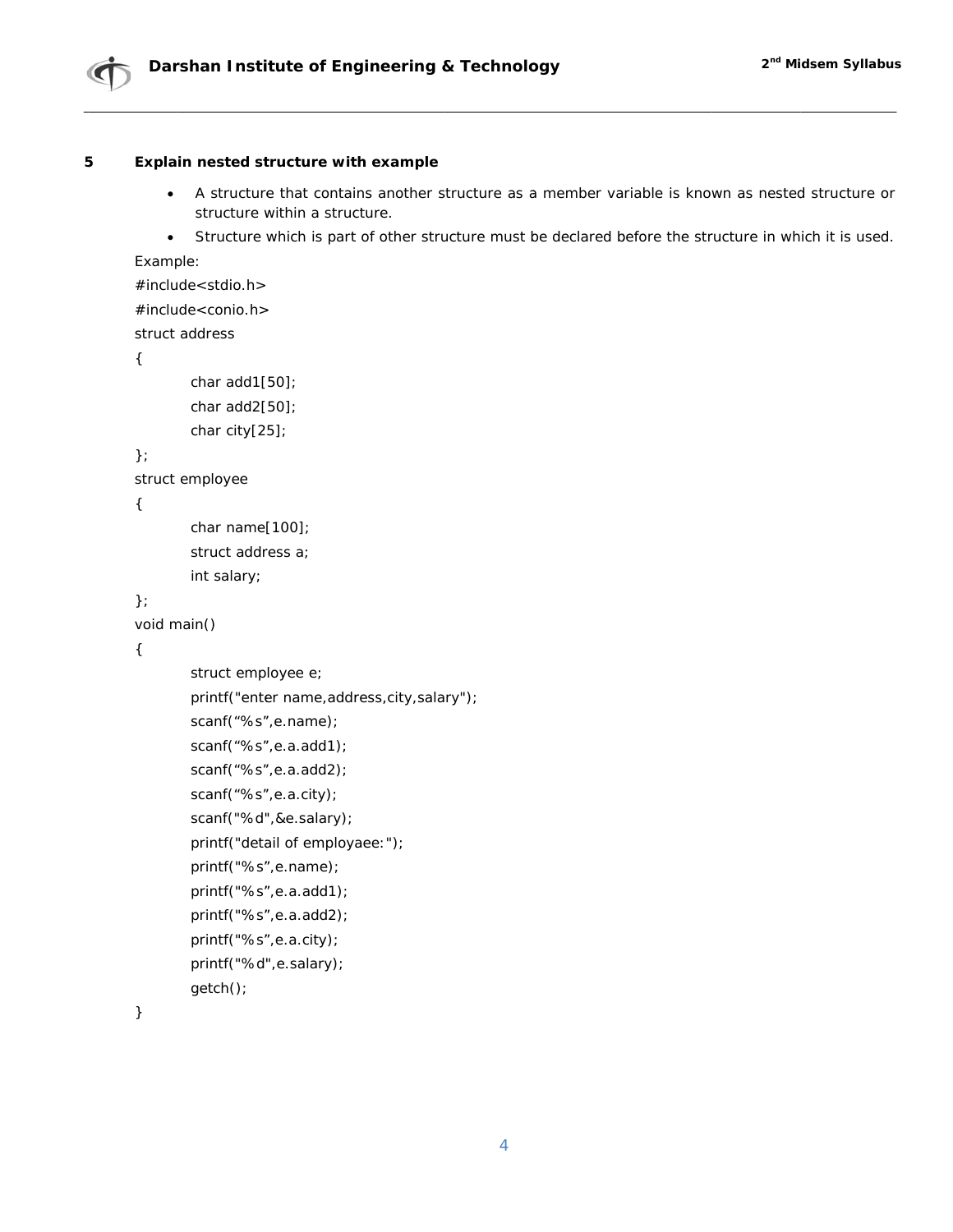

#### 5 Explain nested structure with example

- A structure that contains another structure as a member variable is known as nested structure or  $\bullet$ structure within a structure.
- Structure which is part of other structure must be declared before the structure in which it is used.  $\bullet$

Example:

```
\#include < stdio.h >
```

```
\#include<conio.h>
```
struct address

```
\left\{ \right.
```

```
char add1[50];
char add2[50];
char city[25];
```
## $\}$

```
struct employee
```
## $\{$

```
char name[100];
struct address a;
int salary;
```
# $\}$

```
void main()
```
## $\{$

```
struct employee e;
printf("enter name, address, city, salary");
scanf("%s",e.name);
scanf("%s", e.a.add1);scanf("%s",e.a.add2);
scanf("%s",e.a.city);
scanf("%d",&e.salary);
printf("detail of employaee:");
printf("%s",e.name);
printf("%s",e.a.add1);
printf("%s",e.a.add2);
printf("%s",e.a.city);
printf("%d",e.salary);
getch();
```
 $\mathcal{E}$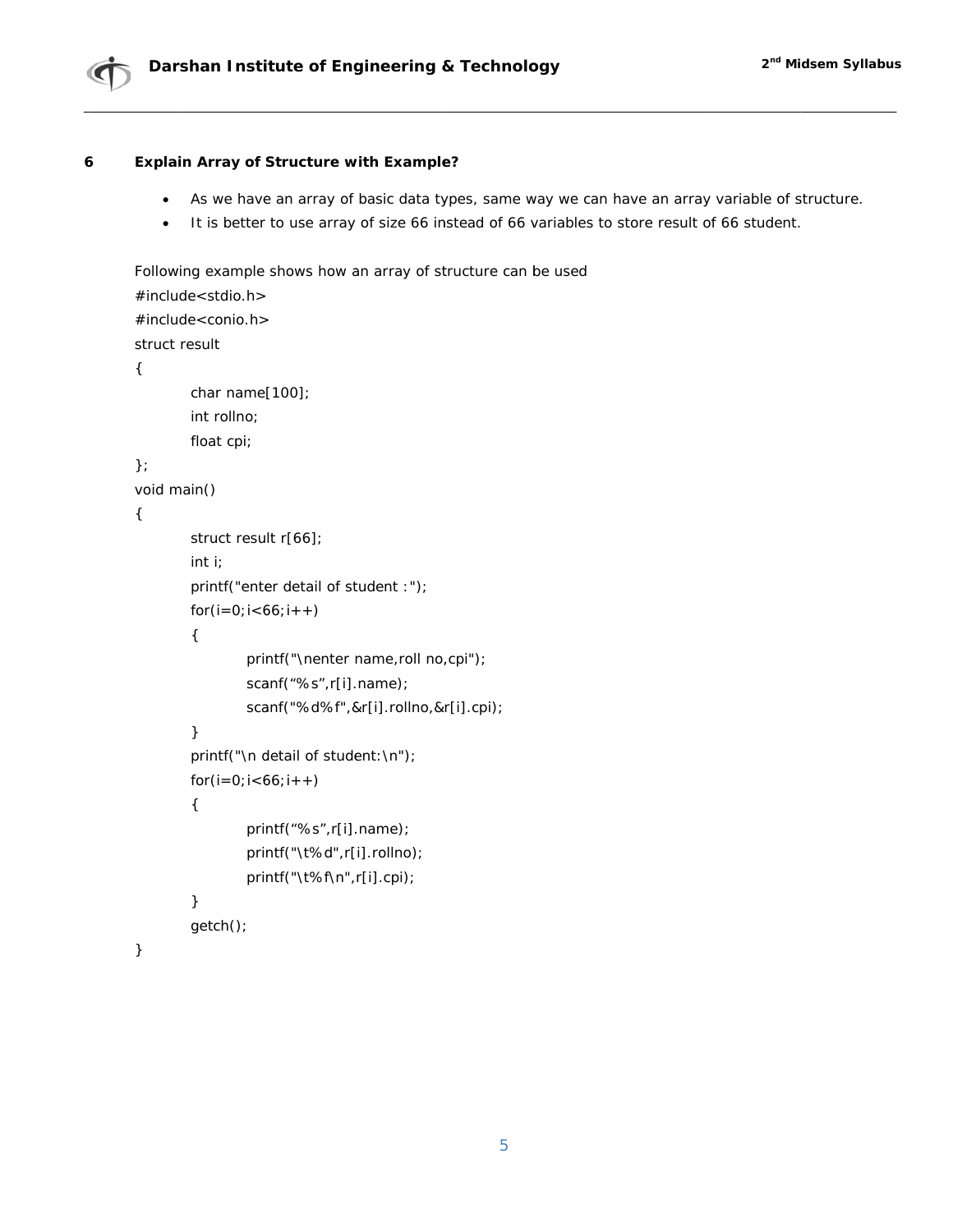

#### 6 **Explain Array of Structure with Example?**

- As we have an array of basic data types, same way we can have an array variable of structure.  $\bullet$
- It is better to use array of size 66 instead of 66 variables to store result of 66 student.  $\bullet$

Following example shows how an array of structure can be used  $#include <$ stdio.h> #include<conio.h> struct result  $\{$ char name[100]; int rollno; float cpi;  $\}$ : void main()  $\{$ struct result r[66];  $int i;$ printf("enter detail of student :");  $for(i=0; i<66; i++)$  $\{$ printf("\nenter name,roll no,cpi"); scanf("%s",r[i].name); scanf("%d%f",&r[i].rollno,&r[i].cpi);  $\}$ printf("\n detail of student:\n");  $for(i=0; i<66; i++)$  $\{$ printf("%s",r[i].name); printf("\t%d",r[i].rollno); printf("\t%f\n",r[i].cpi);

 $\mathcal{Y}$ 

 $\mathcal{E}$ 

getch();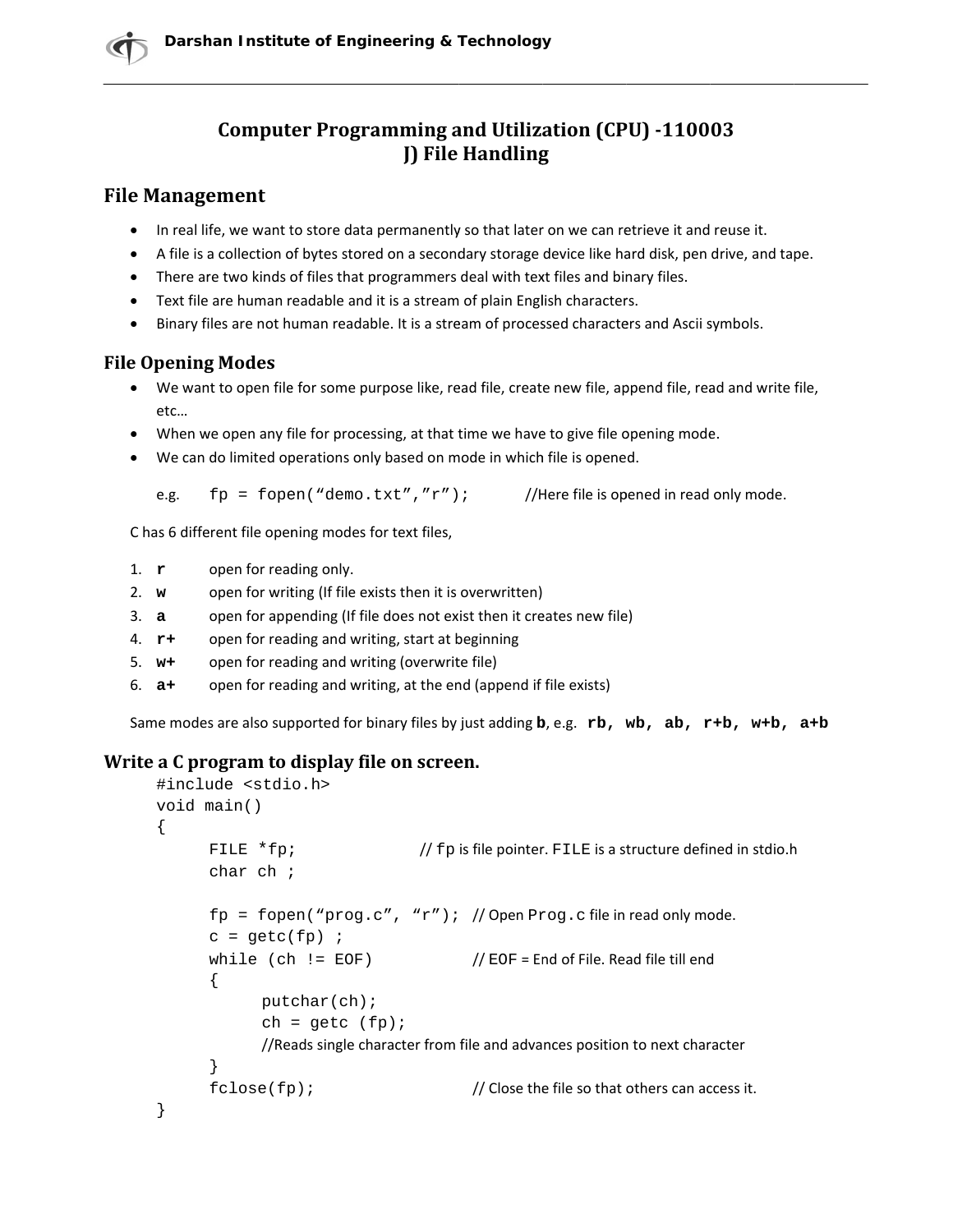# **Computer Programming and Utilization (CPU) -110003 J**) File Handling

# **File Management**

- In real life, we want to store data permanently so that later on we can retrieve it and reuse it.
- A file is a collection of bytes stored on a secondary storage device like hard disk, pen drive, and tape.
- There are two kinds of files that programmers deal with text files and binary files.
- Text file are human readable and it is a stream of plain English characters.
- Binary files are not human readable. It is a stream of processed characters and Ascii symbols.

# **File Opening Modes**

- We want to open file for some purpose like, read file, create new file, append file, read and write file, etc...
- When we open any file for processing, at that time we have to give file opening mode.
- We can do limited operations only based on mode in which file is opened.

 $fp = fopen("demo.txt", "r")$ ; //Here file is opened in read only mode. e.g.

C has 6 different file opening modes for text files,

- 1.  $\mathbf{r}$ open for reading only.
- open for writing (If file exists then it is overwritten)  $2. w$
- $3. a$ open for appending (If file does not exist then it creates new file)
- 4.  $r+$ open for reading and writing, start at beginning
- $5. w+$ open for reading and writing (overwrite file)
- open for reading and writing, at the end (append if file exists)  $6. a +$

Same modes are also supported for binary files by just adding b, e.g. rb, wb, ab, r+b, w+b, a+b

# Write a C program to display file on screen.

```
#include <stdio.h>
void main()
\{FILE *fp;
                                // fp is file pointer. FILE is a structure defined in stdio.h
      char ch ifp = fopen("prog.c", "r"); // Open Prog.c file in read only mode.
      c = qetc(fp) ;
      while (ch := EOF) //EOF = End of File. Read file till end
      \{putchar(ch);ch = getc (fp);//Reads single character from file and advances position to next character
      \}fclose(fp);
                                        // Close the file so that others can access it.
}
```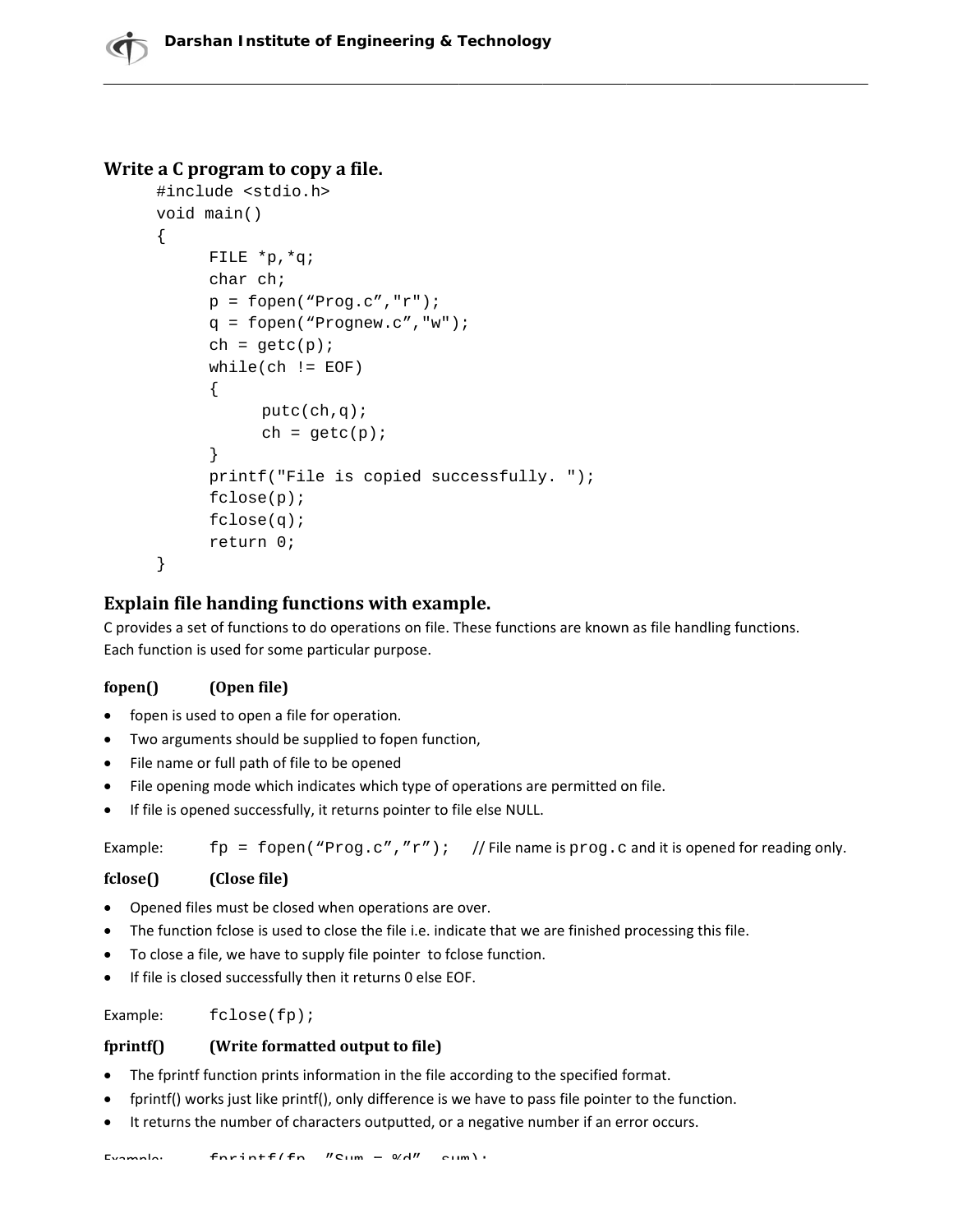# Write a C program to copy a file.

```
#include <stdio.h>
void main()
\{FILE *p, *q;
      char ch;
      p = fopen("Prog.c", "r");q = \text{fopen}("Prognew.c", "w");ch = qetc(p);while(ch != EOF)\left\{ \right.putc(ch,q);ch = getc(p);\}printf("File is copied successfully. ");
      fclose(p);
      fclose(q);
      return 0;
\}
```
# Explain file handing functions with example.

C provides a set of functions to do operations on file. These functions are known as file handling functions. Each function is used for some particular purpose.

#### fopen() (Open file)

- fopen is used to open a file for operation.
- Two arguments should be supplied to fopen function,
- File name or full path of file to be opened
- File opening mode which indicates which type of operations are permitted on file.
- If file is opened successfully, it returns pointer to file else NULL.

fp = fopen ("Prog.c", "r"); // File name is prog.c and it is opened for reading only. Example:

#### fclose() (Close file)

- Opened files must be closed when operations are over.
- The function fclose is used to close the file i.e. indicate that we are finished processing this file.
- To close a file, we have to supply file pointer to fclose function.
- If file is closed successfully then it returns 0 else EOF.

Example:  $fclose(fp)$ ;

#### $fprint()$ (Write formatted output to file)

- The fprintf function prints information in the file according to the specified format.
- fprintf() works just like printf(), only difference is we have to pass file pointer to the function.
- It returns the number of characters outputted, or a negative number if an error occurs.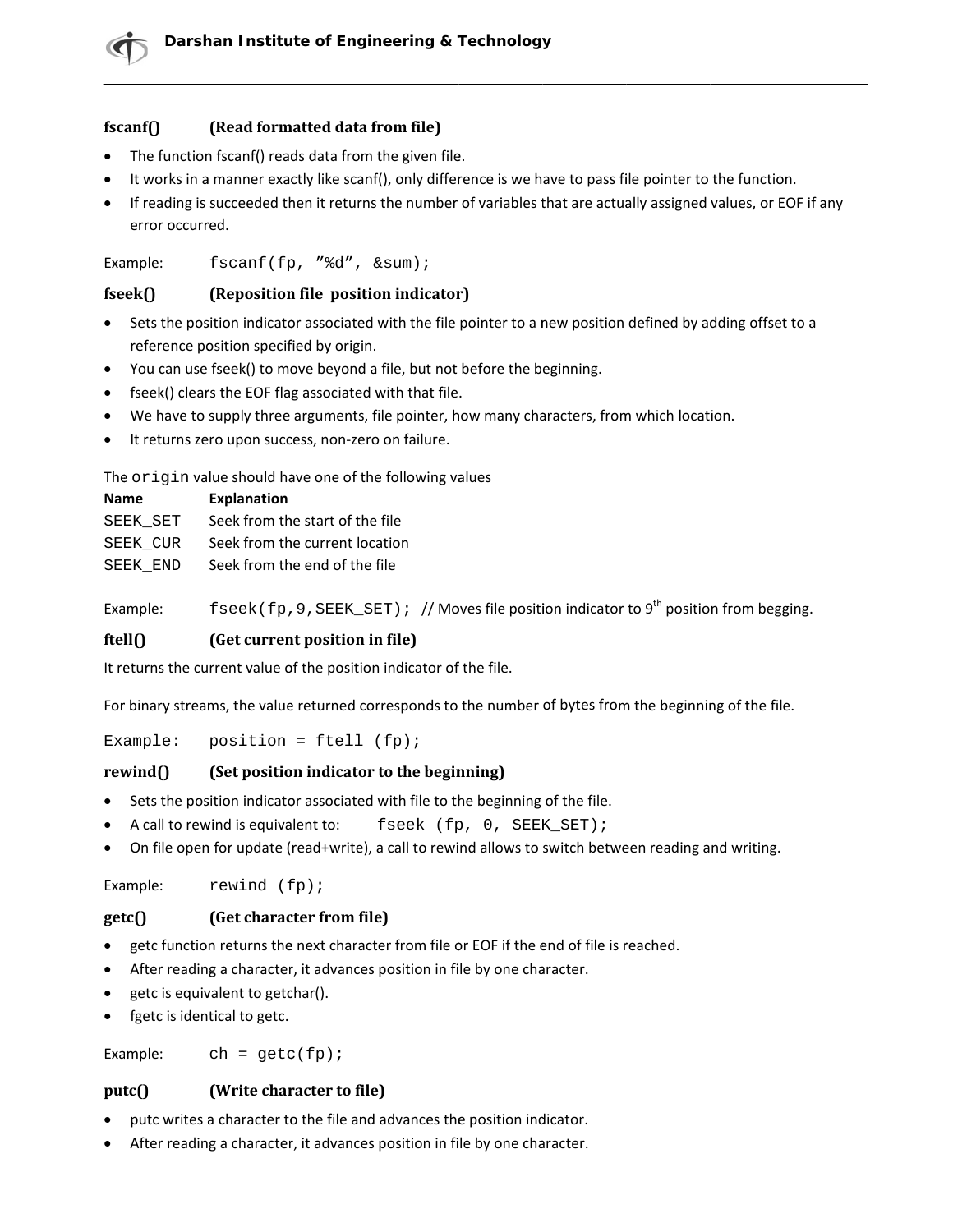#### fscanf() (Read formatted data from file)

- The function fscanf() reads data from the given file.
- It works in a manner exactly like scanf(), only difference is we have to pass file pointer to the function.
- If reading is succeeded then it returns the number of variables that are actually assigned values, or EOF if any error occurred.

Example: fscanf(fp, "%d", &sum);

#### (Reposition file position indicator) fseek()

- Sets the position indicator associated with the file pointer to a new position defined by adding offset to a reference position specified by origin.
- You can use fseek() to move beyond a file, but not before the beginning.
- fseek() clears the EOF flag associated with that file.
- We have to supply three arguments, file pointer, how many characters, from which location.
- It returns zero upon success, non-zero on failure.

The origin value should have one of the following values

| <b>Name</b> | <b>Explanation</b>              |
|-------------|---------------------------------|
| SEEK SET    | Seek from the start of the file |
| SEEK CUR    | Seek from the current location  |
| SEEK END    | Seek from the end of the file   |

fseek (fp, 9, SEEK\_SET) ; // Moves file position indicator to 9<sup>th</sup> position from begging. Example:

#### ftell $\Omega$ (Get current position in file)

It returns the current value of the position indicator of the file.

For binary streams, the value returned corresponds to the number of bytes from the beginning of the file.

Example: position =  $ftell (fp);$ 

#### $rewind()$ (Set position indicator to the beginning)

- Sets the position indicator associated with file to the beginning of the file.
- A call to rewind is equivalent to: fseek (fp, 0, SEEK\_SET);
- On file open for update (read+write), a call to rewind allows to switch between reading and writing.

Example: rewind  $(fp)$ ;

#### (Get character from file)  $getc()$

- getc function returns the next character from file or EOF if the end of file is reached.
- After reading a character, it advances position in file by one character.
- getc is equivalent to getchar().
- fgetc is identical to getc.

Example:  $ch = getc(fp);$ 

#### (Write character to file)  $putc()$

- putc writes a character to the file and advances the position indicator.
- After reading a character, it advances position in file by one character.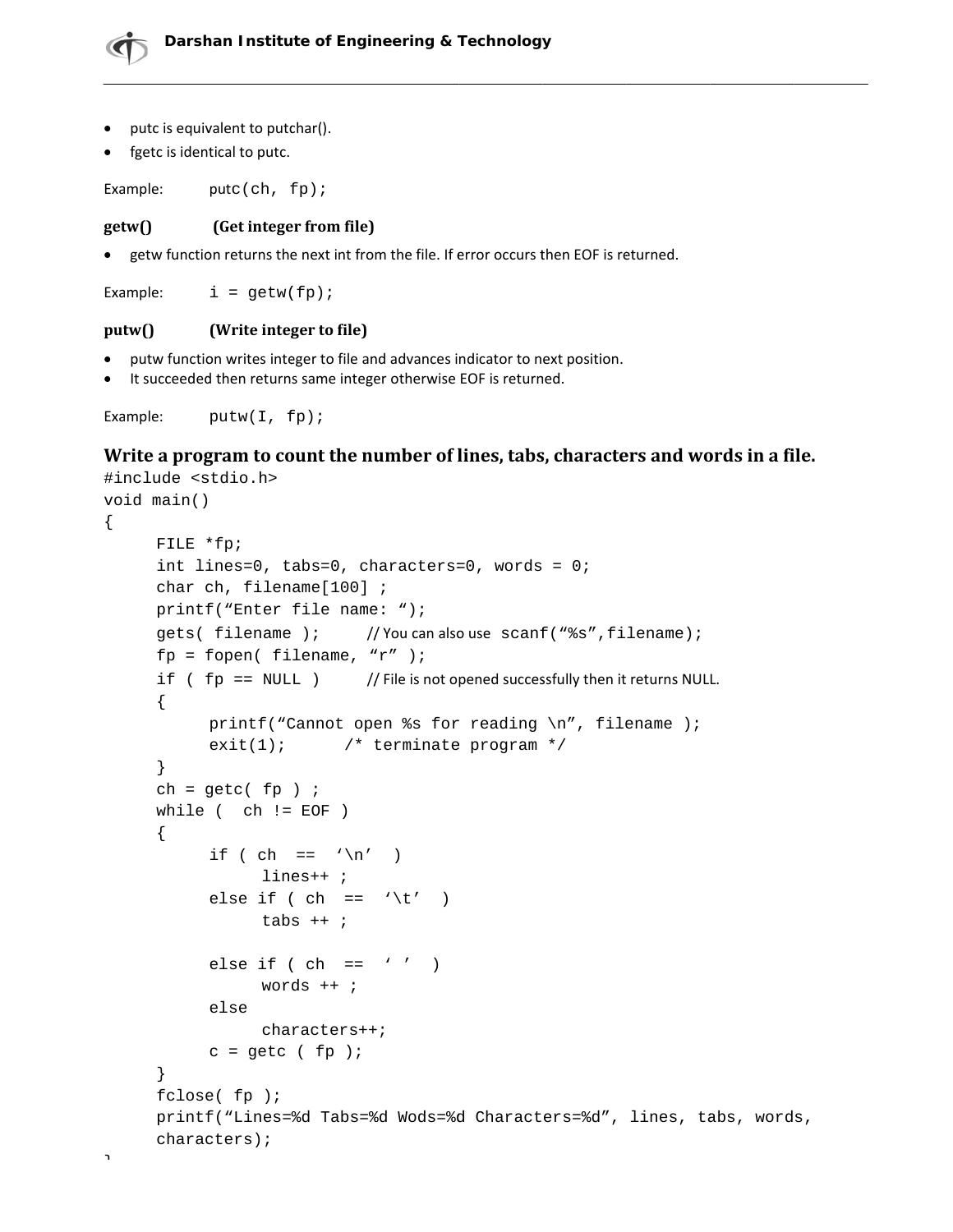- putc is equivalent to putchar().
- fgetc is identical to putc.

Example:  $pute(ch, fp);$ 

#### $getw()$ (Get integer from file)

• getw function returns the next int from the file. If error occurs then EOF is returned.

Example:  $i = qetw(fp);$ 

#### $putw()$ (Write integer to file)

- putw function writes integer to file and advances indicator to next position.
- It succeeded then returns same integer otherwise EOF is returned.

```
Example:
           putw(I, fp);
```
# Write a program to count the number of lines, tabs, characters and words in a file.

```
#include <stdio.h>
void main()
\{FILE *fp;
     int lines=0, tabs=0, characters=0, words = 0;
     char ch, filename[100];
     printf("Enter file name: ");
     gets( filename );
                             // You can also use scanf ("%s", filename);
     fp = fopen( filename, "r'' );
     if (fp == NULL)// File is not opened successfully then it returns NULL.
      \{printf("Cannot open %s for reading \n\times", filename );
           exit(1); /* terminate program */
      \}ch = getc(fp) ;
     while ( ch != EOF )\left\{ \right.if ( ch == '\n\in')
                 lines++ ;
            else if ( ch == \iota \setminus t' )
                 tabs ++ ;
            else if (\text{ch} == ' '')words ++ ;
            else
                 characters++;
           c = getc (fp);
      \}fclose(fp);printf("Lines=%d Tabs=%d Wods=%d Characters=%d", lines, tabs, words,
     characters);
```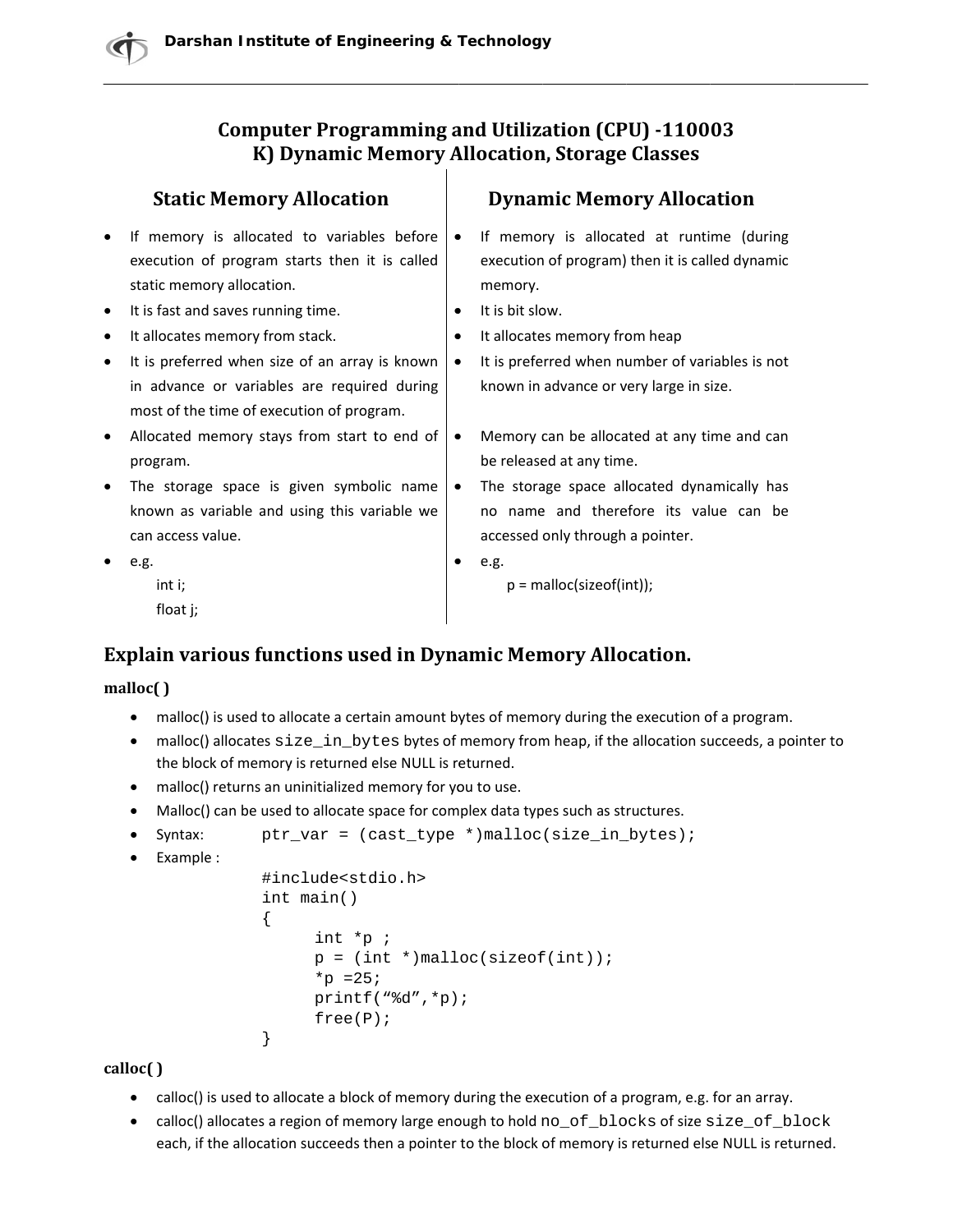# **Computer Programming and Utilization (CPU) -110003** K) Dynamic Memory Allocation, Storage Classes

|   | <b>Static Memory Allocation</b>                |           | <b>Dynamic Memory Allocation</b>                |
|---|------------------------------------------------|-----------|-------------------------------------------------|
| ٠ | If memory is allocated to variables before     | $\bullet$ | If memory is allocated at runtime (during       |
|   | execution of program starts then it is called  |           | execution of program) then it is called dynamic |
|   | static memory allocation.                      |           | memory.                                         |
| ٠ | It is fast and saves running time.             | ٠         | It is bit slow.                                 |
| ٠ | It allocates memory from stack.                | ٠         | It allocates memory from heap                   |
| ٠ | It is preferred when size of an array is known | $\bullet$ | It is preferred when number of variables is not |
|   | in advance or variables are required during    |           | known in advance or very large in size.         |
|   | most of the time of execution of program.      |           |                                                 |
| ٠ | Allocated memory stays from start to end of    | $\bullet$ | Memory can be allocated at any time and can     |
|   | program.                                       |           | be released at any time.                        |
|   | The storage space is given symbolic name       | ٠         | The storage space allocated dynamically has     |
|   | known as variable and using this variable we   |           | no name and therefore its value can be          |
|   | can access value.                              |           | accessed only through a pointer.                |
|   | e.g.                                           |           | e.g.                                            |
|   | int i;                                         |           | $p =$ malloc(size of (int));                    |
|   | float j;                                       |           |                                                 |

# **Explain various functions used in Dynamic Memory Allocation.**

## malloc()

- malloc() is used to allocate a certain amount bytes of memory during the execution of a program.
- malloc() allocates size\_in\_bytes bytes of memory from heap, if the allocation succeeds, a pointer to the block of memory is returned else NULL is returned.
- malloc() returns an uninitialized memory for you to use.
- Malloc() can be used to allocate space for complex data types such as structures.

```
Syntax:
            ptr\_var = (cast\_type * ){malloc(size_in_bytes)}
```
 $\bullet$  Example :

```
#include<stdio.h>
int main()
\{int *_{p};
      p = (int *)malloc(sizeof(int));
      *_{p} = 25;
      printf("d", *p);free(P);
\}
```
calloc()

- calloc() is used to allocate a block of memory during the execution of a program, e.g. for an array.
- calloc() allocates a region of memory large enough to hold no\_of\_blocks of size size\_of\_block each, if the allocation succeeds then a pointer to the block of memory is returned else NULL is returned.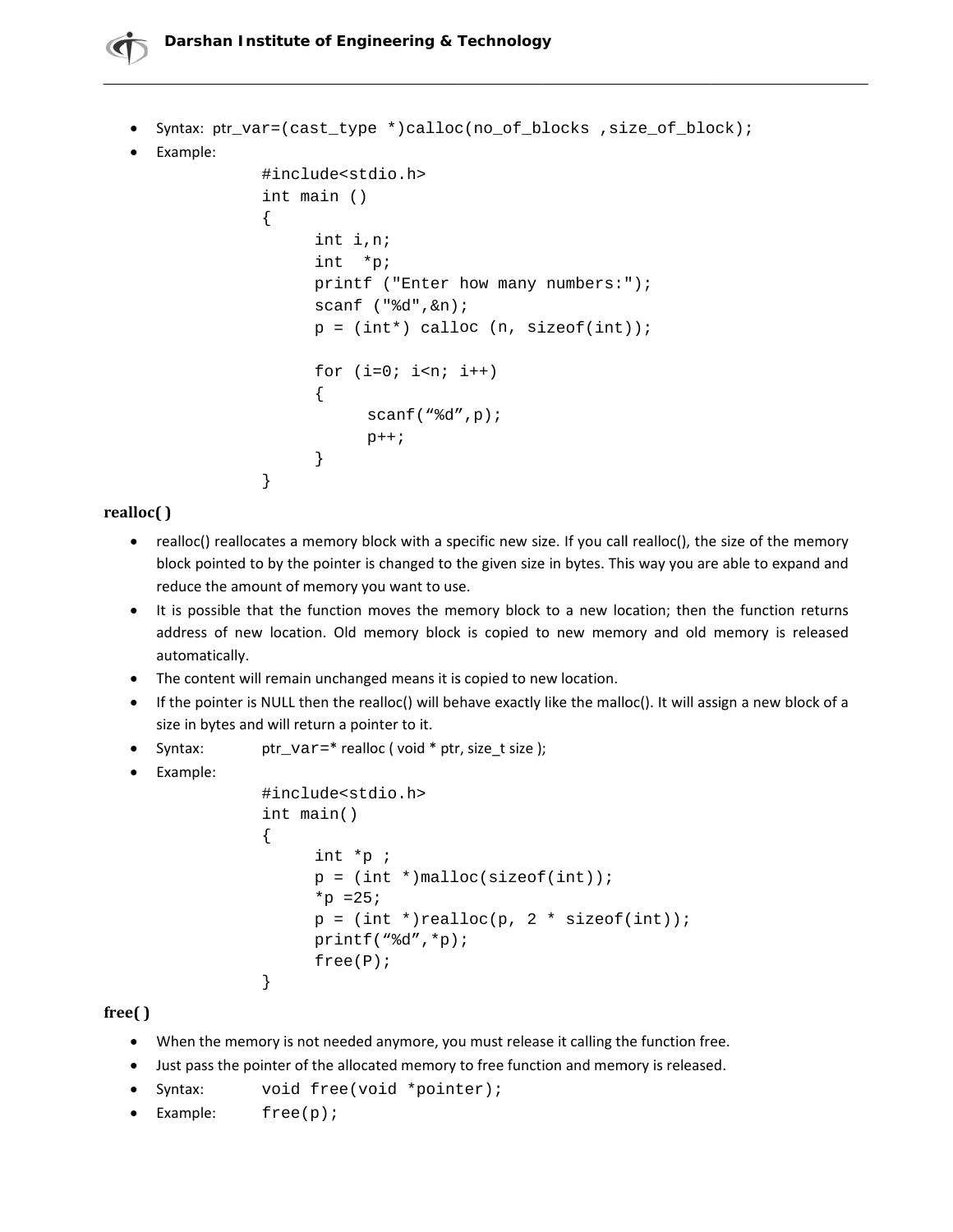# Darshan Institute of Engineering & Technology

```
Syntax: ptr_var=(cast_type *)calloc(no_of_blocks , size_of_block) ;
• Example:
              #include<stdio.h>
              int main ()
              ₹
                    int i,n;
                    int *p;
                    printf ("Enter how many numbers:");
                    scanf ("%d", \&n);
                    p = (int*) calloc (n, sizeof(int));for (i=0; i<n; i++)\{scant("d", p);
                          p++;\}\}
```
# realloc()

- realloc() reallocates a memory block with a specific new size. If you call realloc(), the size of the memory block pointed to by the pointer is changed to the given size in bytes. This way you are able to expand and reduce the amount of memory you want to use.
- It is possible that the function moves the memory block to a new location; then the function returns address of new location. Old memory block is copied to new memory and old memory is released automatically.
- The content will remain unchanged means it is copied to new location.
- If the pointer is NULL then the realloc() will behave exactly like the malloc(). It will assign a new block of a size in bytes and will return a pointer to it.
- $\bullet$  Syntax: ptr\_var=\* realloc (void \* ptr, size\_t size);
- Example:

```
#include<stdio.h>
int main()
\{int *_{p};
     p = (int *)malloc(sizeof(int));
     *p = 25;p = (int *)realloc(p, 2 * sizeof(int));printf("d", *p);free(P);}
```
## $free()$

- When the memory is not needed anymore, you must release it calling the function free.
- Just pass the pointer of the allocated memory to free function and memory is released.
- $\bullet$  Syntax: void free(void \*pointer);
- Example:  $free(p)$ ;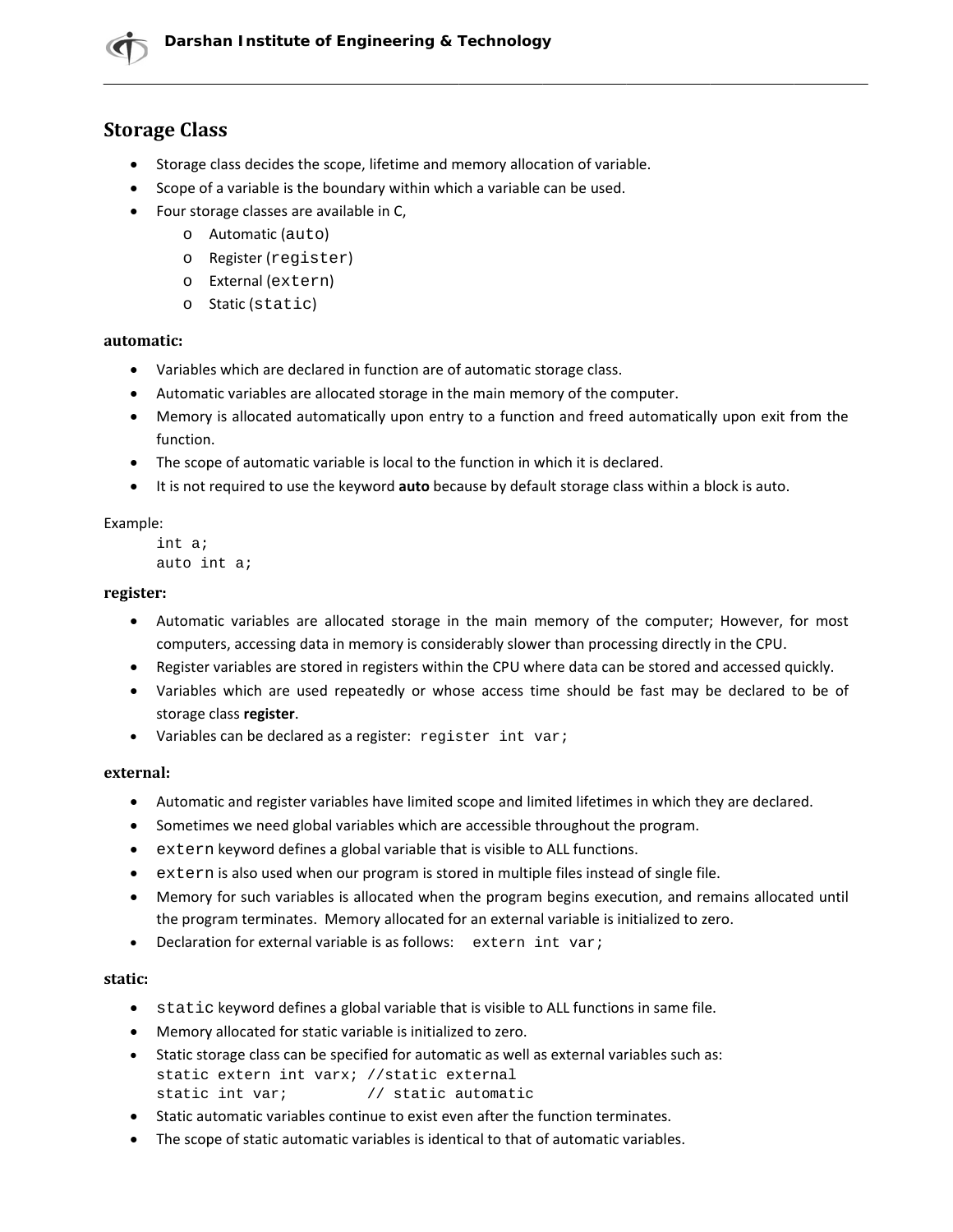# **Storage Class**

- Storage class decides the scope, lifetime and memory allocation of variable.
- Scope of a variable is the boundary within which a variable can be used.
- Four storage classes are available in C,
	- o Automatic (auto)
	- o Register (register)
	- o External (extern)
	- o Static (static)

## automatic:

- Variables which are declared in function are of automatic storage class.
- Automatic variables are allocated storage in the main memory of the computer.
- Memory is allocated automatically upon entry to a function and freed automatically upon exit from the function.
- The scope of automatic variable is local to the function in which it is declared.
- It is not required to use the keyword auto because by default storage class within a block is auto.

## Example:

```
int aiauto int ai
```
## register:

- Automatic variables are allocated storage in the main memory of the computer; However, for most computers, accessing data in memory is considerably slower than processing directly in the CPU.
- Register variables are stored in registers within the CPU where data can be stored and accessed quickly.
- Variables which are used repeatedly or whose access time should be fast may be declared to be of storage class register.
- Variables can be declared as a register: register int var;

## external:

- Automatic and register variables have limited scope and limited lifetimes in which they are declared.
- Sometimes we need global variables which are accessible throughout the program.
- extern keyword defines a global variable that is visible to ALL functions.  $\bullet$
- extern is also used when our program is stored in multiple files instead of single file.  $\bullet$
- Memory for such variables is allocated when the program begins execution, and remains allocated until the program terminates. Memory allocated for an external variable is initialized to zero.
- Declaration for external variable is as follows: extern int vari  $\bullet$

## static:

- static keyword defines a global variable that is visible to ALL functions in same file.
- Memory allocated for static variable is initialized to zero.
- Static storage class can be specified for automatic as well as external variables such as: static extern int varx; //static external static int var; // static automatic
- Static automatic variables continue to exist even after the function terminates.
- The scope of static automatic variables is identical to that of automatic variables.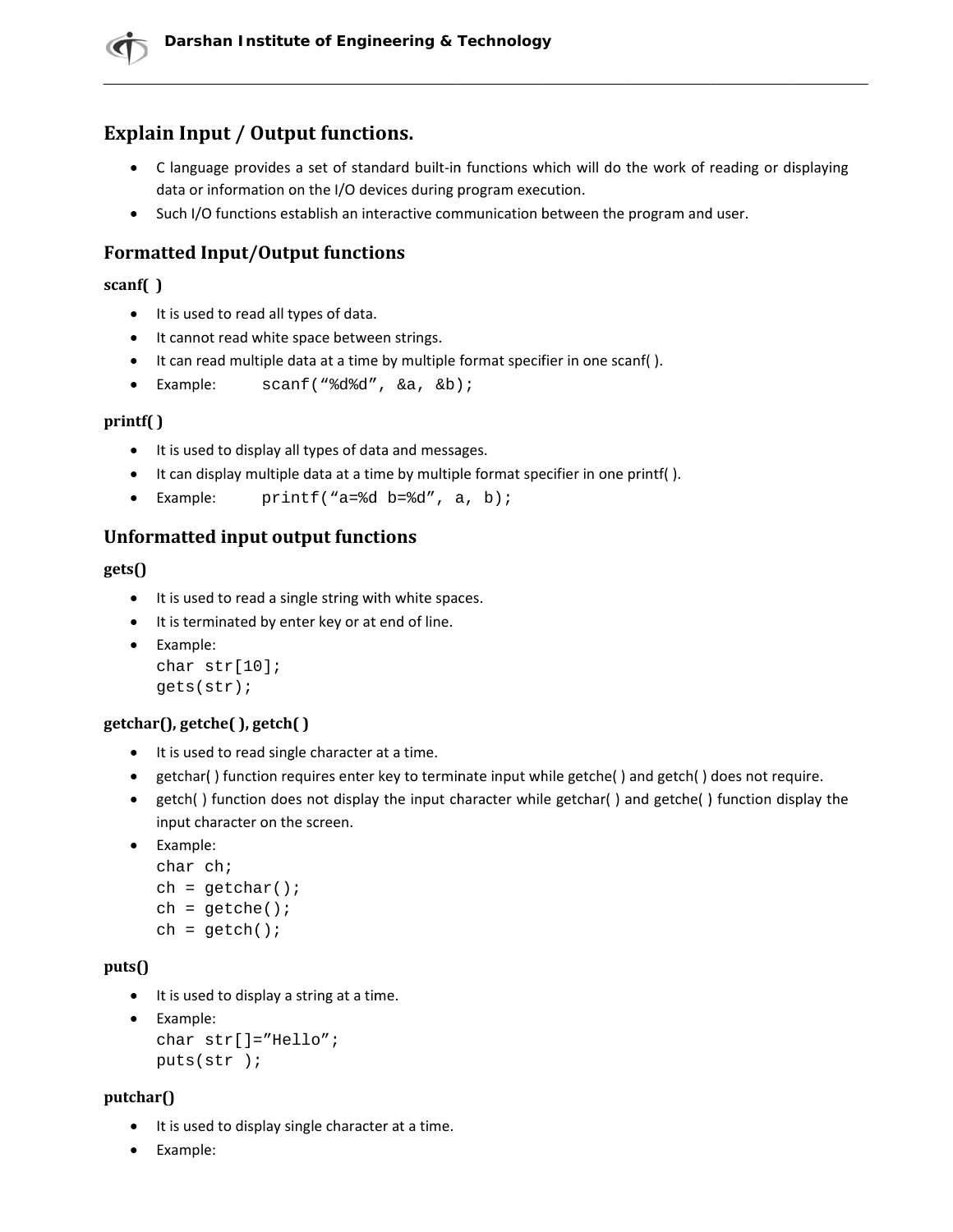# **Explain Input / Output functions.**

- C language provides a set of standard built-in functions which will do the work of reading or displaying data or information on the I/O devices during program execution.
- Such I/O functions establish an interactive communication between the program and user.

# **Formatted Input/Output functions**

## scanf()

- It is used to read all types of data.
- It cannot read white space between strings.
- It can read multiple data at a time by multiple format specifier in one scanf().
- Example:  $scanf("8d8d", & a, & b);$

## $print()$

- It is used to display all types of data and messages.
- It can display multiple data at a time by multiple format specifier in one printf().
- Example: printf("a=%d  $b=$ %d", a, b);

# **Unformatted input output functions**

## $gets()$

- It is used to read a single string with white spaces.
- It is terminated by enter key or at end of line.
- Example: char  $str[10]$ ;  $gets(str)$ ;

# getchar(), getche(), getch()

- It is used to read single character at a time.
- getchar() function requires enter key to terminate input while getche() and getch() does not require.
- getch() function does not display the input character while getchar() and getche() function display the input character on the screen.
- Example:

```
char ch;
ch = \text{getchar}()ch = qetche()ch = getch()
```
## $puts()$

• It is used to display a string at a time.

```
• Example:
  char str[] = "Hello"puts(str);
```
## $putchar()$

- It is used to display single character at a time.
- Example: